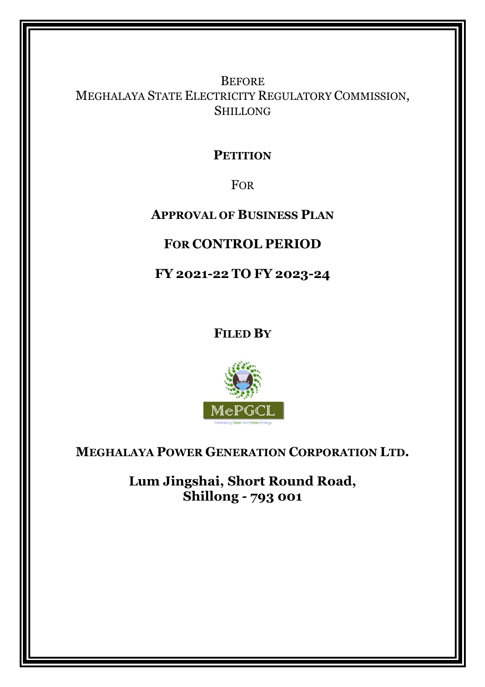**BEFORE** MEGHALAYA STATE ELECTRICITY REGULATORY COMMISSION, SHILLONG

# **PETITION**

FOR

# **APPROVAL OF BUSINESS PLAN**

# **FOR CONTROL PERIOD**

**FY 2021-22 TO FY 2023-24** 

**FILED BY**



**MEGHALAYA POWER GENERATION CORPORATION LTD.** 

**Lum Jingshai, Short Round Road, Shillong - 793 001**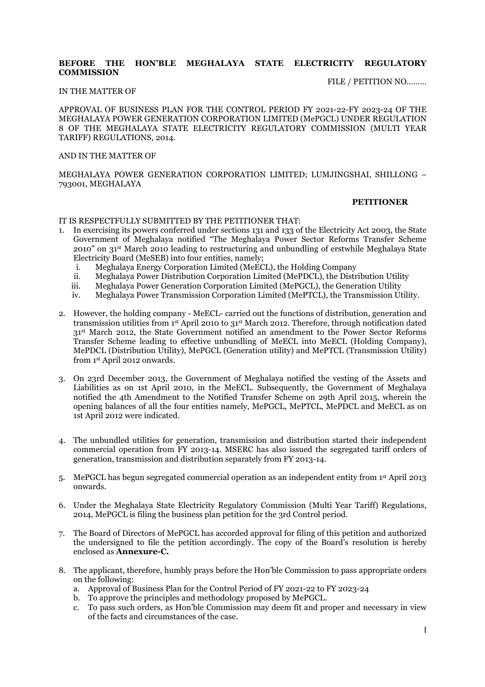#### **BEFORE THE HON'BLE MEGHALAYA STATE ELECTRICITY REGULATORY COMMISSION**

#### FILE / PETITION NO………

#### IN THE MATTER OF

APPROVAL OF BUSINESS PLAN FOR THE CONTROL PERIOD FY 2021-22-FY 2023-24 OF THE MEGHALAYA POWER GENERATION CORPORATION LIMITED (MePGCL) UNDER REGULATION 8 OF THE MEGHALAYA STATE ELECTRICITY REGULATORY COMMISSION (MULTI YEAR TARIFF) REGULATIONS, 2014.

#### AND IN THE MATTER OF

MEGHALAYA POWER GENERATION CORPORATION LIMITED; LUMJINGSHAI, SHILLONG – 793001, MEGHALAYA

#### **PETITIONER**

IT IS RESPECTFULLY SUBMITTED BY THE PETITIONER THAT:

- 1. In exercising its powers conferred under sections 131 and 133 of the Electricity Act 2003, the State Government of Meghalaya notified "The Meghalaya Power Sector Reforms Transfer Scheme 2010" on 31st March 2010 leading to restructuring and unbundling of erstwhile Meghalaya State Electricity Board (MeSEB) into four entities, namely;
	- i. Meghalaya Energy Corporation Limited (MeECL), the Holding Company
	- ii. Meghalaya Power Distribution Corporation Limited (MePDCL), the Distribution Utility
	- iii. Meghalaya Power Generation Corporation Limited (MePGCL), the Generation Utility
	- iv. Meghalaya Power Transmission Corporation Limited (MePTCL), the Transmission Utility.
- 2. However, the holding company MeECL- carried out the functions of distribution, generation and transmission utilities from 1st April 2010 to 31st March 2012. Therefore, through notification dated 31st March 2012, the State Government notified an amendment to the Power Sector Reforms Transfer Scheme leading to effective unbundling of MeECL into MeECL (Holding Company), MePDCL (Distribution Utility), MePGCL (Generation utility) and MePTCL (Transmission Utility) from 1st April 2012 onwards.
- 3. On 23rd December 2013, the Government of Meghalaya notified the vesting of the Assets and Liabilities as on 1st April 2010, in the MeECL. Subsequently, the Government of Meghalaya notified the 4th Amendment to the Notified Transfer Scheme on 29th April 2015, wherein the opening balances of all the four entities namely, MePGCL, MePTCL, MePDCL and MeECL as on 1st April 2012 were indicated.
- 4. The unbundled utilities for generation, transmission and distribution started their independent commercial operation from FY 2013-14. MSERC has also issued the segregated tariff orders of generation, transmission and distribution separately from FY 2013-14.
- 5. MePGCL has begun segregated commercial operation as an independent entity from 1st April 2013 onwards.
- 6. Under the Meghalaya State Electricity Regulatory Commission (Multi Year Tariff) Regulations, 2014, MePGCL is filing the business plan petition for the 3rd Control period.
- 7. The Board of Directors of MePGCL has accorded approval for filing of this petition and authorized the undersigned to file the petition accordingly. The copy of the Board's resolution is hereby enclosed as **Annexure-C.**
- 8. The applicant, therefore, humbly prays before the Hon'ble Commission to pass appropriate orders on the following:
	- a. Approval of Business Plan for the Control Period of FY 2021-22 to FY 2023-24
	- b. To approve the principles and methodology proposed by MePGCL.
	- c. To pass such orders, as Hon'ble Commission may deem fit and proper and necessary in view of the facts and circumstances of the case.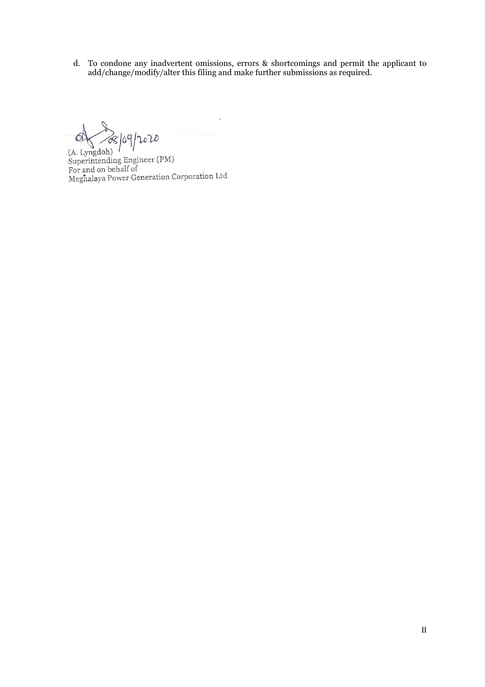d. To condone any inadvertent omissions, errors & shortcomings and permit the applicant to add/change/modify/alter this filing and make further submissions as required.

des jog/2020  $\Delta$ 

(A. Lyngdoh) (A. Lyngdon)<br>Superintending Engineer (PM)<br>For and on behalf of<br>Meghalaya Power Generation Corporation Ltd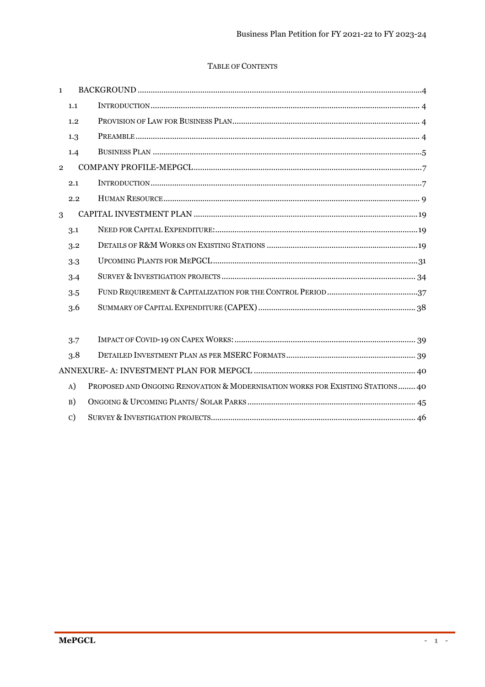## TABLE OF CONTENTS

| $\mathbf{1}$   |     |  |
|----------------|-----|--|
|                | 1.1 |  |
|                | 1.2 |  |
|                | 1.3 |  |
|                | 1.4 |  |
| $\overline{2}$ |     |  |
|                | 2.1 |  |
|                | 2.2 |  |
| 3              |     |  |
|                | 3.1 |  |
|                | 3.2 |  |
|                | 3.3 |  |
|                | 3.4 |  |
|                | 3.5 |  |
|                | 3.6 |  |
|                |     |  |
|                | 3.7 |  |
|                | 3.8 |  |
|                |     |  |

| A) PROPOSED AND ONGOING RENOVATION & MODERNISATION WORKS FOR EXISTING STATIONS 40 |
|-----------------------------------------------------------------------------------|
|                                                                                   |
|                                                                                   |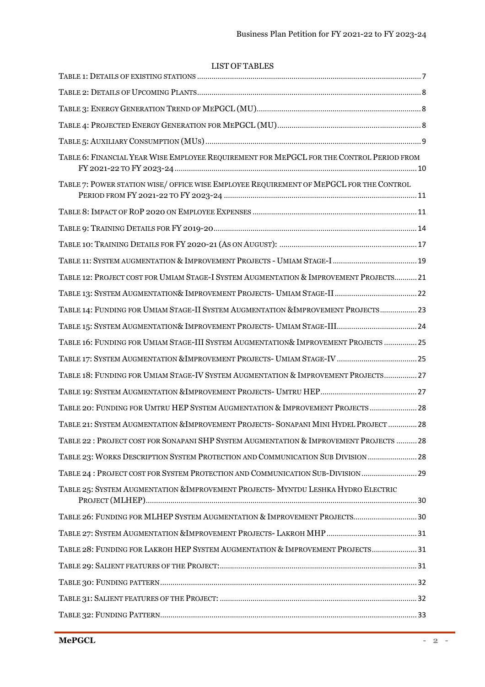## LIST OF TABLES

| TABLE 6: FINANCIAL YEAR WISE EMPLOYEE REQUIREMENT FOR MEPGCL FOR THE CONTROL PERIOD FROM |  |
|------------------------------------------------------------------------------------------|--|
| TABLE 7: POWER STATION WISE/OFFICE WISE EMPLOYEE REQUIREMENT OF MEPGCL FOR THE CONTROL   |  |
|                                                                                          |  |
|                                                                                          |  |
|                                                                                          |  |
|                                                                                          |  |
| TABLE 12: PROJECT COST FOR UMIAM STAGE-I SYSTEM AUGMENTATION & IMPROVEMENT PROJECTS 21   |  |
|                                                                                          |  |
| TABLE 14: FUNDING FOR UMIAM STAGE-II SYSTEM AUGMENTATION &IMPROVEMENT PROJECTS 23        |  |
| TABLE 15: SYSTEM AUGMENTATION& IMPROVEMENT PROJECTS- UMIAM STAGE-III 24                  |  |
| TABLE 16: FUNDING FOR UMIAM STAGE-III SYSTEM AUGMENTATION& IMPROVEMENT PROJECTS  25      |  |
|                                                                                          |  |
| TABLE 18: FUNDING FOR UMIAM STAGE-IV SYSTEM AUGMENTATION & IMPROVEMENT PROJECTS 27       |  |
|                                                                                          |  |
| TABLE 20: FUNDING FOR UMTRU HEP SYSTEM AUGMENTATION & IMPROVEMENT PROJECTS  28           |  |
| TABLE 21: SYSTEM AUGMENTATION &IMPROVEMENT PROJECTS- SONAPANI MINI HYDEL PROJECT  28     |  |
| TABLE 22: PROJECT COST FOR SONAPANI SHP SYSTEM AUGMENTATION & IMPROVEMENT PROJECTS  28   |  |
| TABLE 23: WORKS DESCRIPTION SYSTEM PROTECTION AND COMMUNICATION SUB DIVISION  28         |  |
| TABLE 24: PROJECT COST FOR SYSTEM PROTECTION AND COMMUNICATION SUB-DIVISION 29           |  |
| TABLE 25: SYSTEM AUGMENTATION & IMPROVEMENT PROJECTS- MYNTDU LESHKA HYDRO ELECTRIC       |  |
| TABLE 26: FUNDING FOR MLHEP SYSTEM AUGMENTATION & IMPROVEMENT PROJECTS 30                |  |
|                                                                                          |  |
| TABLE 28: FUNDING FOR LAKROH HEP SYSTEM AUGMENTATION & IMPROVEMENT PROJECTS 31           |  |
|                                                                                          |  |
|                                                                                          |  |
|                                                                                          |  |
|                                                                                          |  |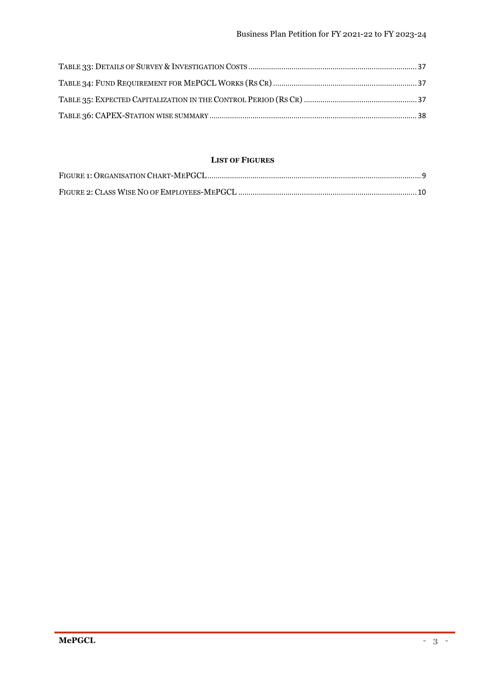## **LIST OF FIGURES**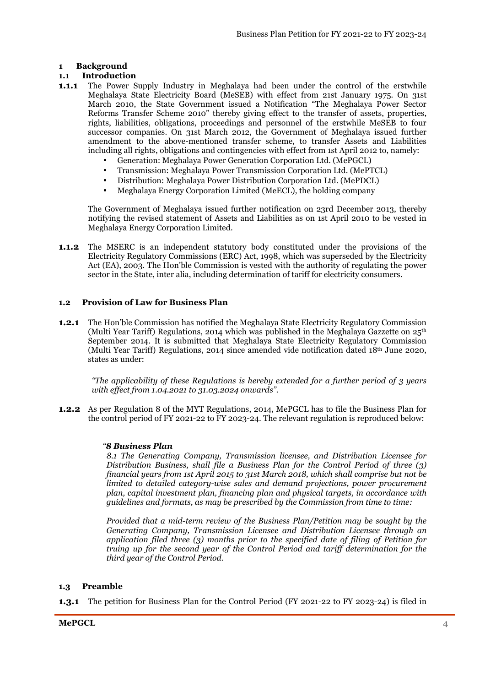## **1 Background**

## **1.1 Introduction**

- **1.1.1** The Power Supply Industry in Meghalaya had been under the control of the erstwhile Meghalaya State Electricity Board (MeSEB) with effect from 21st January 1975. On 31st March 2010, the State Government issued a Notification "The Meghalaya Power Sector Reforms Transfer Scheme 2010" thereby giving effect to the transfer of assets, properties, rights, liabilities, obligations, proceedings and personnel of the erstwhile MeSEB to four successor companies. On 31st March 2012, the Government of Meghalaya issued further amendment to the above-mentioned transfer scheme, to transfer Assets and Liabilities including all rights, obligations and contingencies with effect from 1st April 2012 to, namely:
	- Generation: Meghalaya Power Generation Corporation Ltd. (MePGCL)
	- Transmission: Meghalaya Power Transmission Corporation Ltd. (MePTCL)
	- Distribution: Meghalaya Power Distribution Corporation Ltd. (MePDCL)
	- Meghalaya Energy Corporation Limited (MeECL), the holding company

The Government of Meghalaya issued further notification on 23rd December 2013, thereby notifying the revised statement of Assets and Liabilities as on 1st April 2010 to be vested in Meghalaya Energy Corporation Limited.

**1.1.2** The MSERC is an independent statutory body constituted under the provisions of the Electricity Regulatory Commissions (ERC) Act, 1998, which was superseded by the Electricity Act (EA), 2003. The Hon'ble Commission is vested with the authority of regulating the power sector in the State, inter alia, including determination of tariff for electricity consumers.

## **1.2 Provision of Law for Business Plan**

**1.2.1** The Hon'ble Commission has notified the Meghalaya State Electricity Regulatory Commission (Multi Year Tariff) Regulations, 2014 which was published in the Meghalaya Gazzette on  $25<sup>th</sup>$ September 2014. It is submitted that Meghalaya State Electricity Regulatory Commission (Multi Year Tariff) Regulations, 2014 since amended vide notification dated 18th June 2020, states as under:

*"The applicability of these Regulations is hereby extended for a further period of 3 years with effect from 1.04.2021 to 31.03.2024 onwards".* 

**1.2.2** As per Regulation 8 of the MYT Regulations, 2014, MePGCL has to file the Business Plan for the control period of FY 2021-22 to FY 2023-24. The relevant regulation is reproduced below:

## *"8 Business Plan*

*8.1 The Generating Company, Transmission licensee, and Distribution Licensee for Distribution Business, shall file a Business Plan for the Control Period of three (3) financial years from 1st April 2015 to 31st March 2018, which shall comprise but not be limited to detailed category-wise sales and demand projections, power procurement plan, capital investment plan, financing plan and physical targets, in accordance with guidelines and formats, as may be prescribed by the Commission from time to time:* 

*Provided that a mid-term review of the Business Plan/Petition may be sought by the Generating Company, Transmission Licensee and Distribution Licensee through an application filed three (3) months prior to the specified date of filing of Petition for truing up for the second year of the Control Period and tariff determination for the third year of the Control Period.* 

## **1.3 Preamble**

**1.3.1** The petition for Business Plan for the Control Period (FY 2021-22 to FY 2023-24) is filed in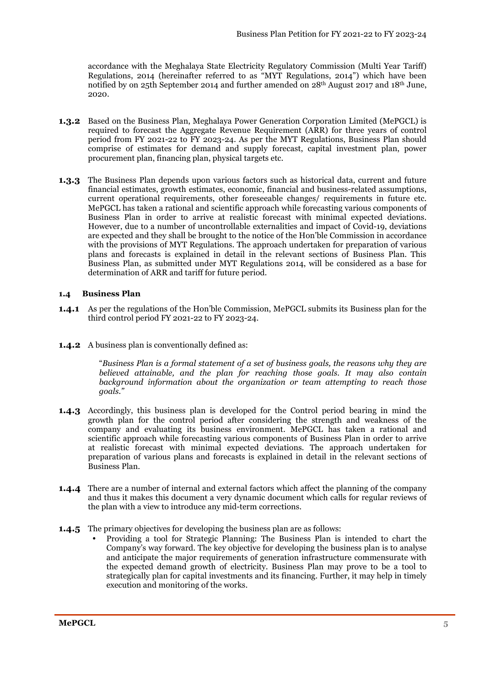accordance with the Meghalaya State Electricity Regulatory Commission (Multi Year Tariff) Regulations, 2014 (hereinafter referred to as "MYT Regulations, 2014") which have been notified by on 25th September 2014 and further amended on 28th August 2017 and 18th June, 2020.

- **1.3.2** Based on the Business Plan, Meghalaya Power Generation Corporation Limited (MePGCL) is required to forecast the Aggregate Revenue Requirement (ARR) for three years of control period from FY 2021-22 to FY 2023-24. As per the MYT Regulations, Business Plan should comprise of estimates for demand and supply forecast, capital investment plan, power procurement plan, financing plan, physical targets etc.
- **1.3.3** The Business Plan depends upon various factors such as historical data, current and future financial estimates, growth estimates, economic, financial and business-related assumptions, current operational requirements, other foreseeable changes/ requirements in future etc. MePGCL has taken a rational and scientific approach while forecasting various components of Business Plan in order to arrive at realistic forecast with minimal expected deviations. However, due to a number of uncontrollable externalities and impact of Covid-19, deviations are expected and they shall be brought to the notice of the Hon'ble Commission in accordance with the provisions of MYT Regulations. The approach undertaken for preparation of various plans and forecasts is explained in detail in the relevant sections of Business Plan. This Business Plan, as submitted under MYT Regulations 2014, will be considered as a base for determination of ARR and tariff for future period.

#### **1.4 Business Plan**

- **1.4.1** As per the regulations of the Hon'ble Commission, MePGCL submits its Business plan for the third control period FY 2021-22 to FY 2023-24.
- **1.4.2** A business plan is conventionally defined as:

"*Business Plan is a formal statement of a set of business goals, the reasons why they are believed attainable, and the plan for reaching those goals. It may also contain background information about the organization or team attempting to reach those goals."* 

- **1.4.3** Accordingly, this business plan is developed for the Control period bearing in mind the growth plan for the control period after considering the strength and weakness of the company and evaluating its business environment. MePGCL has taken a rational and scientific approach while forecasting various components of Business Plan in order to arrive at realistic forecast with minimal expected deviations. The approach undertaken for preparation of various plans and forecasts is explained in detail in the relevant sections of Business Plan.
- **1.4.4** There are a number of internal and external factors which affect the planning of the company and thus it makes this document a very dynamic document which calls for regular reviews of the plan with a view to introduce any mid-term corrections.
- **1.4.5** The primary objectives for developing the business plan are as follows:
	- Providing a tool for Strategic Planning: The Business Plan is intended to chart the Company's way forward. The key objective for developing the business plan is to analyse and anticipate the major requirements of generation infrastructure commensurate with the expected demand growth of electricity. Business Plan may prove to be a tool to strategically plan for capital investments and its financing. Further, it may help in timely execution and monitoring of the works.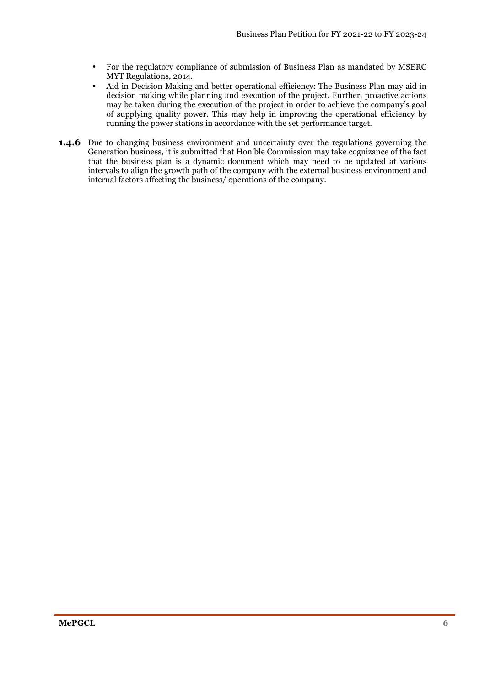- For the regulatory compliance of submission of Business Plan as mandated by MSERC MYT Regulations, 2014.
- Aid in Decision Making and better operational efficiency: The Business Plan may aid in decision making while planning and execution of the project. Further, proactive actions may be taken during the execution of the project in order to achieve the company's goal of supplying quality power. This may help in improving the operational efficiency by running the power stations in accordance with the set performance target.
- **1.4.6** Due to changing business environment and uncertainty over the regulations governing the Generation business, it is submitted that Hon'ble Commission may take cognizance of the fact that the business plan is a dynamic document which may need to be updated at various intervals to align the growth path of the company with the external business environment and internal factors affecting the business/ operations of the company.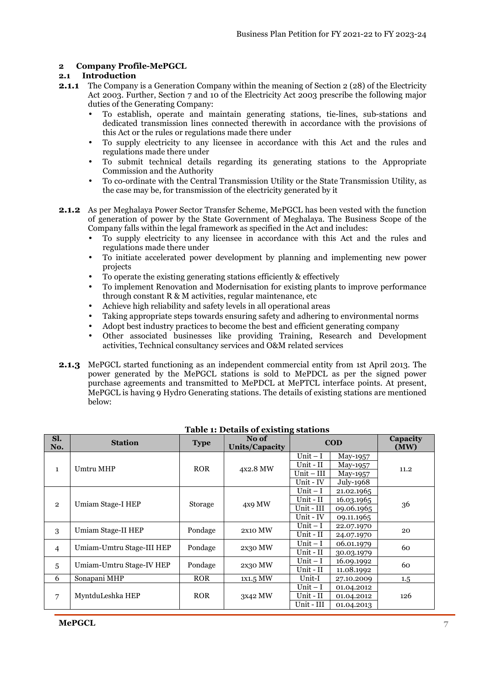#### **2 Company Profile-MePGCL**

#### **2.1 Introduction**

- **2.1.1** The Company is a Generation Company within the meaning of Section 2 (28) of the Electricity Act 2003. Further, Section 7 and 10 of the Electricity Act 2003 prescribe the following major duties of the Generating Company:
	- To establish, operate and maintain generating stations, tie-lines, sub-stations and dedicated transmission lines connected therewith in accordance with the provisions of this Act or the rules or regulations made there under
	- To supply electricity to any licensee in accordance with this Act and the rules and regulations made there under
	- To submit technical details regarding its generating stations to the Appropriate Commission and the Authority
	- To co-ordinate with the Central Transmission Utility or the State Transmission Utility, as the case may be, for transmission of the electricity generated by it
- **2.1.2** As per Meghalaya Power Sector Transfer Scheme, MePGCL has been vested with the function of generation of power by the State Government of Meghalaya. The Business Scope of the Company falls within the legal framework as specified in the Act and includes:
	- To supply electricity to any licensee in accordance with this Act and the rules and regulations made there under
	- To initiate accelerated power development by planning and implementing new power projects
	- To operate the existing generating stations efficiently & effectively
	- To implement Renovation and Modernisation for existing plants to improve performance through constant R & M activities, regular maintenance, etc
	- Achieve high reliability and safety levels in all operational areas
	- Taking appropriate steps towards ensuring safety and adhering to environmental norms
	- Adopt best industry practices to become the best and efficient generating company
	- Other associated businesses like providing Training, Research and Development activities, Technical consultancy services and O&M related services
- **2.1.3** MePGCL started functioning as an independent commercial entity from 1st April 2013. The power generated by the MePGCL stations is sold to MePDCL as per the signed power purchase agreements and transmitted to MePDCL at MePTCL interface points. At present, MePGCL is having 9 Hydro Generating stations. The details of existing stations are mentioned below:

| Sl.<br>No.     | <b>Station</b>            | <b>Type</b>    | No of<br><b>Units/Capacity</b> | .,           | $\bf{COD}$ | Capacity<br>(MW) |  |
|----------------|---------------------------|----------------|--------------------------------|--------------|------------|------------------|--|
|                | Umtru MHP                 |                |                                | Unit $-I$    | May-1957   |                  |  |
| $\mathbf{1}$   |                           | <b>ROR</b>     | 4x2.8 MW                       | Unit - II    | May-1957   |                  |  |
|                |                           |                |                                | $Unit - III$ | May-1957   | 11.2             |  |
|                |                           |                |                                | Unit - IV    | July-1968  |                  |  |
|                |                           |                |                                | Unit $-1$    | 21.02.1965 |                  |  |
| $\overline{2}$ | Umiam Stage-I HEP         | <b>Storage</b> | 4x9 MW                         | Unit - II    | 16.03.1965 | 36               |  |
|                |                           |                |                                | Unit - III   | 09.06.1965 |                  |  |
|                |                           |                |                                | Unit - IV    | 09.11.1965 |                  |  |
|                | Umiam Stage-II HEP        | Pondage        | 2X10 MW                        | Unit $-I$    | 22.07.1970 | 20               |  |
| 3              |                           |                |                                | Unit - II    | 24.07.1970 |                  |  |
|                | Umiam-Umtru Stage-III HEP | Pondage        | 2x30 MW                        | Unit $-I$    | 06.01.1979 | 60               |  |
| $\overline{4}$ |                           |                |                                | Unit - II    | 30.03.1979 |                  |  |
|                | Umiam-Umtru Stage-IV HEP  | Pondage        |                                | Unit $-I$    | 16.09.1992 | 60               |  |
| 5              |                           |                | 2x30 MW                        | Unit - II    | 11.08.1992 |                  |  |
| 6              | Sonapani MHP              | <b>ROR</b>     | 1x1.5 MW                       | Unit-I       | 27.10.2009 | $1.5\,$          |  |
|                |                           |                | 3x42 MW                        | Unit $-I$    | 01.04.2012 |                  |  |
| 7              | MyntduLeshka HEP          | <b>ROR</b>     |                                | Unit - II    | 01.04.2012 | 126              |  |
|                |                           |                |                                |              | Unit - III | 01.04.2013       |  |

#### **Table 1: Details of existing stations**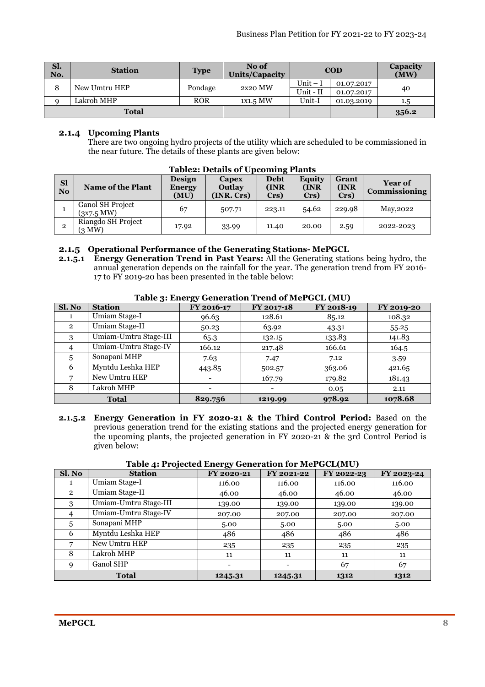| Sl.<br>No. | <b>Station</b> | <b>Type</b> | No of<br>Units/Capacity |            | <b>COD</b> | <b>Capacity</b><br>(MW) |
|------------|----------------|-------------|-------------------------|------------|------------|-------------------------|
| 8          | New Umtru HEP  | Pondage     | 2x20 MW                 | $Unit - I$ | 01.07.2017 | 40                      |
|            |                |             |                         | Unit - II  | 01.07.2017 |                         |
| $\Omega$   | Lakroh MHP     | <b>ROR</b>  | $1x1.5$ MW              | Unit-I     | 01.03.2019 | 1.5                     |
|            | <b>Total</b>   |             |                         |            | 356.2      |                         |

## **2.1.4 Upcoming Plants**

There are two ongoing hydro projects of the utility which are scheduled to be commissioned in the near future. The details of these plants are given below:

| <b>Sl</b><br>N <sub>0</sub> | <b>Name of the Plant</b>                 | <b>Design</b><br><b>Energy</b><br>(MU) | Capex<br><b>Outlay</b><br>(INR. Crs) | <b>Debt</b><br>(INR<br>Crs) | Equity<br>(INR)<br>$Crs$ ) | Grant<br>(INR<br>Crs) | <b>Year of</b><br><b>Commissioning</b> |  |
|-----------------------------|------------------------------------------|----------------------------------------|--------------------------------------|-----------------------------|----------------------------|-----------------------|----------------------------------------|--|
|                             | Ganol SH Project<br>$(3x7.5 \text{ MW})$ | 67                                     | 507.71                               | 223.11                      | 54.62                      | 229.98                | May, 2022                              |  |
| 2                           | Riangdo SH Project<br>(3 MW)             | 17.92                                  | 33.99                                | 11.40                       | 20.00                      | 2.59                  | 2022-2023                              |  |

#### **Table2: Details of Upcoming Plants**

#### **2.1.5 Operational Performance of the Generating Stations- MePGCL**

**2.1.5.1 Energy Generation Trend in Past Years:** All the Generating stations being hydro, the annual generation depends on the rainfall for the year. The generation trend from FY 2016- 17 to FY 2019-20 has been presented in the table below:

| Sl. No         | <b>Station</b>        | FY 2016-17 | FY 2017-18 | FY 2018-19 | FY 2019-20 |
|----------------|-----------------------|------------|------------|------------|------------|
| $\mathbf{I}$   | Umiam Stage-I         | 96.63      | 128.61     | 85.12      | 108.32     |
| $\overline{2}$ | Umiam Stage-II        | 50.23      | 63.92      | 43.31      | 55.25      |
| 3              | Umiam-Umtru Stage-III | 65.3       | 132.15     | 133.83     | 141.83     |
| 4              | Umiam-Umtru Stage-IV  | 166.12     | 217.48     | 166.61     | 164.5      |
| 5              | Sonapani MHP          | 7.63       | 7.47       | 7.12       | 3.59       |
| 6              | Myntdu Leshka HEP     | 443.85     | 502.57     | 363.06     | 421.65     |
|                | New Umtru HEP         |            | 167.79     | 179.82     | 181.43     |
| 8              | Lakroh MHP            |            |            | 0.05       | 2.11       |
|                | <b>Total</b>          | 829.756    | 1219.99    | 978.92     | 1078.68    |

#### **Table 3: Energy Generation Trend of MePGCL (MU)**

**2.1.5.2 Energy Generation in FY 2020-21 & the Third Control Period:** Based on the previous generation trend for the existing stations and the projected energy generation for the upcoming plants, the projected generation in FY 2020-21 & the 3rd Control Period is given below:

| Sl. No         | <b>Station</b>        | FY 2020-21 | FY 2021-22 | FY 2022-23 | FY 2023-24 |
|----------------|-----------------------|------------|------------|------------|------------|
| 1              | Umiam Stage-I         | 116.00     | 116.00     | 116.00     | 116.00     |
| $\overline{2}$ | Umiam Stage-II        | 46.00      | 46.00      | 46.00      | 46.00      |
| 3              | Umiam-Umtru Stage-III | 139.00     | 139.00     | 139.00     | 139.00     |
| $\overline{4}$ | Umiam-Umtru Stage-IV  | 207.00     | 207.00     | 207.00     | 207.00     |
| 5              | Sonapani MHP          | 5.00       | 5.00       | 5.00       | 5.00       |
| 6              | Myntdu Leshka HEP     | 486        | 486        | 486        | 486        |
| 7              | New Umtru HEP         | 235        | 235        | 235        | 235        |
| 8              | Lakroh MHP            | 11         | 11         | 11         | 11         |
| 9              | Ganol SHP             |            |            | 67         | 67         |
| <b>Total</b>   |                       | 1245.31    | 1245.31    | 1312       | 1312       |

#### **Table 4: Projected Energy Generation for MePGCL(MU)**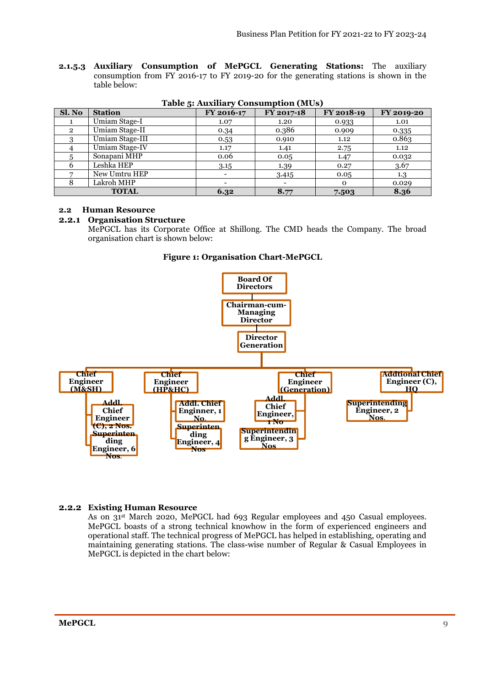**2.1.5.3 Auxiliary Consumption of MePGCL Generating Stations:** The auxiliary consumption from FY 2016-17 to FY 2019-20 for the generating stations is shown in the table below:

| Sl. No         | <b>Station</b>  | FY 2016-17 | FY 2017-18 | FY 2018-19 | FY 2019-20 |
|----------------|-----------------|------------|------------|------------|------------|
|                | Umiam Stage-I   | 1.07       | 1.20       | 0.933      | 1.01       |
| $\overline{2}$ | Umiam Stage-II  | 0.34       | 0.386      | 0.909      | 0.335      |
| റ              | Umiam Stage-III | 0.53       | 0.910      | 1.12       | 0.863      |
|                | Umiam Stage-IV  | 1.17       | 1.41       | 2.75       | 1.12       |
|                | Sonapani MHP    | 0.06       | 0.05       | 1.47       | 0.032      |
| 6              | Leshka HEP      | 3.15       | 1.39       | 0.27       | 3.67       |
|                | New Umtru HEP   |            | 3.415      | 0.05       | 1.3        |
| 8              | Lakroh MHP      |            |            | $\Omega$   | 0.029      |
| <b>TOTAL</b>   |                 | 6.32       | 8.77       | 7.503      | 8.36       |

**Table 5: Auxiliary Consumption (MUs)** 

## **2.2 Human Resource**

#### **2.2.1 Organisation Structure**

MePGCL has its Corporate Office at Shillong. The CMD heads the Company. The broad organisation chart is shown below:





## **2.2.2 Existing Human Resource**

As on 31st March 2020, MePGCL had 693 Regular employees and 450 Casual employees. MePGCL boasts of a strong technical knowhow in the form of experienced engineers and operational staff. The technical progress of MePGCL has helped in establishing, operating and maintaining generating stations. The class-wise number of Regular & Casual Employees in MePGCL is depicted in the chart below: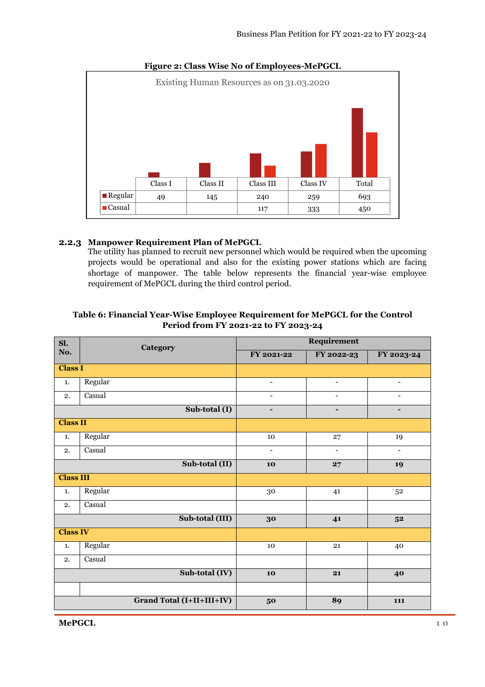

#### **Figure 2: Class Wise No of Employees-MePGCL**

## **2.2.3 Manpower Requirement Plan of MePGCL**

The utility has planned to recruit new personnel which would be required when the upcoming projects would be operational and also for the existing power stations which are facing shortage of manpower. The table below represents the financial year-wise employee requirement of MePGCL during the third control period.

| Sl.              | Category                         | Requirement              |                          |                          |  |
|------------------|----------------------------------|--------------------------|--------------------------|--------------------------|--|
| No.              |                                  | FY 2021-22               | FY 2022-23               | FY 2023-24               |  |
| <b>Class I</b>   |                                  |                          |                          |                          |  |
| 1.               | Regular                          | $\overline{\phantom{a}}$ | $\overline{\phantom{a}}$ | $\overline{\phantom{a}}$ |  |
| 2.               | Casual                           | $\overline{\phantom{a}}$ | $\overline{\phantom{a}}$ | $\overline{\phantom{a}}$ |  |
|                  | Sub-total (I)                    | $\blacksquare$           | $\blacksquare$           | $\overline{\phantom{a}}$ |  |
| <b>Class II</b>  |                                  |                          |                          |                          |  |
| 1.               | Regular                          | 10                       | 27                       | 19                       |  |
| 2.               | Casual                           | $\overline{\phantom{a}}$ | -                        | ٠                        |  |
|                  | Sub-total (II)                   | 10                       | 27                       | 19                       |  |
| <b>Class III</b> |                                  |                          |                          |                          |  |
| 1.               | Regular                          | 30                       | 41                       | 52                       |  |
| 2.               | Casual                           |                          |                          |                          |  |
|                  | Sub-total (III)                  | 30                       | 41                       | 5 <sup>2</sup>           |  |
| <b>Class IV</b>  |                                  |                          |                          |                          |  |
| 1.               | Regular                          | 10                       | 21                       | 40                       |  |
| 2.               | Casual                           |                          |                          |                          |  |
|                  | Sub-total (IV)                   | 10                       | 21                       | 40                       |  |
|                  |                                  |                          |                          |                          |  |
|                  | <b>Grand Total (I+II+III+IV)</b> | 50                       | 89                       | 111                      |  |

## **Table 6: Financial Year-Wise Employee Requirement for MePGCL for the Control Period from FY 2021-22 to FY 2023-24**

**MePGCL** 1 0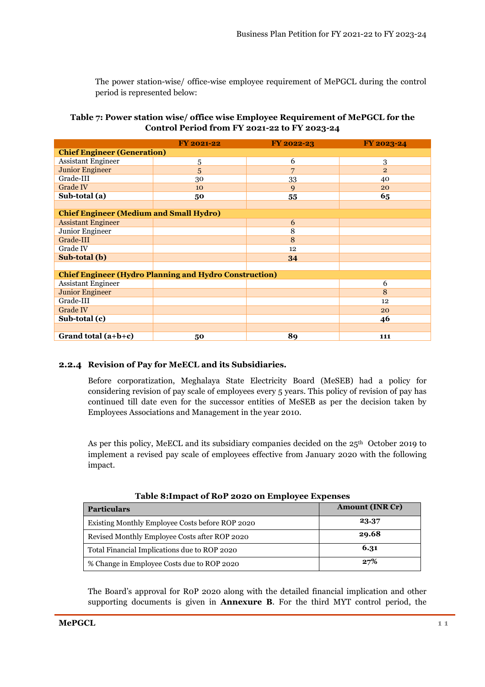The power station-wise/ office-wise employee requirement of MePGCL during the control period is represented below:

## **Table 7: Power station wise/ office wise Employee Requirement of MePGCL for the Control Period from FY 2021-22 to FY 2023-24**

|                                                               | <b>FY 2021-22</b> | FY 2022-23 | FY 2023-24     |  |
|---------------------------------------------------------------|-------------------|------------|----------------|--|
| <b>Chief Engineer (Generation)</b>                            |                   |            |                |  |
| <b>Assistant Engineer</b>                                     | 5                 | 6          | 3              |  |
| <b>Junior Engineer</b>                                        | 5                 | 7          | $\overline{2}$ |  |
| Grade-III                                                     | 30                | 33         | 40             |  |
| <b>Grade IV</b>                                               | 10                | 9          | 20             |  |
| Sub-total (a)                                                 | 50                | 55         | 65             |  |
|                                                               |                   |            |                |  |
| <b>Chief Engineer (Medium and Small Hydro)</b>                |                   |            |                |  |
| <b>Assistant Engineer</b>                                     |                   | 6          |                |  |
| Junior Engineer                                               |                   | 8          |                |  |
| Grade-III                                                     |                   | 8          |                |  |
| Grade IV                                                      |                   | 12         |                |  |
| Sub-total (b)                                                 |                   | 34         |                |  |
|                                                               |                   |            |                |  |
| <b>Chief Engineer (Hydro Planning and Hydro Construction)</b> |                   |            |                |  |
| <b>Assistant Engineer</b>                                     |                   |            | 6              |  |
| <b>Junior Engineer</b>                                        |                   |            | 8              |  |
| Grade-III                                                     |                   |            | 12             |  |
| Grade IV                                                      |                   |            | 20             |  |
| Sub-total (c)                                                 |                   |            | 46             |  |
|                                                               |                   |            |                |  |
| Grand total $(a+b+c)$                                         | 50                | 89         | 111            |  |

## **2.2.4 Revision of Pay for MeECL and its Subsidiaries.**

Before corporatization, Meghalaya State Electricity Board (MeSEB) had a policy for considering revision of pay scale of employees every 5 years. This policy of revision of pay has continued till date even for the successor entities of MeSEB as per the decision taken by Employees Associations and Management in the year 2010.

As per this policy, MeECL and its subsidiary companies decided on the 25th October 2019 to implement a revised pay scale of employees effective from January 2020 with the following impact.

| <b>Particulars</b>                              | <b>Amount (INR Cr)</b> |
|-------------------------------------------------|------------------------|
| Existing Monthly Employee Costs before ROP 2020 | 23.37                  |
| Revised Monthly Employee Costs after ROP 2020   | 29.68                  |
| Total Financial Implications due to ROP 2020    | 6.31                   |
| % Change in Employee Costs due to ROP 2020      | 27%                    |

## **Table 8:Impact of RoP 2020 on Employee Expenses**

The Board's approval for R0P 2020 along with the detailed financial implication and other supporting documents is given in **Annexure B**. For the third MYT control period, the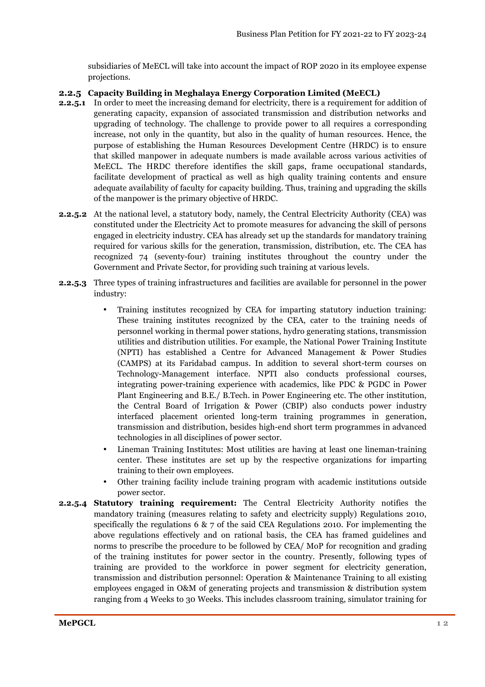subsidiaries of MeECL will take into account the impact of ROP 2020 in its employee expense projections.

#### **2.2.5 Capacity Building in Meghalaya Energy Corporation Limited (MeECL)**

- **2.2.5.1** In order to meet the increasing demand for electricity, there is a requirement for addition of generating capacity, expansion of associated transmission and distribution networks and upgrading of technology. The challenge to provide power to all requires a corresponding increase, not only in the quantity, but also in the quality of human resources. Hence, the purpose of establishing the Human Resources Development Centre (HRDC) is to ensure that skilled manpower in adequate numbers is made available across various activities of MeECL. The HRDC therefore identifies the skill gaps, frame occupational standards, facilitate development of practical as well as high quality training contents and ensure adequate availability of faculty for capacity building. Thus, training and upgrading the skills of the manpower is the primary objective of HRDC.
- **2.2.5.2** At the national level, a statutory body, namely, the Central Electricity Authority (CEA) was constituted under the Electricity Act to promote measures for advancing the skill of persons engaged in electricity industry. CEA has already set up the standards for mandatory training required for various skills for the generation, transmission, distribution, etc. The CEA has recognized 74 (seventy-four) training institutes throughout the country under the Government and Private Sector, for providing such training at various levels.
- **2.2.5.3** Three types of training infrastructures and facilities are available for personnel in the power industry:
	- Training institutes recognized by CEA for imparting statutory induction training: These training institutes recognized by the CEA, cater to the training needs of personnel working in thermal power stations, hydro generating stations, transmission utilities and distribution utilities. For example, the National Power Training Institute (NPTI) has established a Centre for Advanced Management & Power Studies (CAMPS) at its Faridabad campus. In addition to several short-term courses on Technology-Management interface. NPTI also conducts professional courses, integrating power-training experience with academics, like PDC & PGDC in Power Plant Engineering and B.E./ B.Tech. in Power Engineering etc. The other institution, the Central Board of Irrigation & Power (CBIP) also conducts power industry interfaced placement oriented long-term training programmes in generation, transmission and distribution, besides high-end short term programmes in advanced technologies in all disciplines of power sector.
	- Lineman Training Institutes: Most utilities are having at least one lineman-training center. These institutes are set up by the respective organizations for imparting training to their own employees.
	- Other training facility include training program with academic institutions outside power sector.
- **2.2.5.4 Statutory training requirement:** The Central Electricity Authority notifies the mandatory training (measures relating to safety and electricity supply) Regulations 2010, specifically the regulations 6  $\& \, 7$  of the said CEA Regulations 2010. For implementing the above regulations effectively and on rational basis, the CEA has framed guidelines and norms to prescribe the procedure to be followed by CEA/ MoP for recognition and grading of the training institutes for power sector in the country. Presently, following types of training are provided to the workforce in power segment for electricity generation, transmission and distribution personnel: Operation & Maintenance Training to all existing employees engaged in O&M of generating projects and transmission & distribution system ranging from 4 Weeks to 30 Weeks. This includes classroom training, simulator training for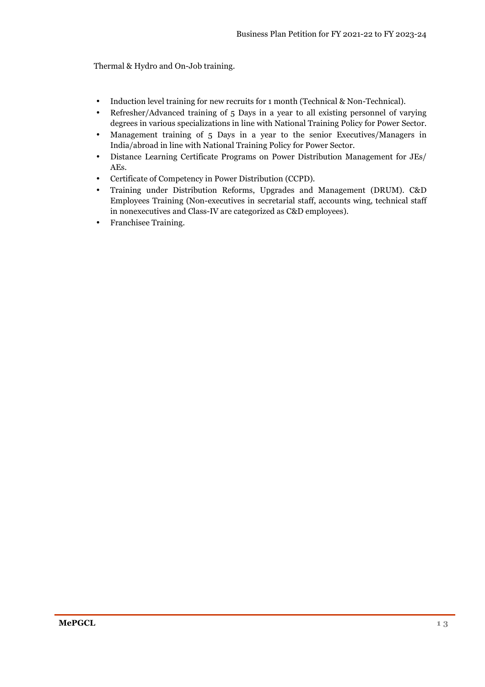Thermal & Hydro and On-Job training.

- Induction level training for new recruits for 1 month (Technical & Non-Technical).
- Refresher/Advanced training of 5 Days in a year to all existing personnel of varying degrees in various specializations in line with National Training Policy for Power Sector.
- Management training of 5 Days in a year to the senior Executives/Managers in India/abroad in line with National Training Policy for Power Sector.
- Distance Learning Certificate Programs on Power Distribution Management for JEs/ AEs.
- Certificate of Competency in Power Distribution (CCPD).
- Training under Distribution Reforms, Upgrades and Management (DRUM). C&D Employees Training (Non-executives in secretarial staff, accounts wing, technical staff in nonexecutives and Class-IV are categorized as C&D employees).
- Franchisee Training.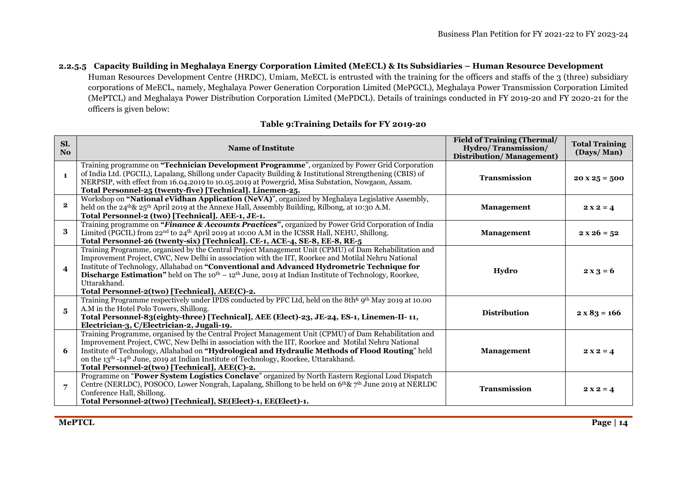# **2.2.5.5 Capacity Building in Meghalaya Energy Corporation Limited (MeECL) & Its Subsidiaries – Human Resource Development**

Human Resources Development Centre (HRDC), Umiam, MeECL is entrusted with the training for the officers and staffs of the 3 (three) subsidiary corporations of MeECL, namely, Meghalaya Power Generation Corporation Limited (MePGCL), Meghalaya Power Transmission Corporation Limited (MePTCL) and Meghalaya Power Distribution Corporation Limited (MePDCL). Details of trainings conducted in FY 2019-20 and FY 2020-21 for the officers is given below:

## **Table 9:Training Details for FY 2019-20**

| Sl.<br>No.              | Name of Institute                                                                                                                                                                                                                                                                                                                                                                                                                                                                                                   | <b>Field of Training (Thermal/</b><br>Hydro/Transmission/<br><b>Distribution/Management)</b> | <b>Total Training</b><br>(Days/Man) |
|-------------------------|---------------------------------------------------------------------------------------------------------------------------------------------------------------------------------------------------------------------------------------------------------------------------------------------------------------------------------------------------------------------------------------------------------------------------------------------------------------------------------------------------------------------|----------------------------------------------------------------------------------------------|-------------------------------------|
| $\mathbf{1}$            | Training programme on "Technician Development Programme", organized by Power Grid Corporation<br>of India Ltd. (PGCIL), Lapalang, Shillong under Capacity Building & Institutional Strengthening (CBIS) of<br>NERPSIP, with effect from 16.04.2019 to 10.05.2019 at Powergrid, Misa Substation, Nowgaon, Assam.<br>Total Personnel-25 (twenty-five) [Technical]. Linemen-25.                                                                                                                                        | <b>Transmission</b>                                                                          | $20 \times 25 = 500$                |
| $\mathbf{2}$            | Workshop on "National eVidhan Application (NeVA)", organized by Meghalaya Legislative Assembly,<br>held on the $24^{\text{th}}\& 25^{\text{th}}$ April 2019 at the Annexe Hall, Assembly Building, Rilbong, at 10:30 A.M.<br>Total Personnel-2 (two) [Technical]. AEE-1, JE-1.                                                                                                                                                                                                                                      | <b>Management</b>                                                                            | $2x2 = 4$                           |
| 3                       | Training programme on "Finance & Accounts Practices", organized by Power Grid Corporation of India<br>Limited (PGCIL) from 22 <sup>nd</sup> to 24 <sup>th</sup> April 2019 at 10:00 A.M in the ICSSR Hall, NEHU, Shillong.<br>Total Personnel-26 (twenty-six) [Technical]. CE-1, ACE-4, SE-8, EE-8, RE-5                                                                                                                                                                                                            | <b>Management</b>                                                                            | $2 x 26 = 52$                       |
| $\overline{\mathbf{4}}$ | Training Programme, organised by the Central Project Management Unit (CPMU) of Dam Rehabilitation and<br>Improvement Project, CWC, New Delhi in association with the IIT, Roorkee and Motilal Nehru National<br>Institute of Technology, Allahabad on "Conventional and Advanced Hydrometric Technique for<br><b>Discharge Estimation</b> " held on The 10 <sup>th</sup> – 12 <sup>th</sup> June, 2019 at Indian Institute of Technology, Roorkee,<br>Uttarakhand.<br>Total Personnel-2(two) [Technical], AEE(C)-2. | Hydro                                                                                        | $2x3 = 6$                           |
| 5                       | Training Programme respectively under IPDS conducted by PFC Ltd, held on the 8th <sup>&amp;</sup> 9 <sup>th</sup> May 2019 at 10.00<br>A.M in the Hotel Polo Towers, Shillong.<br>Total Personnel-83(eighty-three) [Technical], AEE (Elect)-23, JE-24, ES-1, Linemen-II-11,<br>Electrician-3, C/Electrician-2, Jugali-19.                                                                                                                                                                                           | <b>Distribution</b>                                                                          | $2 \times 83 = 166$                 |
| 6                       | Training Programme, organised by the Central Project Management Unit (CPMU) of Dam Rehabilitation and<br>Improvement Project, CWC, New Delhi in association with the IIT, Roorkee and Motilal Nehru National<br>Institute of Technology, Allahabad on "Hydrological and Hydraulic Methods of Flood Routing" held<br>on the 13 <sup>th</sup> -14 <sup>th</sup> June, 2019 at Indian Institute of Technology, Roorkee, Uttarakhand.<br>Total Personnel-2(two) [Technical], AEE(C)-2.                                  | <b>Management</b>                                                                            | $2x2 = 4$                           |
| $\overline{7}$          | Programme on "Power System Logistics Conclave" organized by North Eastern Regional Load Dispatch<br>Centre (NERLDC), POSOCO, Lower Nongrah, Lapalang, Shillong to be held on 6 <sup>th</sup> & 7 <sup>th</sup> June 2019 at NERLDC<br>Conference Hall, Shillong.<br>Total Personnel-2(two) [Technical], SE(Elect)-1, EE(Elect)-1.                                                                                                                                                                                   | Transmission                                                                                 | $2x2 = 4$                           |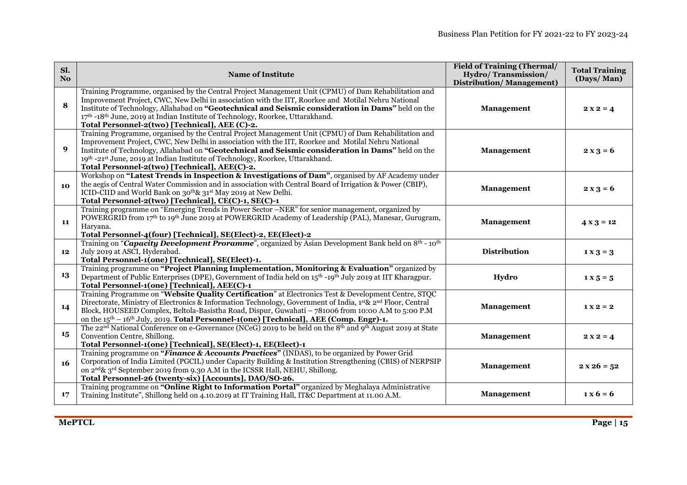| Sl.<br>No.       | <b>Name of Institute</b>                                                                                                                                                                                                                                                                                                                                                                                                                               | <b>Field of Training (Thermal/</b><br>Hydro/Transmission/<br><b>Distribution/Management)</b> | <b>Total Training</b><br>(Days/Man)         |
|------------------|--------------------------------------------------------------------------------------------------------------------------------------------------------------------------------------------------------------------------------------------------------------------------------------------------------------------------------------------------------------------------------------------------------------------------------------------------------|----------------------------------------------------------------------------------------------|---------------------------------------------|
| 8                | Training Programme, organised by the Central Project Management Unit (CPMU) of Dam Rehabilitation and<br>Improvement Project, CWC, New Delhi in association with the IIT, Roorkee and Motilal Nehru National<br>Institute of Technology, Allahabad on "Geotechnical and Seismic consideration in Dams" held on the<br>17th -18th June, 2019 at Indian Institute of Technology, Roorkee, Uttarakhand.<br>Total Personnel-2(two) [Technical], AEE (C)-2. | Management                                                                                   | $2x2 = 4$                                   |
| $\boldsymbol{q}$ | Training Programme, organised by the Central Project Management Unit (CPMU) of Dam Rehabilitation and<br>Improvement Project, CWC, New Delhi in association with the IIT, Roorkee and Motilal Nehru National<br>Institute of Technology, Allahabad on "Geotechnical and Seismic consideration in Dams" held on the<br>19th -21st June, 2019 at Indian Institute of Technology, Roorkee, Uttarakhand.<br>Total Personnel-2(two) [Technical], AEE(C)-2.  | Management                                                                                   | $2 x 3 = 6$                                 |
| 10               | Workshop on "Latest Trends in Inspection & Investigations of Dam", organised by AF Academy under<br>the aegis of Central Water Commission and in association with Central Board of Irrigation & Power (CBIP),<br>ICID-CIID and World Bank on 30 <sup>th</sup> & 31 <sup>st</sup> May 2019 at New Delhi.<br>Total Personnel-2(two) [Technical], CE(C)-1, SE(C)-1                                                                                        | Management                                                                                   | $2x3 = 6$                                   |
| 11               | Training programme on "Emerging Trends in Power Sector –NER" for senior management, organized by<br>POWERGRID from 17th to 19th June 2019 at POWERGRID Academy of Leadership (PAL), Manesar, Gurugram,<br>Haryana.<br>Total Personnel-4(four) [Technical], SE(Elect)-2, EE(Elect)-2                                                                                                                                                                    | <b>Management</b>                                                                            | $4 \times 3 = 12$                           |
| 12               | Training on "Capacity Development Proramme", organized by Asian Development Bank held on 8 <sup>th</sup> - 10 <sup>th</sup><br>July 2019 at ASCI, Hyderabad.<br>Total Personnel-1(one) [Technical], SE(Elect)-1.                                                                                                                                                                                                                                       | <b>Distribution</b>                                                                          | $1 \times 3 = 3$                            |
| 13               | Training programme on "Project Planning Implementation, Monitoring & Evaluation" organized by<br>Department of Public Enterprises (DPE), Government of India held on 15 <sup>th</sup> -19 <sup>th</sup> July 2019 at IIT Kharagpur.<br>Total Personnel-1(one) [Technical], AEE(C)-1                                                                                                                                                                    | Hydro                                                                                        | $1 \times 5 = 5$                            |
| 14               | Training Programme on "Website Quality Certification" at Electronics Test & Development Centre, STQC<br>Directorate, Ministry of Electronics & Information Technology, Government of India, 1st & 2nd Floor, Central<br>Block, HOUSEED Complex, Beltola-Basistha Road, Dispur, Guwahati – 781006 from 10:00 A.M to 5:00 P.M<br>on the $15th - 16th$ July, 2019. Total Personnel-1(one) [Technical], AEE (Comp. Engr)-1.                                | Management                                                                                   | $1 X 2 = 2$                                 |
| 15               | The 22 <sup>nd</sup> National Conference on e-Governance (NCeG) 2019 to be held on the 8 <sup>th</sup> and 9 <sup>th</sup> August 2019 at State<br>Convention Centre, Shillong.<br>Total Personnel-1(one) [Technical], SE(Elect)-1, EE(Elect)-1                                                                                                                                                                                                        | Management                                                                                   | $2x2 = 4$                                   |
| 16               | Training programme on "Finance & Accounts Practices" (INDAS), to be organized by Power Grid<br>Corporation of India Limited (PGCIL) under Capacity Building & Institution Strengthening (CBIS) of NERPSIP<br>on 2 <sup>nd</sup> & 3 <sup>rd</sup> September 2019 from 9.30 A.M in the ICSSR Hall, NEHU, Shillong.<br>Total Personnel-26 (twenty-six) [Accounts], DAO/SO-26.                                                                            | Management                                                                                   | $2 x 26 = 52$                               |
| 17               | Training programme on "Online Right to Information Portal" organized by Meghalaya Administrative<br>Training Institute", Shillong held on 4.10.2019 at IT Training Hall, IT&C Department at 11.00 A.M.                                                                                                                                                                                                                                                 | Management                                                                                   | $\mathbf{1} \times \mathbf{6} = \mathbf{6}$ |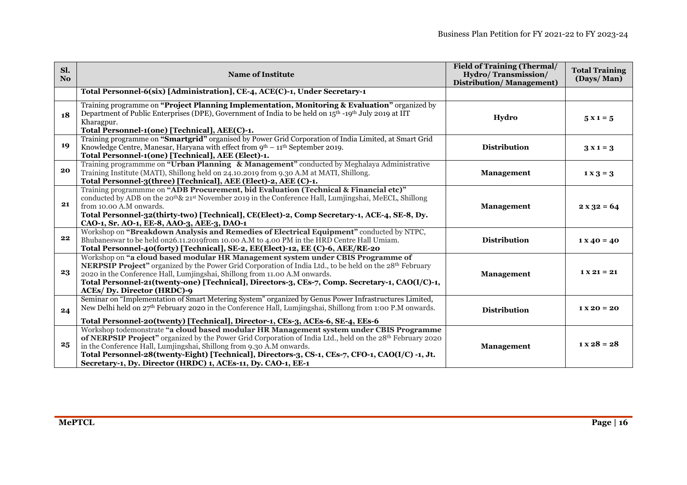| Sl.<br>No. | <b>Name of Institute</b>                                                                                                                                                                                                                                                                                                                                                                                                                        | <b>Field of Training (Thermal/</b><br>Hydro/Transmission/<br><b>Distribution/Management)</b> | <b>Total Training</b><br>(Days/Man) |
|------------|-------------------------------------------------------------------------------------------------------------------------------------------------------------------------------------------------------------------------------------------------------------------------------------------------------------------------------------------------------------------------------------------------------------------------------------------------|----------------------------------------------------------------------------------------------|-------------------------------------|
|            | Total Personnel-6(six) [Administration], CE-4, ACE(C)-1, Under Secretary-1                                                                                                                                                                                                                                                                                                                                                                      |                                                                                              |                                     |
| 18         | Training programme on "Project Planning Implementation, Monitoring & Evaluation" organized by<br>Department of Public Enterprises (DPE), Government of India to be held on $15th - 19th$ July 2019 at IIT<br>Kharagpur.<br>Total Personnel-1(one) [Technical], AEE(C)-1.                                                                                                                                                                        | Hydro                                                                                        | $5x1 = 5$                           |
| 19         | Training programme on "Smartgrid" organised by Power Grid Corporation of India Limited, at Smart Grid<br>Knowledge Centre, Manesar, Haryana with effect from $9^{th} - 11^{th}$ September 2019.<br>Total Personnel-1(one) [Technical], AEE (Elect)-1.                                                                                                                                                                                           | <b>Distribution</b>                                                                          | $3x1=3$                             |
| 20         | Training programmme on "Urban Planning & Management" conducted by Meghalaya Administrative<br>Training Institute (MATI), Shillong held on 24.10.2019 from 9.30 A.M at MATI, Shillong.<br>Total Personnel-3(three) [Technical], AEE (Elect)-2, AEE (C)-1.                                                                                                                                                                                        | <b>Management</b>                                                                            | $1 \times 3 = 3$                    |
| 21         | Training programmme on "ADB Procurement, bid Evaluation (Technical & Financial etc)"<br>conducted by ADB on the 20 <sup>th</sup> & 21 <sup>st</sup> November 2019 in the Conference Hall, Lumjingshai, MeECL, Shillong<br>from 10.00 A.M onwards.<br>Total Personnel-32(thirty-two) [Technical], CE(Elect)-2, Comp Secretary-1, ACE-4, SE-8, Dy.<br>CAO-1, Sr. AO-1, EE-8, AAO-3, AEE-3, DAO-1                                                  | <b>Management</b>                                                                            | $2 x 32 = 64$                       |
| 22         | Workshop on "Breakdown Analysis and Remedies of Electrical Equipment" conducted by NTPC,<br>Bhubaneswar to be held on 26.11.2019 from 10.00 A.M to 4.00 PM in the HRD Centre Hall Umiam.<br>Total Personnel-40(forty) [Technical], SE-2, EE(Elect)-12, EE (C)-6, AEE/RE-20                                                                                                                                                                      | <b>Distribution</b>                                                                          | $1 X 40 = 40$                       |
| 23         | Workshop on "a cloud based modular HR Management system under CBIS Programme of<br><b>NERPSIP Project</b> " organized by the Power Grid Corporation of India Ltd., to be held on the 28 <sup>th</sup> February<br>2020 in the Conference Hall, Lumjingshai, Shillong from 11.00 A.M onwards.<br>Total Personnel-21(twenty-one) [Technical], Directors-3, CEs-7, Comp. Secretary-1, CAO(I/C)-1,<br><b>ACEs/ Dy. Director (HRDC)-9</b>            | Management                                                                                   | $1 X 21 = 21$                       |
| 24         | Seminar on "Implementation of Smart Metering System" organized by Genus Power Infrastructures Limited,<br>New Delhi held on 27th February 2020 in the Conference Hall, Lumjingshai, Shillong from 1:00 P.M onwards.<br>Total Personnel-20(twenty) [Technical], Director-1, CEs-3, ACEs-6, SE-4, EEs-6                                                                                                                                           | <b>Distribution</b>                                                                          | $1 X 20 = 20$                       |
| 25         | Workshop todemonstrate "a cloud based modular HR Management system under CBIS Programme<br>of NERPSIP Project" organized by the Power Grid Corporation of India Ltd., held on the 28th February 2020<br>in the Conference Hall, Lumjingshai, Shillong from 9.30 A.M onwards.<br>Total Personnel-28(twenty-Eight) [Technical], Directors-3, CS-1, CEs-7, CFO-1, CAO(I/C) -1, Jt.<br>Secretary-1, Dy. Director (HRDC) 1, ACEs-11, Dy. CAO-1, EE-1 | <b>Management</b>                                                                            | $1 \times 28 = 28$                  |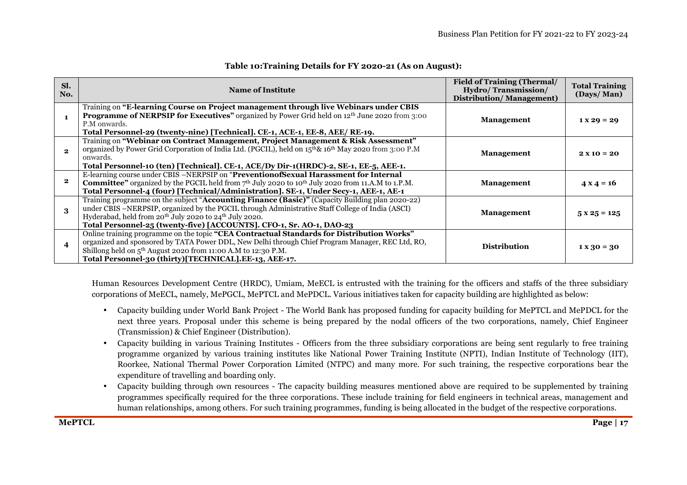| SI.<br>No.            | <b>Name of Institute</b>                                                                                                                                                                                                                                                                                                                                               | <b>Field of Training (Thermal/</b><br>Hydro/Transmission/<br><b>Distribution/Management)</b> | <b>Total Training</b><br>(Days/Man) |
|-----------------------|------------------------------------------------------------------------------------------------------------------------------------------------------------------------------------------------------------------------------------------------------------------------------------------------------------------------------------------------------------------------|----------------------------------------------------------------------------------------------|-------------------------------------|
|                       | Training on "E-learning Course on Project management through live Webinars under CBIS<br><b>Programme of NERPSIP for Executives"</b> organized by Power Grid held on 12th June 2020 from 3:00<br>P.M onwards.<br>Total Personnel-29 (twenty-nine) [Technical]. CE-1, ACE-1, EE-8, AEE/ RE-19.                                                                          | <b>Management</b>                                                                            | $1 X 29 = 29$                       |
| $\boldsymbol{\Omega}$ | Training on "Webinar on Contract Management, Project Management & Risk Assessment"<br>organized by Power Grid Corporation of India Ltd. (PGCIL), held on 15 <sup>th</sup> & 16 <sup>th</sup> May 2020 from 3:00 P.M<br>onwards.<br>Total Personnel-10 (ten) [Technical]. CE-1, ACE/Dy Dir-1(HRDC)-2, SE-1, EE-5, AEE-1.                                                | <b>Management</b>                                                                            | $2 X 10 = 20$                       |
|                       | E-learning course under CBIS -NERPSIP on "PreventionofSexual Harassment for Internal<br><b>Committee</b> " organized by the PGCIL held from $7th$ July 2020 to 10 <sup>th</sup> July 2020 from 11.A.M to 1.P.M.<br>Total Personnel-4 (four) [Technical/Administration]. SE-1, Under Secy-1, AEE-1, AE-1                                                                | <b>Management</b>                                                                            | $4 \times 4 = 16$                   |
| 3                     | Training programme on the subject " <b>Accounting Finance (Basic)</b> " (Capacity Building plan 2020-22)<br>under CBIS –NERPSIP, organized by the PGCIL through Administrative Staff College of India (ASCI)<br>Hyderabad, held from 20 <sup>th</sup> July 2020 to 24 <sup>th</sup> July 2020.<br>Total Personnel-25 (twenty-five) [ACCOUNTS]. CFO-1, Sr. AO-1, DAO-23 | <b>Management</b>                                                                            | $5x25 = 125$                        |
| $\boldsymbol{4}$      | Online training programme on the topic "CEA Contractual Standards for Distribution Works"<br>organized and sponsored by TATA Power DDL, New Delhi through Chief Program Manager, REC Ltd, RO,<br>Shillong held on 5 <sup>th</sup> August 2020 from 11:00 A.M to 12:30 P.M.<br>Total Personnel-30 (thirty)[TECHNICAL].EE-13, AEE-17.                                    | <b>Distribution</b>                                                                          | $1 X 30 = 30$                       |

## **Table 10:Training Details for FY 2020-21 (As on August):**

Human Resources Development Centre (HRDC), Umiam, MeECL is entrusted with the training for the officers and staffs of the three subsidiary corporations of MeECL, namely, MePGCL, MePTCL and MePDCL. Various initiatives taken for capacity building are highlighted as below:

- Capacity building under World Bank Project The World Bank has proposed funding for capacity building for MePTCL and MePDCL for the next three years. Proposal under this scheme is being prepared by the nodal officers of the two corporations, namely, Chief Engineer (Transmission) & Chief Engineer (Distribution).
- • Capacity building in various Training Institutes - Officers from the three subsidiary corporations are being sent regularly to free training programme organized by various training institutes like National Power Training Institute (NPTI), Indian Institute of Technology (IIT), Roorkee, National Thermal Power Corporation Limited (NTPC) and many more. For such training, the respective corporations bear the expenditure of travelling and boarding only.
- • Capacity building through own resources - The capacity building measures mentioned above are required to be supplemented by training programmes specifically required for the three corporations. These include training for field engineers in technical areas, management and human relationships, among others. For such training programmes, funding is being allocated in the budget of the respective corporations.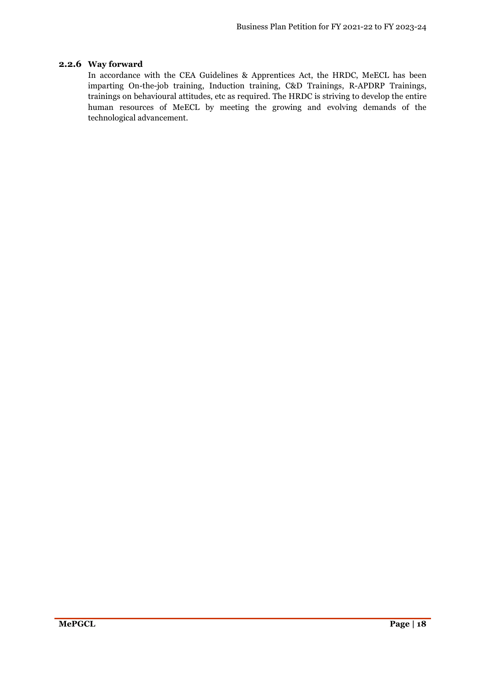## **2.2.6 Way forward**

In accordance with the CEA Guidelines & Apprentices Act, the HRDC, MeECL has been imparting On-the-job training, Induction training, C&D Trainings, R-APDRP Trainings, trainings on behavioural attitudes, etc as required. The HRDC is striving to develop the entire human resources of MeECL by meeting the growing and evolving demands of the technological advancement.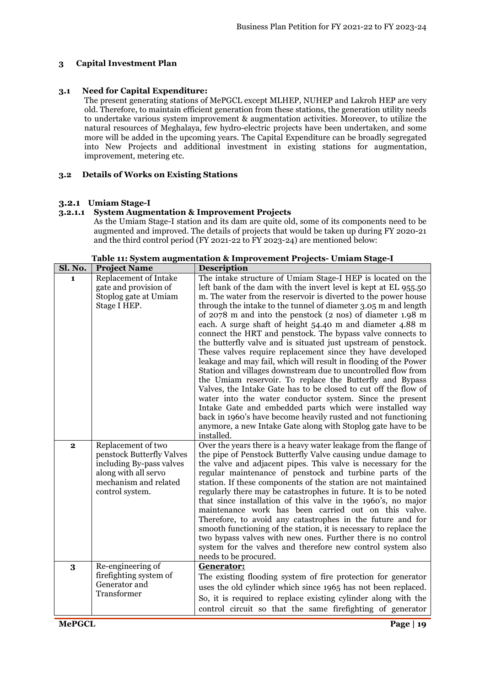## **3 Capital Investment Plan**

#### **3.1 Need for Capital Expenditure:**

The present generating stations of MePGCL except MLHEP, NUHEP and Lakroh HEP are very old. Therefore, to maintain efficient generation from these stations, the generation utility needs to undertake various system improvement & augmentation activities. Moreover, to utilize the natural resources of Meghalaya, few hydro-electric projects have been undertaken, and some more will be added in the upcoming years. The Capital Expenditure can be broadly segregated into New Projects and additional investment in existing stations for augmentation, improvement, metering etc.

#### **3.2 Details of Works on Existing Stations**

#### **3.2.1 Umiam Stage-I**

#### **3.2.1.1 System Augmentation & Improvement Projects**

As the Umiam Stage-I station and its dam are quite old, some of its components need to be augmented and improved. The details of projects that would be taken up during FY 2020-21 and the third control period (FY 2021-22 to FY 2023-24) are mentioned below:

| Sl. No.      | <b>Project Name</b>                             | <b>Description</b>                                                                                                               |  |  |
|--------------|-------------------------------------------------|----------------------------------------------------------------------------------------------------------------------------------|--|--|
| 1.           | <b>Replacement of Intake</b>                    | The intake structure of Umiam Stage-I HEP is located on the                                                                      |  |  |
|              | gate and provision of                           | left bank of the dam with the invert level is kept at EL 955.50                                                                  |  |  |
|              | Stoplog gate at Umiam                           | m. The water from the reservoir is diverted to the power house                                                                   |  |  |
|              | Stage I HEP.                                    | through the intake to the tunnel of diameter 3.05 m and length                                                                   |  |  |
|              |                                                 | of 2078 m and into the penstock (2 nos) of diameter 1.98 m                                                                       |  |  |
|              |                                                 | each. A surge shaft of height 54.40 m and diameter 4.88 m                                                                        |  |  |
|              |                                                 | connect the HRT and penstock. The bypass valve connects to                                                                       |  |  |
|              |                                                 | the butterfly valve and is situated just upstream of penstock.                                                                   |  |  |
|              |                                                 | These valves require replacement since they have developed                                                                       |  |  |
|              |                                                 | leakage and may fail, which will result in flooding of the Power                                                                 |  |  |
|              |                                                 | Station and villages downstream due to uncontrolled flow from                                                                    |  |  |
|              |                                                 | the Umiam reservoir. To replace the Butterfly and Bypass                                                                         |  |  |
|              |                                                 | Valves, the Intake Gate has to be closed to cut off the flow of                                                                  |  |  |
|              |                                                 | water into the water conductor system. Since the present                                                                         |  |  |
|              |                                                 | Intake Gate and embedded parts which were installed way                                                                          |  |  |
|              |                                                 | back in 1960's have become heavily rusted and not functioning                                                                    |  |  |
|              |                                                 | anymore, a new Intake Gate along with Stoplog gate have to be<br>installed.                                                      |  |  |
|              |                                                 |                                                                                                                                  |  |  |
| $\mathbf{2}$ | Replacement of two<br>penstock Butterfly Valves | Over the years there is a heavy water leakage from the flange of<br>the pipe of Penstock Butterfly Valve causing undue damage to |  |  |
|              | including By-pass valves                        | the valve and adjacent pipes. This valve is necessary for the                                                                    |  |  |
|              | along with all servo                            | regular maintenance of penstock and turbine parts of the                                                                         |  |  |
|              | mechanism and related                           | station. If these components of the station are not maintained                                                                   |  |  |
|              | control system.                                 | regularly there may be catastrophes in future. It is to be noted                                                                 |  |  |
|              |                                                 | that since installation of this valve in the 1960's, no major                                                                    |  |  |
|              |                                                 | maintenance work has been carried out on this valve.                                                                             |  |  |
|              |                                                 | Therefore, to avoid any catastrophes in the future and for                                                                       |  |  |
|              |                                                 | smooth functioning of the station, it is necessary to replace the                                                                |  |  |
|              |                                                 | two bypass valves with new ones. Further there is no control                                                                     |  |  |
|              |                                                 | system for the valves and therefore new control system also                                                                      |  |  |
|              |                                                 | needs to be procured.                                                                                                            |  |  |
| 3            | Re-engineering of                               | Generator:                                                                                                                       |  |  |
|              | firefighting system of                          | The existing flooding system of fire protection for generator                                                                    |  |  |
|              | Generator and                                   | uses the old cylinder which since 1965 has not been replaced.                                                                    |  |  |
|              | Transformer                                     | So, it is required to replace existing cylinder along with the                                                                   |  |  |
|              |                                                 | control circuit so that the same firefighting of generator                                                                       |  |  |
|              |                                                 |                                                                                                                                  |  |  |

**Table 11: System augmentation & Improvement Projects- Umiam Stage-I**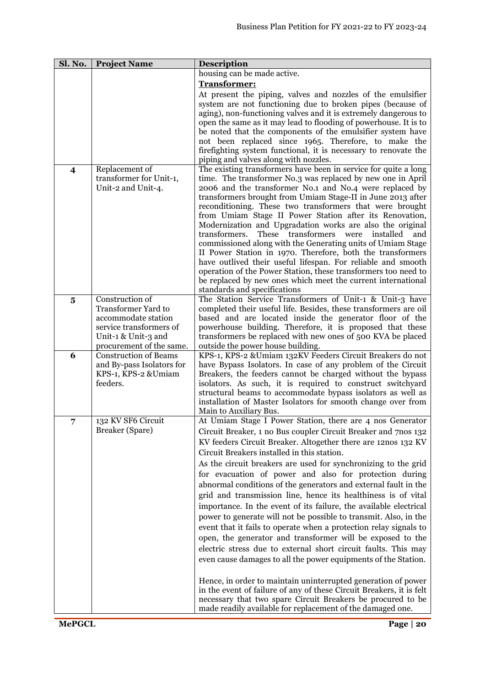| Sl. No.                 | <b>Project Name</b>                           | <b>Description</b>                                                                                                             |  |  |
|-------------------------|-----------------------------------------------|--------------------------------------------------------------------------------------------------------------------------------|--|--|
|                         |                                               | housing can be made active.                                                                                                    |  |  |
|                         |                                               | Transformer:                                                                                                                   |  |  |
|                         |                                               | At present the piping, valves and nozzles of the emulsifier                                                                    |  |  |
|                         |                                               | system are not functioning due to broken pipes (because of                                                                     |  |  |
|                         |                                               | aging), non-functioning valves and it is extremely dangerous to                                                                |  |  |
|                         |                                               | open the same as it may lead to flooding of powerhouse. It is to<br>be noted that the components of the emulsifier system have |  |  |
|                         |                                               | not been replaced since 1965. Therefore, to make the                                                                           |  |  |
|                         |                                               | fire fighting system functional, it is necessary to renovate the                                                               |  |  |
|                         |                                               | piping and valves along with nozzles.                                                                                          |  |  |
| $\overline{\mathbf{4}}$ | Replacement of                                | The existing transformers have been in service for quite a long                                                                |  |  |
|                         | transformer for Unit-1,                       | time. The transformer No.3 was replaced by new one in April                                                                    |  |  |
|                         | Unit-2 and Unit-4.                            | 2006 and the transformer No.1 and No.4 were replaced by                                                                        |  |  |
|                         |                                               | transformers brought from Umiam Stage-II in June 2013 after                                                                    |  |  |
|                         |                                               | reconditioning. These two transformers that were brought                                                                       |  |  |
|                         |                                               | from Umiam Stage II Power Station after its Renovation,                                                                        |  |  |
|                         |                                               | Modernization and Upgradation works are also the original<br>These transformers<br>transformers.<br>installed<br>were<br>and   |  |  |
|                         |                                               | commissioned along with the Generating units of Umiam Stage                                                                    |  |  |
|                         |                                               | II Power Station in 1970. Therefore, both the transformers                                                                     |  |  |
|                         |                                               | have outlived their useful lifespan. For reliable and smooth                                                                   |  |  |
|                         |                                               | operation of the Power Station, these transformers too need to                                                                 |  |  |
|                         |                                               | be replaced by new ones which meet the current international                                                                   |  |  |
|                         |                                               | standards and specifications                                                                                                   |  |  |
| $\overline{\mathbf{5}}$ | Construction of<br><b>Transformer Yard to</b> | The Station Service Transformers of Unit-1 & Unit-3 have                                                                       |  |  |
|                         | accommodate station                           | completed their useful life. Besides, these transformers are oil<br>based and are located inside the generator floor of the    |  |  |
|                         | service transformers of                       | powerhouse building. Therefore, it is proposed that these                                                                      |  |  |
|                         | Unit-1 & Unit-3 and                           | transformers be replaced with new ones of 500 KVA be placed                                                                    |  |  |
|                         | procurement of the same.                      | outside the power house building.                                                                                              |  |  |
| 6                       | <b>Construction of Beams</b>                  | KPS-1, KPS-2 &Umiam 132KV Feeders Circuit Breakers do not                                                                      |  |  |
|                         | and By-pass Isolators for                     | have Bypass Isolators. In case of any problem of the Circuit                                                                   |  |  |
|                         | KPS-1, KPS-2 & Umiam                          | Breakers, the feeders cannot be charged without the bypass                                                                     |  |  |
|                         | feeders.                                      | isolators. As such, it is required to construct switchyard                                                                     |  |  |
|                         |                                               | structural beams to accommodate bypass isolators as well as<br>installation of Master Isolators for smooth change over from    |  |  |
|                         |                                               | Main to Auxiliary Bus.                                                                                                         |  |  |
|                         | 132 KV SF6 Circuit                            | At Umiam Stage I Power Station, there are 4 nos Generator                                                                      |  |  |
|                         | Breaker (Spare)                               | Circuit Breaker, 1 no Bus coupler Circuit Breaker and 7 nos 132                                                                |  |  |
|                         |                                               | KV feeders Circuit Breaker. Altogether there are 12nos 132 KV                                                                  |  |  |
|                         |                                               | Circuit Breakers installed in this station.                                                                                    |  |  |
|                         |                                               | As the circuit breakers are used for synchronizing to the grid                                                                 |  |  |
|                         |                                               | for evacuation of power and also for protection during                                                                         |  |  |
|                         |                                               | abnormal conditions of the generators and external fault in the                                                                |  |  |
|                         |                                               | grid and transmission line, hence its healthiness is of vital                                                                  |  |  |
|                         |                                               | importance. In the event of its failure, the available electrical                                                              |  |  |
|                         |                                               | power to generate will not be possible to transmit. Also, in the                                                               |  |  |
|                         |                                               | event that it fails to operate when a protection relay signals to                                                              |  |  |
|                         |                                               | open, the generator and transformer will be exposed to the                                                                     |  |  |
|                         |                                               | electric stress due to external short circuit faults. This may                                                                 |  |  |
|                         |                                               | even cause damages to all the power equipments of the Station.                                                                 |  |  |
|                         |                                               |                                                                                                                                |  |  |
|                         |                                               | Hence, in order to maintain uninterrupted generation of power                                                                  |  |  |
|                         |                                               | in the event of failure of any of these Circuit Breakers, it is felt                                                           |  |  |
|                         |                                               | necessary that two spare Circuit Breakers be procured to be                                                                    |  |  |
|                         |                                               | made readily available for replacement of the damaged one.                                                                     |  |  |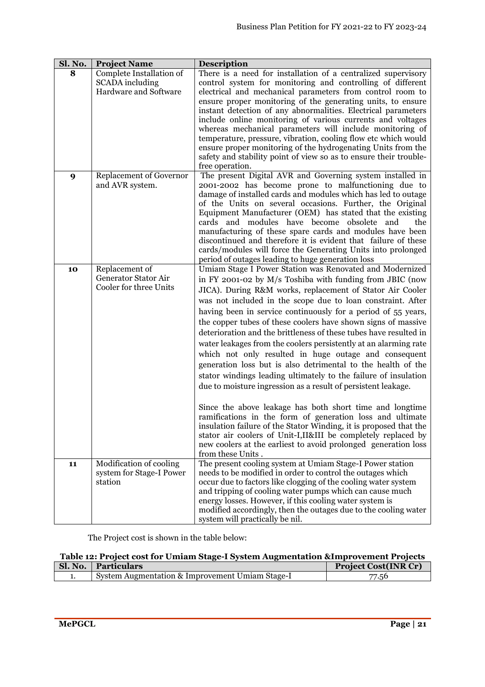| Sl. No. | <b>Project Name</b>                                                  | <b>Description</b>                                                                                                                                                                                                                                                                                                                                                                                                                                                                                                                                                                                                                                                                                                                                                                                                                                                                                                                                                                                                                                                                                                                              |  |  |
|---------|----------------------------------------------------------------------|-------------------------------------------------------------------------------------------------------------------------------------------------------------------------------------------------------------------------------------------------------------------------------------------------------------------------------------------------------------------------------------------------------------------------------------------------------------------------------------------------------------------------------------------------------------------------------------------------------------------------------------------------------------------------------------------------------------------------------------------------------------------------------------------------------------------------------------------------------------------------------------------------------------------------------------------------------------------------------------------------------------------------------------------------------------------------------------------------------------------------------------------------|--|--|
| 8       | Complete Installation of<br>SCADA including<br>Hardware and Software | There is a need for installation of a centralized supervisory<br>control system for monitoring and controlling of different<br>electrical and mechanical parameters from control room to<br>ensure proper monitoring of the generating units, to ensure<br>instant detection of any abnormalities. Electrical parameters<br>include online monitoring of various currents and voltages<br>whereas mechanical parameters will include monitoring of<br>temperature, pressure, vibration, cooling flow etc which would<br>ensure proper monitoring of the hydrogenating Units from the<br>safety and stability point of view so as to ensure their trouble-<br>free operation.                                                                                                                                                                                                                                                                                                                                                                                                                                                                    |  |  |
| 9       | Replacement of Governor<br>and AVR system.                           | The present Digital AVR and Governing system installed in<br>2001-2002 has become prone to malfunctioning due to<br>damage of installed cards and modules which has led to outage<br>of the Units on several occasions. Further, the Original<br>Equipment Manufacturer (OEM) has stated that the existing<br>cards and modules have become obsolete and<br>the<br>manufacturing of these spare cards and modules have been<br>discontinued and therefore it is evident that failure of these<br>cards/modules will force the Generating Units into prolonged<br>period of outages leading to huge generation loss                                                                                                                                                                                                                                                                                                                                                                                                                                                                                                                              |  |  |
| 10      | Replacement of<br>Generator Stator Air<br>Cooler for three Units     | Umiam Stage I Power Station was Renovated and Modernized<br>in FY 2001-02 by M/s Toshiba with funding from JBIC (now<br>JICA). During R&M works, replacement of Stator Air Cooler<br>was not included in the scope due to loan constraint. After<br>having been in service continuously for a period of 55 years,<br>the copper tubes of these coolers have shown signs of massive<br>deterioration and the brittleness of these tubes have resulted in<br>water leakages from the coolers persistently at an alarming rate<br>which not only resulted in huge outage and consequent<br>generation loss but is also detrimental to the health of the<br>stator windings leading ultimately to the failure of insulation<br>due to moisture ingression as a result of persistent leakage.<br>Since the above leakage has both short time and longtime<br>ramifications in the form of generation loss and ultimate<br>insulation failure of the Stator Winding, it is proposed that the<br>stator air coolers of Unit-I, II&III be completely replaced by<br>new coolers at the earliest to avoid prolonged generation loss<br>from these Units. |  |  |
| 11      | Modification of cooling<br>system for Stage-I Power<br>station       | The present cooling system at Umiam Stage-I Power station<br>needs to be modified in order to control the outages which<br>occur due to factors like clogging of the cooling water system<br>and tripping of cooling water pumps which can cause much<br>energy losses. However, if this cooling water system is<br>modified accordingly, then the outages due to the cooling water<br>system will practically be nil.                                                                                                                                                                                                                                                                                                                                                                                                                                                                                                                                                                                                                                                                                                                          |  |  |

| Table 12: Project cost for Umiam Stage-I System Augmentation & Improvement Projects |                                                 |       |  |
|-------------------------------------------------------------------------------------|-------------------------------------------------|-------|--|
| <b>Project Cost(INR Cr)</b><br>Sl. No.   Particulars                                |                                                 |       |  |
|                                                                                     | System Augmentation & Improvement Umiam Stage-I | 77.56 |  |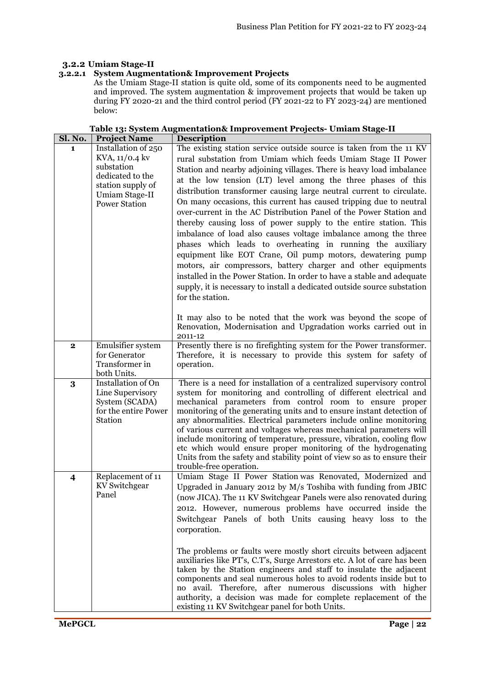٦

## **3.2.2 Umiam Stage-II**

## **3.2.2.1 System Augmentation& Improvement Projects**

As the Umiam Stage-II station is quite old, some of its components need to be augmented and improved. The system augmentation & improvement projects that would be taken up during FY 2020-21 and the third control period (FY 2021-22 to FY 2023-24) are mentioned below:

| <b>JI. IVU.</b>         | r roject ivalile                                                                                                                       | Description                                                                                                                                                                                                                                                                                                                                                                                                                                                                                                                                                                                                                                                                                                                                                                                                                                                                                                                                                                                                                                                                                                                                                 |
|-------------------------|----------------------------------------------------------------------------------------------------------------------------------------|-------------------------------------------------------------------------------------------------------------------------------------------------------------------------------------------------------------------------------------------------------------------------------------------------------------------------------------------------------------------------------------------------------------------------------------------------------------------------------------------------------------------------------------------------------------------------------------------------------------------------------------------------------------------------------------------------------------------------------------------------------------------------------------------------------------------------------------------------------------------------------------------------------------------------------------------------------------------------------------------------------------------------------------------------------------------------------------------------------------------------------------------------------------|
| 1                       | Installation of 250<br>KVA, 11/0.4 kv<br>substation<br>dedicated to the<br>station supply of<br>Umiam Stage-II<br><b>Power Station</b> | The existing station service outside source is taken from the 11 KV<br>rural substation from Umiam which feeds Umiam Stage II Power<br>Station and nearby adjoining villages. There is heavy load imbalance<br>at the low tension (LT) level among the three phases of this<br>distribution transformer causing large neutral current to circulate.<br>On many occasions, this current has caused tripping due to neutral<br>over-current in the AC Distribution Panel of the Power Station and<br>thereby causing loss of power supply to the entire station. This<br>imbalance of load also causes voltage imbalance among the three<br>phases which leads to overheating in running the auxiliary<br>equipment like EOT Crane, Oil pump motors, dewatering pump<br>motors, air compressors, battery charger and other equipments<br>installed in the Power Station. In order to have a stable and adequate<br>supply, it is necessary to install a dedicated outside source substation<br>for the station.<br>It may also to be noted that the work was beyond the scope of<br>Renovation, Modernisation and Upgradation works carried out in<br>2011-12 |
| $\mathbf{2}$            | Emulsifier system<br>for Generator<br>Transformer in<br>both Units.                                                                    | Presently there is no firefighting system for the Power transformer.<br>Therefore, it is necessary to provide this system for safety of<br>operation.                                                                                                                                                                                                                                                                                                                                                                                                                                                                                                                                                                                                                                                                                                                                                                                                                                                                                                                                                                                                       |
| 3                       | Installation of On<br>Line Supervisory<br>System (SCADA)<br>for the entire Power<br>Station                                            | There is a need for installation of a centralized supervisory control<br>system for monitoring and controlling of different electrical and<br>mechanical parameters from control room to ensure proper<br>monitoring of the generating units and to ensure instant detection of<br>any abnormalities. Electrical parameters include online monitoring<br>of various current and voltages whereas mechanical parameters will<br>include monitoring of temperature, pressure, vibration, cooling flow<br>etc which would ensure proper monitoring of the hydrogenating<br>Units from the safety and stability point of view so as to ensure their<br>trouble-free operation.                                                                                                                                                                                                                                                                                                                                                                                                                                                                                  |
| $\overline{\mathbf{4}}$ | Replacement of 11<br>KV Switchgear<br>Panel                                                                                            | Umiam Stage II Power Station was Renovated, Modernized and<br>Upgraded in January 2012 by M/s Toshiba with funding from JBIC<br>(now JICA). The 11 KV Switchgear Panels were also renovated during<br>2012. However, numerous problems have occurred inside the<br>Switchgear Panels of both Units causing heavy loss to the<br>corporation.<br>The problems or faults were mostly short circuits between adjacent<br>auxiliaries like PT's, C.T's, Surge Arrestors etc. A lot of care has been<br>taken by the Station engineers and staff to insulate the adjacent<br>components and seal numerous holes to avoid rodents inside but to<br>no avail. Therefore, after numerous discussions with higher<br>authority, a decision was made for complete replacement of the<br>existing 11 KV Switchgear panel for both Units.                                                                                                                                                                                                                                                                                                                               |

|                        |                     |             | Table 13: System Augmentation& Improvement Projects- Umiam Stage-II |  |
|------------------------|---------------------|-------------|---------------------------------------------------------------------|--|
| $\overline{\bf{c}}$ No | <b>Project Name</b> | Description |                                                                     |  |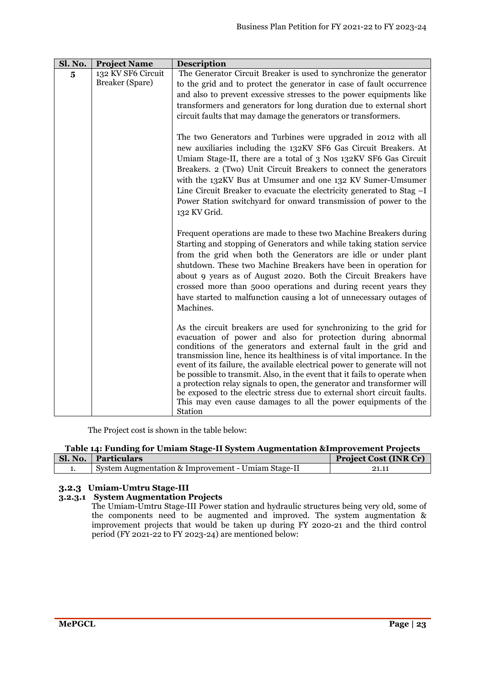| Sl. No.                 | <b>Project Name</b>                   | <b>Description</b>                                                                                                                                                                                                                                                                                                                                                                                                                                                                                                                                                                                                                                                          |  |
|-------------------------|---------------------------------------|-----------------------------------------------------------------------------------------------------------------------------------------------------------------------------------------------------------------------------------------------------------------------------------------------------------------------------------------------------------------------------------------------------------------------------------------------------------------------------------------------------------------------------------------------------------------------------------------------------------------------------------------------------------------------------|--|
| $\overline{\mathbf{5}}$ | 132 KV SF6 Circuit<br>Breaker (Spare) | The Generator Circuit Breaker is used to synchronize the generator<br>to the grid and to protect the generator in case of fault occurrence                                                                                                                                                                                                                                                                                                                                                                                                                                                                                                                                  |  |
|                         |                                       | and also to prevent excessive stresses to the power equipments like<br>transformers and generators for long duration due to external short                                                                                                                                                                                                                                                                                                                                                                                                                                                                                                                                  |  |
|                         |                                       | circuit faults that may damage the generators or transformers.                                                                                                                                                                                                                                                                                                                                                                                                                                                                                                                                                                                                              |  |
|                         |                                       | The two Generators and Turbines were upgraded in 2012 with all<br>new auxiliaries including the 132KV SF6 Gas Circuit Breakers. At<br>Umiam Stage-II, there are a total of 3 Nos 132KV SF6 Gas Circuit<br>Breakers. 2 (Two) Unit Circuit Breakers to connect the generators<br>with the 132KV Bus at Umsumer and one 132 KV Sumer-Umsumer<br>Line Circuit Breaker to evacuate the electricity generated to Stag -I<br>Power Station switchyard for onward transmission of power to the<br>132 KV Grid.                                                                                                                                                                      |  |
|                         |                                       | Frequent operations are made to these two Machine Breakers during<br>Starting and stopping of Generators and while taking station service<br>from the grid when both the Generators are idle or under plant<br>shutdown. These two Machine Breakers have been in operation for<br>about 9 years as of August 2020. Both the Circuit Breakers have<br>crossed more than 5000 operations and during recent years they<br>have started to malfunction causing a lot of unnecessary outages of<br>Machines.                                                                                                                                                                     |  |
|                         |                                       | As the circuit breakers are used for synchronizing to the grid for<br>evacuation of power and also for protection during abnormal<br>conditions of the generators and external fault in the grid and<br>transmission line, hence its healthiness is of vital importance. In the<br>event of its failure, the available electrical power to generate will not<br>be possible to transmit. Also, in the event that it fails to operate when<br>a protection relay signals to open, the generator and transformer will<br>be exposed to the electric stress due to external short circuit faults.<br>This may even cause damages to all the power equipments of the<br>Station |  |

#### **Table 14: Funding for Umiam Stage-II System Augmentation &Improvement Projects**

| Sl. No.   Particulars                              | <b>Project Cost (INR Cr)</b> |
|----------------------------------------------------|------------------------------|
| System Augmentation & Improvement - Umiam Stage-II | 21.11                        |

## **3.2.3 Umiam-Umtru Stage-III**

#### **3.2.3.1 System Augmentation Projects**

The Umiam-Umtru Stage-III Power station and hydraulic structures being very old, some of the components need to be augmented and improved. The system augmentation & improvement projects that would be taken up during FY 2020-21 and the third control period (FY 2021-22 to FY 2023-24) are mentioned below: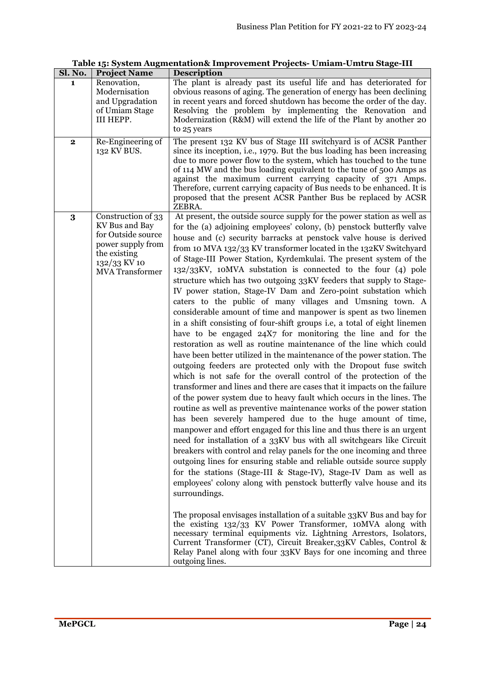| Sl. No.      | <b>Project Name</b>                                                                                                                       | <b>Description</b>                                                                                                                                                                                                                                                                                                                                                                                                                                                                                                                                                                                                                                                                                                                                                                                                                                                                                                                                                                                                                                                                                                                                                                                                                                                                                                                                                                                                                                                                                                                                                                                                                                                                                                                                                                                                                                                                                                                                                                                                                                                                                                                                                                                                                                                                   |  |
|--------------|-------------------------------------------------------------------------------------------------------------------------------------------|--------------------------------------------------------------------------------------------------------------------------------------------------------------------------------------------------------------------------------------------------------------------------------------------------------------------------------------------------------------------------------------------------------------------------------------------------------------------------------------------------------------------------------------------------------------------------------------------------------------------------------------------------------------------------------------------------------------------------------------------------------------------------------------------------------------------------------------------------------------------------------------------------------------------------------------------------------------------------------------------------------------------------------------------------------------------------------------------------------------------------------------------------------------------------------------------------------------------------------------------------------------------------------------------------------------------------------------------------------------------------------------------------------------------------------------------------------------------------------------------------------------------------------------------------------------------------------------------------------------------------------------------------------------------------------------------------------------------------------------------------------------------------------------------------------------------------------------------------------------------------------------------------------------------------------------------------------------------------------------------------------------------------------------------------------------------------------------------------------------------------------------------------------------------------------------------------------------------------------------------------------------------------------------|--|
| 1            | Renovation,<br>Modernisation<br>and Upgradation<br>of Umiam Stage<br>III HEPP.                                                            | The plant is already past its useful life and has deteriorated for<br>obvious reasons of aging. The generation of energy has been declining<br>in recent years and forced shutdown has become the order of the day.<br>Resolving the problem by implementing the Renovation and<br>Modernization (R&M) will extend the life of the Plant by another 20<br>to 25 years                                                                                                                                                                                                                                                                                                                                                                                                                                                                                                                                                                                                                                                                                                                                                                                                                                                                                                                                                                                                                                                                                                                                                                                                                                                                                                                                                                                                                                                                                                                                                                                                                                                                                                                                                                                                                                                                                                                |  |
| $\mathbf{2}$ | Re-Engineering of<br>132 KV BUS.                                                                                                          | The present 132 KV bus of Stage III switchyard is of ACSR Panther<br>since its inception, i.e., 1979. But the bus loading has been increasing<br>due to more power flow to the system, which has touched to the tune<br>of 114 MW and the bus loading equivalent to the tune of 500 Amps as<br>against the maximum current carrying capacity of 371 Amps.<br>Therefore, current carrying capacity of Bus needs to be enhanced. It is<br>proposed that the present ACSR Panther Bus be replaced by ACSR<br>ZEBRA.                                                                                                                                                                                                                                                                                                                                                                                                                                                                                                                                                                                                                                                                                                                                                                                                                                                                                                                                                                                                                                                                                                                                                                                                                                                                                                                                                                                                                                                                                                                                                                                                                                                                                                                                                                     |  |
| 3            | Construction of 33<br>KV Bus and Bay<br>for Outside source<br>power supply from<br>the existing<br>132/33 KV 10<br><b>MVA</b> Transformer | At present, the outside source supply for the power station as well as<br>for the (a) adjoining employees' colony, (b) penstock butterfly valve<br>house and (c) security barracks at penstock valve house is derived<br>from 10 MVA 132/33 KV transformer located in the 132KV Switchyard<br>of Stage-III Power Station, Kyrdemkulai. The present system of the<br>132/33KV, 10MVA substation is connected to the four (4) pole<br>structure which has two outgoing 33KV feeders that supply to Stage-<br>IV power station, Stage-IV Dam and Zero-point substation which<br>caters to the public of many villages and Umsning town. A<br>considerable amount of time and manpower is spent as two linemen<br>in a shift consisting of four-shift groups i.e, a total of eight linemen<br>have to be engaged 24X7 for monitoring the line and for the<br>restoration as well as routine maintenance of the line which could<br>have been better utilized in the maintenance of the power station. The<br>outgoing feeders are protected only with the Dropout fuse switch<br>which is not safe for the overall control of the protection of the<br>transformer and lines and there are cases that it impacts on the failure<br>of the power system due to heavy fault which occurs in the lines. The<br>routine as well as preventive maintenance works of the power station<br>has been severely hampered due to the huge amount of time,<br>manpower and effort engaged for this line and thus there is an urgent<br>need for installation of a 33KV bus with all switchgears like Circuit<br>breakers with control and relay panels for the one incoming and three<br>outgoing lines for ensuring stable and reliable outside source supply<br>for the stations (Stage-III & Stage-IV), Stage-IV Dam as well as<br>employees' colony along with penstock butterfly valve house and its<br>surroundings.<br>The proposal envisages installation of a suitable 33KV Bus and bay for<br>the existing 132/33 KV Power Transformer, 10MVA along with<br>necessary terminal equipments viz. Lightning Arrestors, Isolators,<br>Current Transformer (CT), Circuit Breaker, 33KV Cables, Control &<br>Relay Panel along with four 33KV Bays for one incoming and three<br>outgoing lines. |  |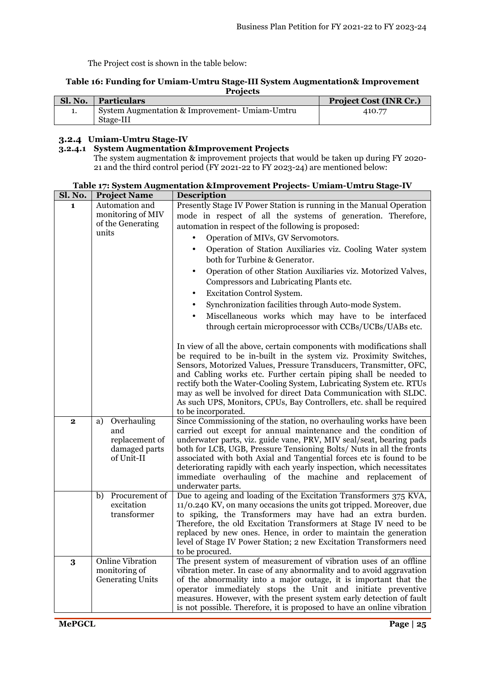#### **Table 16: Funding for Umiam-Umtru Stage-III System Augmentation& Improvement Projects**

| Sl. No. | Particulars                                    | <b>Project Cost (INR Cr.)</b> |
|---------|------------------------------------------------|-------------------------------|
|         | System Augmentation & Improvement- Umiam-Umtru | 410.77                        |
|         | Stage-III                                      |                               |

## **3.2.4 Umiam-Umtru Stage-IV**

## **3.2.4.1 System Augmentation &Improvement Projects**

The system augmentation & improvement projects that would be taken up during FY 2020- 21 and the third control period (FY 2021-22 to FY 2023-24) are mentioned below:

| Sl. No.<br><b>Description</b><br><b>Project Name</b>                                                                                                                             |                                                                     |  |
|----------------------------------------------------------------------------------------------------------------------------------------------------------------------------------|---------------------------------------------------------------------|--|
| Automation and<br>$\mathbf{1}$                                                                                                                                                   | Presently Stage IV Power Station is running in the Manual Operation |  |
| monitoring of MIV<br>mode in respect of all the systems of generation. Therefore,                                                                                                |                                                                     |  |
| of the Generating<br>automation in respect of the following is proposed:<br>units                                                                                                |                                                                     |  |
| Operation of MIVs, GV Servomotors.                                                                                                                                               |                                                                     |  |
| Operation of Station Auxiliaries viz. Cooling Water system<br>$\bullet$                                                                                                          |                                                                     |  |
| both for Turbine & Generator.                                                                                                                                                    |                                                                     |  |
| Operation of other Station Auxiliaries viz. Motorized Valves,<br>$\bullet$                                                                                                       |                                                                     |  |
| Compressors and Lubricating Plants etc.                                                                                                                                          |                                                                     |  |
| $\bullet$                                                                                                                                                                        | Excitation Control System.                                          |  |
| Synchronization facilities through Auto-mode System.<br>$\bullet$                                                                                                                |                                                                     |  |
| Miscellaneous works which may have to be interfaced                                                                                                                              |                                                                     |  |
| through certain microprocessor with CCBs/UCBs/UABs etc.                                                                                                                          |                                                                     |  |
|                                                                                                                                                                                  |                                                                     |  |
| In view of all the above, certain components with modifications shall<br>be required to be in-built in the system viz. Proximity Switches,                                       |                                                                     |  |
| Sensors, Motorized Values, Pressure Transducers, Transmitter, OFC,                                                                                                               |                                                                     |  |
| and Cabling works etc. Further certain piping shall be needed to                                                                                                                 |                                                                     |  |
| rectify both the Water-Cooling System, Lubricating System etc. RTUs                                                                                                              |                                                                     |  |
| may as well be involved for direct Data Communication with SLDC.                                                                                                                 |                                                                     |  |
| As such UPS, Monitors, CPUs, Bay Controllers, etc. shall be required                                                                                                             |                                                                     |  |
| to be incorporated.                                                                                                                                                              |                                                                     |  |
| Since Commissioning of the station, no overhauling works have been<br>Overhauling<br>a)<br>$\mathbf{2}$<br>and<br>carried out except for annual maintenance and the condition of |                                                                     |  |
| replacement of<br>underwater parts, viz. guide vane, PRV, MIV seal/seat, bearing pads                                                                                            |                                                                     |  |
| damaged parts<br>both for LCB, UGB, Pressure Tensioning Bolts/ Nuts in all the fronts                                                                                            |                                                                     |  |
| of Unit-II<br>associated with both Axial and Tangential forces etc is found to be                                                                                                |                                                                     |  |
| deteriorating rapidly with each yearly inspection, which necessitates                                                                                                            |                                                                     |  |
| immediate overhauling of the machine and replacement of                                                                                                                          |                                                                     |  |
| underwater parts.                                                                                                                                                                |                                                                     |  |
| b) Procurement of<br>Due to ageing and loading of the Excitation Transformers 375 KVA,<br>excitation<br>11/0.240 KV, on many occasions the units got tripped. Moreover, due      |                                                                     |  |
| transformer<br>to spiking, the Transformers may have had an extra burden.                                                                                                        |                                                                     |  |
| Therefore, the old Excitation Transformers at Stage IV need to be                                                                                                                |                                                                     |  |
| replaced by new ones. Hence, in order to maintain the generation                                                                                                                 |                                                                     |  |
| level of Stage IV Power Station; 2 new Excitation Transformers need                                                                                                              |                                                                     |  |
| to be procured.                                                                                                                                                                  |                                                                     |  |
| <b>Online Vibration</b><br>The present system of measurement of vibration uses of an offline<br>3                                                                                |                                                                     |  |
| monitoring of<br>vibration meter. In case of any abnormality and to avoid aggravation                                                                                            |                                                                     |  |
| <b>Generating Units</b><br>of the abnormality into a major outage, it is important that the<br>operator immediately stops the Unit and initiate preventive                       |                                                                     |  |
| measures. However, with the present system early detection of fault                                                                                                              |                                                                     |  |
| is not possible. Therefore, it is proposed to have an online vibration                                                                                                           |                                                                     |  |

## **Table 17: System Augmentation &Improvement Projects- Umiam-Umtru Stage-IV**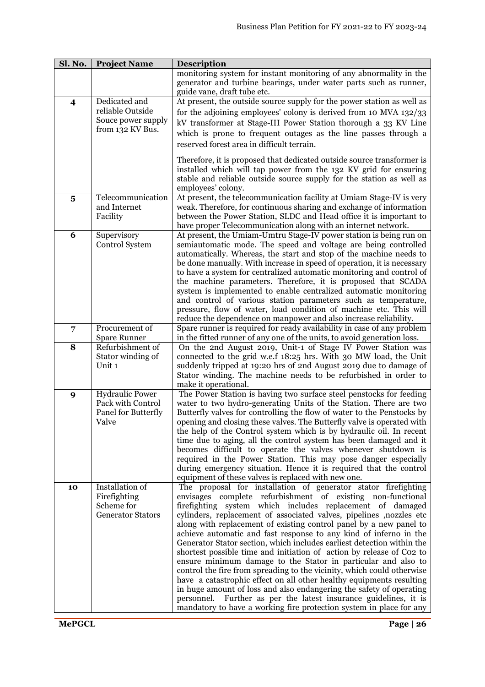| Sl. No.                 | <b>Project Name</b>                                                         | <b>Description</b>                                                                                                                                                                                                                                                                                                                                                                                                                                                                                                                                                                                                                                                                                                                                                                                                                                                                                                                                                                                   |
|-------------------------|-----------------------------------------------------------------------------|------------------------------------------------------------------------------------------------------------------------------------------------------------------------------------------------------------------------------------------------------------------------------------------------------------------------------------------------------------------------------------------------------------------------------------------------------------------------------------------------------------------------------------------------------------------------------------------------------------------------------------------------------------------------------------------------------------------------------------------------------------------------------------------------------------------------------------------------------------------------------------------------------------------------------------------------------------------------------------------------------|
|                         |                                                                             | monitoring system for instant monitoring of any abnormality in the<br>generator and turbine bearings, under water parts such as runner,<br>guide vane, draft tube etc.                                                                                                                                                                                                                                                                                                                                                                                                                                                                                                                                                                                                                                                                                                                                                                                                                               |
| $\overline{\mathbf{4}}$ | Dedicated and<br>reliable Outside<br>Souce power supply<br>from 132 KV Bus. | At present, the outside source supply for the power station as well as<br>for the adjoining employees' colony is derived from 10 MVA 132/33<br>kV transformer at Stage-III Power Station thorough a 33 KV Line<br>which is prone to frequent outages as the line passes through a<br>reserved forest area in difficult terrain.                                                                                                                                                                                                                                                                                                                                                                                                                                                                                                                                                                                                                                                                      |
|                         |                                                                             | Therefore, it is proposed that dedicated outside source transformer is<br>installed which will tap power from the 132 KV grid for ensuring<br>stable and reliable outside source supply for the station as well as<br>employees' colony.                                                                                                                                                                                                                                                                                                                                                                                                                                                                                                                                                                                                                                                                                                                                                             |
| $\overline{\mathbf{5}}$ | Telecommunication<br>and Internet<br>Facility                               | At present, the telecommunication facility at Umiam Stage-IV is very<br>weak. Therefore, for continuous sharing and exchange of information<br>between the Power Station, SLDC and Head office it is important to<br>have proper Telecommunication along with an internet network.                                                                                                                                                                                                                                                                                                                                                                                                                                                                                                                                                                                                                                                                                                                   |
| 6                       | Supervisory<br>Control System                                               | At present, the Umiam-Umtru Stage-IV power station is being run on<br>semiautomatic mode. The speed and voltage are being controlled<br>automatically. Whereas, the start and stop of the machine needs to<br>be done manually. With increase in speed of operation, it is necessary<br>to have a system for centralized automatic monitoring and control of<br>the machine parameters. Therefore, it is proposed that SCADA<br>system is implemented to enable centralized automatic monitoring<br>and control of various station parameters such as temperature,<br>pressure, flow of water, load condition of machine etc. This will<br>reduce the dependence on manpower and also increase reliability.                                                                                                                                                                                                                                                                                          |
| $\overline{7}$          | Procurement of<br><b>Spare Runner</b>                                       | Spare runner is required for ready availability in case of any problem<br>in the fitted runner of any one of the units, to avoid generation loss.                                                                                                                                                                                                                                                                                                                                                                                                                                                                                                                                                                                                                                                                                                                                                                                                                                                    |
| 8                       | Refurbishment of<br>Stator winding of<br>Unit 1                             | On the 2nd August 2019, Unit-1 of Stage IV Power Station was<br>connected to the grid w.e.f 18:25 hrs. With 30 MW load, the Unit<br>suddenly tripped at 19:20 hrs of 2nd August 2019 due to damage of<br>Stator winding. The machine needs to be refurbished in order to<br>make it operational.                                                                                                                                                                                                                                                                                                                                                                                                                                                                                                                                                                                                                                                                                                     |
| 9                       | <b>Hydraulic Power</b><br>Pack with Control<br>Panel for Butterfly<br>Valve | The Power Station is having two surface steel penstocks for feeding<br>water to two hydro-generating Units of the Station. There are two<br>Butterfly valves for controlling the flow of water to the Penstocks by<br>opening and closing these valves. The Butterfly valve is operated with<br>the help of the Control system which is by hydraulic oil. In recent<br>time due to aging, all the control system has been damaged and it<br>becomes difficult to operate the valves whenever shutdown is<br>required in the Power Station. This may pose danger especially<br>during emergency situation. Hence it is required that the control<br>equipment of these valves is replaced with new one.                                                                                                                                                                                                                                                                                               |
| 10                      | Installation of<br>Firefighting<br>Scheme for<br><b>Generator Stators</b>   | The proposal for installation of generator stator firefighting<br>envisages complete refurbishment of existing non-functional<br>firefighting system which includes replacement of damaged<br>cylinders, replacement of associated valves, pipelines , nozzles etc<br>along with replacement of existing control panel by a new panel to<br>achieve automatic and fast response to any kind of inferno in the<br>Generator Stator section, which includes earliest detection within the<br>shortest possible time and initiation of action by release of Co2 to<br>ensure minimum damage to the Stator in particular and also to<br>control the fire from spreading to the vicinity, which could otherwise<br>have a catastrophic effect on all other healthy equipments resulting<br>in huge amount of loss and also endangering the safety of operating<br>personnel. Further as per the latest insurance guidelines, it is<br>mandatory to have a working fire protection system in place for any |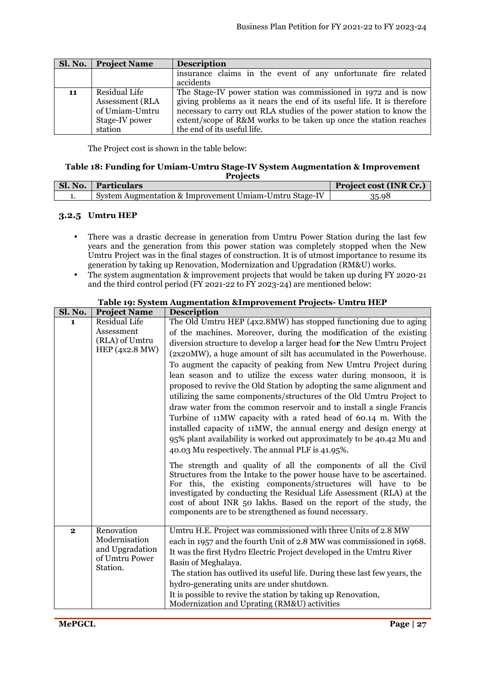| Sl. No. | <b>Project Name</b>    | <b>Description</b>                                                      |  |
|---------|------------------------|-------------------------------------------------------------------------|--|
|         |                        | insurance claims in the event of any unfortunate fire related           |  |
|         |                        | accidents                                                               |  |
| 11      | Residual Life          | The Stage-IV power station was commissioned in 1972 and is now          |  |
|         | <b>Assessment (RLA</b> | giving problems as it nears the end of its useful life. It is therefore |  |
|         | of Umiam-Umtru         | necessary to carry out RLA studies of the power station to know the     |  |
|         | Stage-IV power         | extent/scope of R&M works to be taken up once the station reaches       |  |
|         | station                | the end of its useful life.                                             |  |

#### **Table 18: Funding for Umiam-Umtru Stage-IV System Augmentation & Improvement Projects**

| Sl. No.   Particulars                                  | Project cost (INR Cr.) |
|--------------------------------------------------------|------------------------|
| System Augmentation & Improvement Umiam-Umtru Stage-IV | 35.98                  |

## **3.2.5 Umtru HEP**

- There was a drastic decrease in generation from Umtru Power Station during the last few years and the generation from this power station was completely stopped when the New Umtru Project was in the final stages of construction. It is of utmost importance to resume its generation by taking up Renovation, Modernization and Upgradation (RM&U) works.
- The system augmentation & improvement projects that would be taken up during FY 2020-21 and the third control period (FY 2021-22 to FY 2023-24) are mentioned below:

| Sl. No.      | <b>Project Name</b>                                                          | <b>Description</b>                                                                                                                                                                                                                                                                                                                                                                                                                                                                                                                                                                                                                                                                                                                                                                                                                                                                                                                                                                                                                                                         |  |
|--------------|------------------------------------------------------------------------------|----------------------------------------------------------------------------------------------------------------------------------------------------------------------------------------------------------------------------------------------------------------------------------------------------------------------------------------------------------------------------------------------------------------------------------------------------------------------------------------------------------------------------------------------------------------------------------------------------------------------------------------------------------------------------------------------------------------------------------------------------------------------------------------------------------------------------------------------------------------------------------------------------------------------------------------------------------------------------------------------------------------------------------------------------------------------------|--|
| $\mathbf{1}$ | <b>Residual Life</b><br>Assessment<br>(RLA) of Umtru<br>HEP (4x2.8 MW)       | The Old Umtru HEP (4x2.8MW) has stopped functioning due to aging<br>of the machines. Moreover, during the modification of the existing<br>diversion structure to develop a larger head for the New Umtru Project<br>(2x20MW), a huge amount of silt has accumulated in the Powerhouse.<br>To augment the capacity of peaking from New Umtru Project during<br>lean season and to utilize the excess water during monsoon, it is<br>proposed to revive the Old Station by adopting the same alignment and<br>utilizing the same components/structures of the Old Umtru Project to<br>draw water from the common reservoir and to install a single Francis<br>Turbine of 11MW capacity with a rated head of 60.14 m. With the<br>installed capacity of 11MW, the annual energy and design energy at<br>95% plant availability is worked out approximately to be 40.42 Mu and<br>40.03 Mu respectively. The annual PLF is 41.95%.<br>The strength and quality of all the components of all the Civil<br>Structures from the Intake to the power house have to be ascertained. |  |
|              |                                                                              | For this, the existing components/structures will have to be<br>investigated by conducting the Residual Life Assessment (RLA) at the<br>cost of about INR 50 lakhs. Based on the report of the study, the<br>components are to be strengthened as found necessary.                                                                                                                                                                                                                                                                                                                                                                                                                                                                                                                                                                                                                                                                                                                                                                                                         |  |
| $\mathbf 2$  | Renovation<br>Modernisation<br>and Upgradation<br>of Umtru Power<br>Station. | Umtru H.E. Project was commissioned with three Units of 2.8 MW<br>each in 1957 and the fourth Unit of 2.8 MW was commissioned in 1968.<br>It was the first Hydro Electric Project developed in the Umtru River<br>Basin of Meghalaya.<br>The station has outlived its useful life. During these last few years, the<br>hydro-generating units are under shutdown.<br>It is possible to revive the station by taking up Renovation,<br>Modernization and Uprating (RM&U) activities                                                                                                                                                                                                                                                                                                                                                                                                                                                                                                                                                                                         |  |

## **Table 19: System Augmentation &Improvement Projects- Umtru HEP**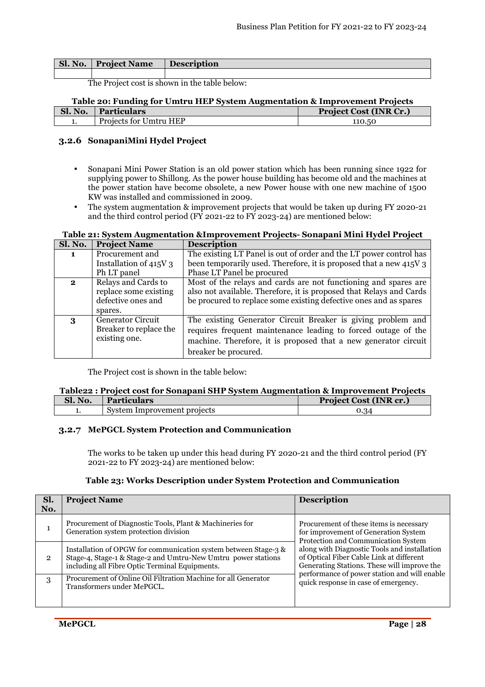| Sl. No. | <b>Project Name</b> | <b>Description</b> |
|---------|---------------------|--------------------|
|         |                     |                    |

## **Table 20: Funding for Umtru HEP System Augmentation & Improvement Projects**

| Sl. No. | <b>Particulars</b>     | <b>Project Cost (INR Cr.)</b> |
|---------|------------------------|-------------------------------|
|         | Projects for Umtru HEP | 110.50                        |

## **3.2.6 SonapaniMini Hydel Project**

- Sonapani Mini Power Station is an old power station which has been running since 1922 for supplying power to Shillong. As the power house building has become old and the machines at the power station have become obsolete, a new Power house with one new machine of 1500 KW was installed and commissioned in 2009.
- The system augmentation & improvement projects that would be taken up during FY 2020-21 and the third control period (FY 2021-22 to FY 2023-24) are mentioned below:

#### **Table 21: System Augmentation &Improvement Projects- Sonapani Mini Hydel Project**

| <b>Sl. No.</b> | <b>Project Name</b>      | <b>Description</b>                                                  |
|----------------|--------------------------|---------------------------------------------------------------------|
| 1.             | Procurement and          | The existing LT Panel is out of order and the LT power control has  |
|                | Installation of 415V 3   | been temporarily used. Therefore, it is proposed that a new 415V 3  |
|                | Ph LT panel              | Phase LT Panel be procured                                          |
| $\mathbf{2}$   | Relays and Cards to      | Most of the relays and cards are not functioning and spares are     |
|                | replace some existing    | also not available. Therefore, it is proposed that Relays and Cards |
|                | defective ones and       | be procured to replace some existing defective ones and as spares   |
|                | spares.                  |                                                                     |
| 3              | <b>Generator Circuit</b> | The existing Generator Circuit Breaker is giving problem and        |
|                | Breaker to replace the   | requires frequent maintenance leading to forced outage of the       |
|                | existing one.            | machine. Therefore, it is proposed that a new generator circuit     |
|                |                          | breaker be procured.                                                |

The Project cost is shown in the table below:

## **Table22 : Project cost for Sonapani SHP System Augmentation & Improvement Projects**

| Sl. No. | <b>Particulars</b>          | <b>Project Cost (INR cr.)</b> |
|---------|-----------------------------|-------------------------------|
| . .     | System Improvement projects | 0.34                          |

#### **3.2.7 MePGCL System Protection and Communication**

The works to be taken up under this head during FY 2020-21 and the third control period (FY 2021-22 to FY 2023-24) are mentioned below:

#### **Table 23: Works Description under System Protection and Communication**

| Sl.<br>No. | <b>Project Name</b>                                                                                                                                                                | <b>Description</b>                                                                                                                                                                      |
|------------|------------------------------------------------------------------------------------------------------------------------------------------------------------------------------------|-----------------------------------------------------------------------------------------------------------------------------------------------------------------------------------------|
|            | Procurement of Diagnostic Tools, Plant & Machineries for<br>Generation system protection division                                                                                  | Procurement of these items is necessary<br>for improvement of Generation System<br>Protection and Communication System                                                                  |
| 2          | Installation of OPGW for communication system between Stage-3 &<br>Stage-4, Stage-1 & Stage-2 and Umtru-New Umtru power stations<br>including all Fibre Optic Terminal Equipments. | along with Diagnostic Tools and installation<br>of Optical Fiber Cable Link at different<br>Generating Stations. These will improve the<br>performance of power station and will enable |
| 3          | Procurement of Online Oil Filtration Machine for all Generator<br>Transformers under MePGCL.                                                                                       | quick response in case of emergency.                                                                                                                                                    |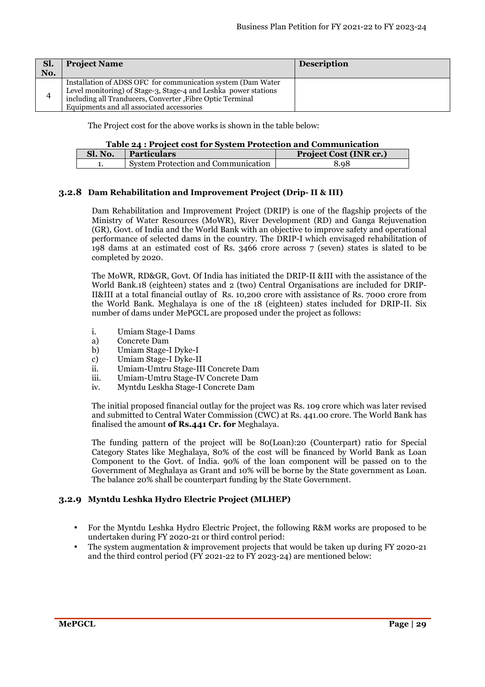| Sl.<br>No. | <b>Project Name</b>                                                                                                                                                                                                                        | <b>Description</b> |
|------------|--------------------------------------------------------------------------------------------------------------------------------------------------------------------------------------------------------------------------------------------|--------------------|
|            | Installation of ADSS OFC for communication system (Dam Water)<br>Level monitoring) of Stage-3, Stage-4 and Leshka power stations<br>including all Tranducers, Converter, Fibre Optic Terminal<br>Equipments and all associated accessories |                    |

The Project cost for the above works is shown in the table below:

#### **Table 24 : Project cost for System Protection and Communication**

| Sl. No. | <b>Particulars</b>                  | <b>Project Cost (INR cr.)</b> |
|---------|-------------------------------------|-------------------------------|
| . L 6   | System Protection and Communication | 8.98                          |

#### **3.2.8 Dam Rehabilitation and Improvement Project (Drip- II & III)**

Dam Rehabilitation and Improvement Project (DRIP) is one of the flagship projects of the Ministry of Water Resources (MoWR), River Development (RD) and Ganga Rejuvenation (GR), Govt. of India and the World Bank with an objective to improve safety and operational performance of selected dams in the country. The DRIP-I which envisaged rehabilitation of 198 dams at an estimated cost of Rs. 3466 crore across 7 (seven) states is slated to be completed by 2020.

The MoWR, RD&GR, Govt. Of India has initiated the DRIP-II &III with the assistance of the World Bank.18 (eighteen) states and 2 (two) Central Organisations are included for DRIP-II&III at a total financial outlay of Rs. 10,200 crore with assistance of Rs. 7000 crore from the World Bank. Meghalaya is one of the 18 (eighteen) states included for DRIP-II. Six number of dams under MePGCL are proposed under the project as follows:

- i. Umiam Stage-I Dams
- a) Concrete Dam
- b) Umiam Stage-I Dyke-I
- c) Umiam Stage-I Dyke-II
- ii. Umiam-Umtru Stage-III Concrete Dam
- iii. Umiam-Umtru Stage-IV Concrete Dam
- iv. Myntdu Leskha Stage-I Concrete Dam

The initial proposed financial outlay for the project was Rs. 109 crore which was later revised and submitted to Central Water Commission (CWC) at Rs. 441.00 crore. The World Bank has finalised the amount **of Rs.441 Cr. for** Meghalaya.

The funding pattern of the project will be 80(Loan):20 (Counterpart) ratio for Special Category States like Meghalaya, 80% of the cost will be financed by World Bank as Loan Component to the Govt. of India. 90% of the loan component will be passed on to the Government of Meghalaya as Grant and 10% will be borne by the State government as Loan. The balance 20% shall be counterpart funding by the State Government.

## **3.2.9 Myntdu Leshka Hydro Electric Project (MLHEP)**

- For the Myntdu Leshka Hydro Electric Project, the following R&M works are proposed to be undertaken during FY 2020-21 or third control period:
- The system augmentation & improvement projects that would be taken up during FY 2020-21 and the third control period (FY 2021-22 to FY 2023-24) are mentioned below: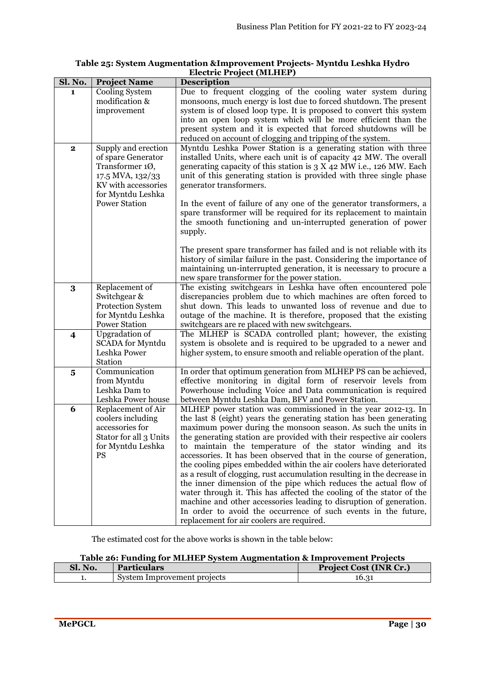| Sl. No.                 | <b>Project Name</b>                                                                                                          | <b>Description</b>                                                                                                                                                                                                                                                                                                                                                                                                                                                                                                                                                                                                                                                                                                                                                                                                                                                                                   |
|-------------------------|------------------------------------------------------------------------------------------------------------------------------|------------------------------------------------------------------------------------------------------------------------------------------------------------------------------------------------------------------------------------------------------------------------------------------------------------------------------------------------------------------------------------------------------------------------------------------------------------------------------------------------------------------------------------------------------------------------------------------------------------------------------------------------------------------------------------------------------------------------------------------------------------------------------------------------------------------------------------------------------------------------------------------------------|
| 1                       | Cooling System<br>modification &<br>improvement                                                                              | Due to frequent clogging of the cooling water system during<br>monsoons, much energy is lost due to forced shutdown. The present<br>system is of closed loop type. It is proposed to convert this system<br>into an open loop system which will be more efficient than the<br>present system and it is expected that forced shutdowns will be<br>reduced on account of clogging and tripping of the system.                                                                                                                                                                                                                                                                                                                                                                                                                                                                                          |
| $\mathbf 2$             | Supply and erection<br>of spare Generator<br>Transformer 10,<br>17.5 MVA, 132/33<br>KV with accessories<br>for Myntdu Leshka | Myntdu Leshka Power Station is a generating station with three<br>installed Units, where each unit is of capacity 42 MW. The overall<br>generating capacity of this station is $3 X 42 MW$ i.e., 126 MW. Each<br>unit of this generating station is provided with three single phase<br>generator transformers.                                                                                                                                                                                                                                                                                                                                                                                                                                                                                                                                                                                      |
|                         | <b>Power Station</b>                                                                                                         | In the event of failure of any one of the generator transformers, a<br>spare transformer will be required for its replacement to maintain<br>the smooth functioning and un-interrupted generation of power<br>supply.                                                                                                                                                                                                                                                                                                                                                                                                                                                                                                                                                                                                                                                                                |
|                         |                                                                                                                              | The present spare transformer has failed and is not reliable with its<br>history of similar failure in the past. Considering the importance of<br>maintaining un-interrupted generation, it is necessary to procure a<br>new spare transformer for the power station.                                                                                                                                                                                                                                                                                                                                                                                                                                                                                                                                                                                                                                |
| 3                       | Replacement of<br>Switchgear &<br><b>Protection System</b><br>for Myntdu Leshka<br><b>Power Station</b>                      | The existing switchgears in Leshka have often encountered pole<br>discrepancies problem due to which machines are often forced to<br>shut down. This leads to unwanted loss of revenue and due to<br>outage of the machine. It is therefore, proposed that the existing<br>switchgears are re placed with new switchgears.                                                                                                                                                                                                                                                                                                                                                                                                                                                                                                                                                                           |
| $\overline{\mathbf{4}}$ | <b>Upgradation</b> of<br><b>SCADA</b> for Myntdu<br>Leshka Power<br>Station                                                  | The MLHEP is SCADA controlled plant; however, the existing<br>system is obsolete and is required to be upgraded to a newer and<br>higher system, to ensure smooth and reliable operation of the plant.                                                                                                                                                                                                                                                                                                                                                                                                                                                                                                                                                                                                                                                                                               |
| $\overline{\mathbf{5}}$ | Communication<br>from Myntdu<br>Leshka Dam to<br>Leshka Power house                                                          | In order that optimum generation from MLHEP PS can be achieved,<br>effective monitoring in digital form of reservoir levels from<br>Powerhouse including Voice and Data communication is required<br>between Myntdu Leshka Dam, BFV and Power Station.                                                                                                                                                                                                                                                                                                                                                                                                                                                                                                                                                                                                                                               |
| 6                       | Replacement of Air<br>coolers including<br>accessories for<br>Stator for all 3 Units<br>for Myntdu Leshka<br><b>PS</b>       | MLHEP power station was commissioned in the year 2012-13. In<br>the last 8 (eight) years the generating station has been generating<br>maximum power during the monsoon season. As such the units in<br>the generating station are provided with their respective air coolers<br>to maintain the temperature of the stator winding and its<br>accessories. It has been observed that in the course of generation,<br>the cooling pipes embedded within the air coolers have deteriorated<br>as a result of clogging, rust accumulation resulting in the decrease in<br>the inner dimension of the pipe which reduces the actual flow of<br>water through it. This has affected the cooling of the stator of the<br>machine and other accessories leading to disruption of generation.<br>In order to avoid the occurrence of such events in the future,<br>replacement for air coolers are required. |

#### **Table 25: System Augmentation &Improvement Projects- Myntdu Leshka Hydro Electric Project (MLHEP)**

The estimated cost for the above works is shown in the table below:

|      | Table 26: Funding for MLHEP System Augmentation & Improvement Projects |   |
|------|------------------------------------------------------------------------|---|
| $-1$ |                                                                        | . |

| Sl. No. | <b>Particulars</b>          | <b>Project Cost (INR Cr.)</b> |
|---------|-----------------------------|-------------------------------|
|         | System Improvement projects | 16.31                         |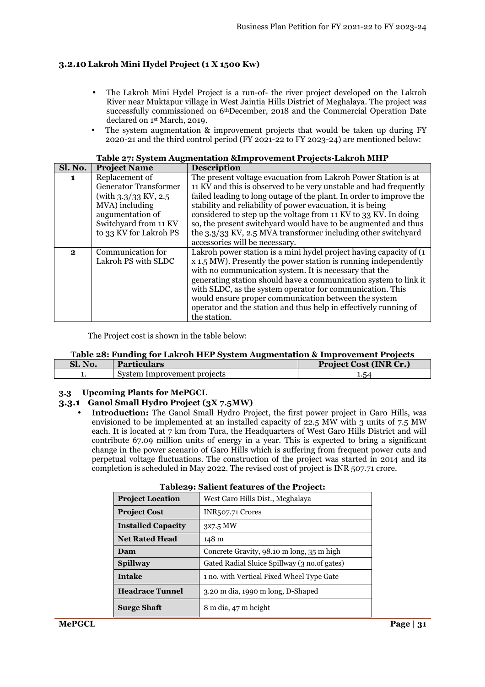## **3.2.10 Lakroh Mini Hydel Project (1 X 1500 Kw)**

- The Lakroh Mini Hydel Project is a run-of- the river project developed on the Lakroh River near Muktapur village in West Jaintia Hills District of Meghalaya. The project was successfully commissioned on 6thDecember, 2018 and the Commercial Operation Date declared on 1st March, 2019.
- The system augmentation  $\&$  improvement projects that would be taken up during FY 2020-21 and the third control period (FY 2021-22 to FY 2023-24) are mentioned below:

| Sl. No.      | <b>Project Name</b>          | <b>Description</b>                                                  |
|--------------|------------------------------|---------------------------------------------------------------------|
| 1.           | Replacement of               | The present voltage evacuation from Lakroh Power Station is at      |
|              | <b>Generator Transformer</b> | 11 KV and this is observed to be very unstable and had frequently   |
|              | (with $3.3/33$ KV, $2.5$ )   | failed leading to long outage of the plant. In order to improve the |
|              | MVA) including               | stability and reliability of power evacuation, it is being          |
|              | augumentation of             | considered to step up the voltage from 11 KV to 33 KV. In doing     |
|              | Switchyard from 11 KV        | so, the present switchyard would have to be augmented and thus      |
|              | to 33 KV for Lakroh PS       | the 3.3/33 KV, 2.5 MVA transformer including other switchyard       |
|              |                              | accessories will be necessary.                                      |
| $\mathbf{2}$ | Communication for            | Lakroh power station is a mini hydel project having capacity of (1) |
|              | Lakroh PS with SLDC          | x 1.5 MW). Presently the power station is running independently     |
|              |                              | with no communication system. It is necessary that the              |
|              |                              | generating station should have a communication system to link it    |
|              |                              | with SLDC, as the system operator for communication. This           |
|              |                              | would ensure proper communication between the system                |
|              |                              | operator and the station and thus help in effectively running of    |
|              |                              | the station.                                                        |

| Table 27: System Augmentation & Improvement Projects-Lakroh MHP |
|-----------------------------------------------------------------|
|-----------------------------------------------------------------|

The Project cost is shown in the table below:

#### **Table 28: Funding for Lakroh HEP System Augmentation & Improvement Projects**

| SI. NO. | <b>Particulars</b>          | <b>Project Cost (INR Cr.)</b> |
|---------|-----------------------------|-------------------------------|
|         | System Improvement projects | 1.54                          |

#### **3.3 Upcoming Plants for MePGCL**

## **3.3.1 Ganol Small Hydro Project (3X 7.5MW)**

• **Introduction:** The Ganol Small Hydro Project, the first power project in Garo Hills, was envisioned to be implemented at an installed capacity of 22.5 MW with 3 units of 7.5 MW each. It is located at 7 km from Tura, the Headquarters of West Garo Hills District and will contribute 67.09 million units of energy in a year. This is expected to bring a significant change in the power scenario of Garo Hills which is suffering from frequent power cuts and perpetual voltage fluctuations. The construction of the project was started in 2014 and its completion is scheduled in May 2022. The revised cost of project is INR 507.71 crore.

| <b>Project Location</b>   | West Garo Hills Dist., Meghalaya              |
|---------------------------|-----------------------------------------------|
| <b>Project Cost</b>       | INR <sub>507</sub> .71 Crores                 |
| <b>Installed Capacity</b> | 3x7.5 MW                                      |
| <b>Net Rated Head</b>     | 148 m                                         |
| Dam                       | Concrete Gravity, 98.10 m long, 35 m high     |
| <b>Spillway</b>           | Gated Radial Sluice Spillway (3 no. of gates) |
| Intake                    | 1 no. with Vertical Fixed Wheel Type Gate     |
| <b>Headrace Tunnel</b>    | 3.20 m dia, 1990 m long, D-Shaped             |
| <b>Surge Shaft</b>        | 8 m dia, 47 m height                          |

#### **Table29: Salient features of the Project:**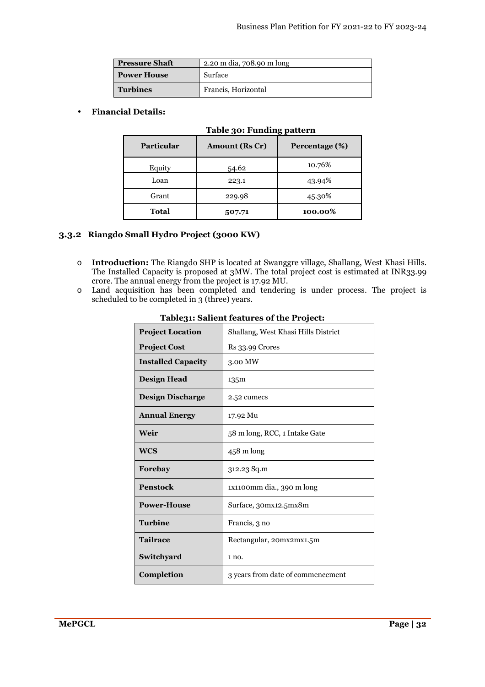| <b>Pressure Shaft</b><br>2.20 m dia, 708.90 m long |                     |
|----------------------------------------------------|---------------------|
| Surface<br><b>Power House</b>                      |                     |
| <b>Turbines</b>                                    | Francis, Horizontal |

## • **Financial Details:**

| $\frac{1}{2}$     |                       |                |  |  |  |
|-------------------|-----------------------|----------------|--|--|--|
| <b>Particular</b> | <b>Amount (Rs Cr)</b> | Percentage (%) |  |  |  |
| Equity            | 54.62                 | 10.76%         |  |  |  |
| Loan              | 223.1                 | 43.94%         |  |  |  |
| Grant             | 229.98                | 45.30%         |  |  |  |
| <b>Total</b>      | 507.71                | 100.00%        |  |  |  |

# **Table 30: Funding pattern**

## **3.3.2 Riangdo Small Hydro Project (3000 KW)**

- o **Introduction:** The Riangdo SHP is located at Swanggre village, Shallang, West Khasi Hills. The Installed Capacity is proposed at 3MW. The total project cost is estimated at INR33.99 crore. The annual energy from the project is 17.92 MU.
- o Land acquisition has been completed and tendering is under process. The project is scheduled to be completed in 3 (three) years.

| <b>Project Location</b>   | Shallang, West Khasi Hills District |
|---------------------------|-------------------------------------|
| <b>Project Cost</b>       | <b>Rs 33.99 Crores</b>              |
| <b>Installed Capacity</b> | 3.00 MW                             |
| <b>Design Head</b>        | 135m                                |
| <b>Design Discharge</b>   | 2.52 cumecs                         |
| <b>Annual Energy</b>      | 17.92 Mu                            |
| Weir                      | 58 m long, RCC, 1 Intake Gate       |
| <b>WCS</b>                | $458 \text{ m}$ long                |
| Forebay                   | 312.23 Sq.m                         |
| <b>Penstock</b>           | 1x1100mm dia., 390 m long           |
| <b>Power-House</b>        | Surface, 30mx12.5mx8m               |
| <b>Turbine</b>            | Francis, 3 no                       |
| <b>Tailrace</b>           | Rectangular, 20mx2mx1.5m            |
| Switchyard                | 1 no.                               |
| Completion                | 3 years from date of commencement   |

**Table31: Salient features of the Project:**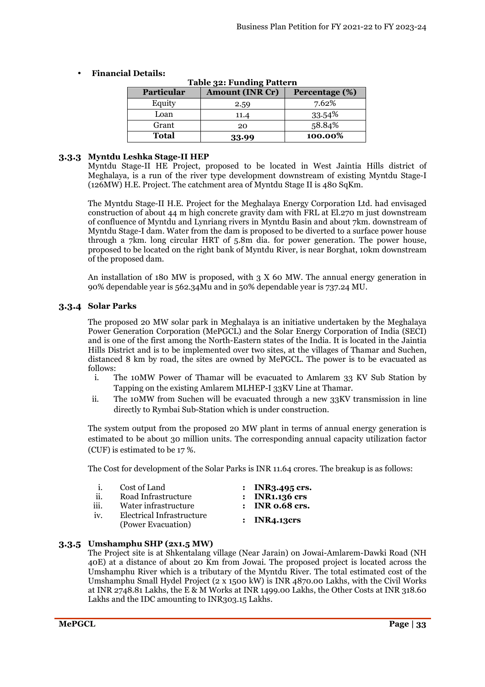| Table 32: Funding Pattern |                |         |  |  |  |  |
|---------------------------|----------------|---------|--|--|--|--|
| Particular                | Percentage (%) |         |  |  |  |  |
| Equity                    | 2.59           | 7.62%   |  |  |  |  |
| Loan                      | 11.4           | 33.54%  |  |  |  |  |
| Grant                     | 20             | 58.84%  |  |  |  |  |
| Total                     | 33.99          | 100.00% |  |  |  |  |

## • **Financial Details:**

## **3.3.3 Myntdu Leshka Stage-II HEP**

Myntdu Stage-II HE Project, proposed to be located in West Jaintia Hills district of Meghalaya, is a run of the river type development downstream of existing Myntdu Stage-I  $(126MW)$  H.E. Project. The catchment area of Myntdu Stage II is 480 SqKm.

The Myntdu Stage-II H.E. Project for the Meghalaya Energy Corporation Ltd. had envisaged construction of about 44 m high concrete gravity dam with FRL at El.270 m just downstream of confluence of Myntdu and Lynriang rivers in Myntdu Basin and about 7km. downstream of Myntdu Stage-I dam. Water from the dam is proposed to be diverted to a surface power house through a 7km. long circular HRT of 5.8m dia. for power generation. The power house, proposed to be located on the right bank of Myntdu River, is near Borghat, 10km downstream of the proposed dam.

An installation of 180 MW is proposed, with  $3 \times 60$  MW. The annual energy generation in 90% dependable year is 562.34Mu and in 50% dependable year is 737.24 MU.

## **3.3.4 Solar Parks**

The proposed 20 MW solar park in Meghalaya is an initiative undertaken by the Meghalaya Power Generation Corporation (MePGCL) and the Solar Energy Corporation of India (SECI) and is one of the first among the North-Eastern states of the India. It is located in the Jaintia Hills District and is to be implemented over two sites, at the villages of Thamar and Suchen, distanced 8 km by road, the sites are owned by MePGCL. The power is to be evacuated as follows:

- i. The 10MW Power of Thamar will be evacuated to Amlarem 33 KV Sub Station by Tapping on the existing Amlarem MLHEP-I 33KV Line at Thamar.
- ii. The 10MW from Suchen will be evacuated through a new 33KV transmission in line directly to Rymbai Sub-Station which is under construction.

The system output from the proposed 20 MW plant in terms of annual energy generation is estimated to be about 30 million units. The corresponding annual capacity utilization factor (CUF) is estimated to be 17 %.

The Cost for development of the Solar Parks is INR 11.64 crores. The breakup is as follows:

| $\mathbf{1}$ | Cost of Land                                    | $:$ INR3.495 crs. |
|--------------|-------------------------------------------------|-------------------|
| ii.          | Road Infrastructure                             | $:$ INR1.136 crs  |
| iii.         | Water infrastructure                            | $:$ INR 0.68 crs. |
| iv.          | Electrical Infrastructure<br>(Power Evacuation) | $:$ INR4.13crs    |

## **3.3.5 Umshamphu SHP (2x1.5 MW)**

The Project site is at Shkentalang village (Near Jarain) on Jowai-Amlarem-Dawki Road (NH 40E) at a distance of about 20 Km from Jowai. The proposed project is located across the Umshamphu River which is a tributary of the Myntdu River. The total estimated cost of the Umshamphu Small Hydel Project (2 x 1500 kW) is INR 4870.00 Lakhs, with the Civil Works at INR 2748.81 Lakhs, the E & M Works at INR 1499.00 Lakhs, the Other Costs at INR 318.60 Lakhs and the IDC amounting to INR303.15 Lakhs.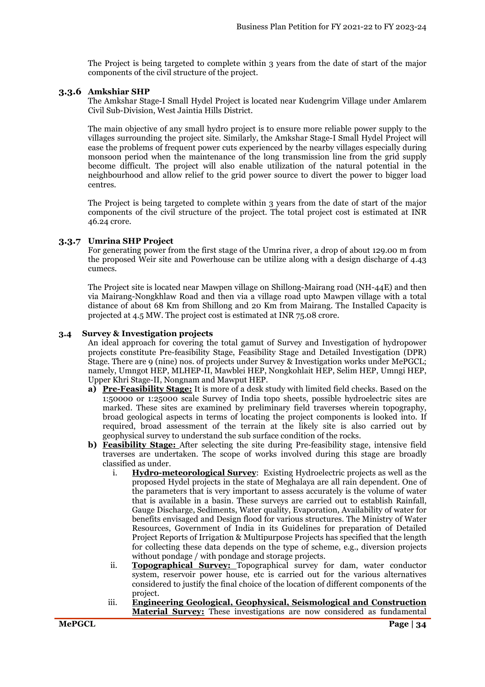The Project is being targeted to complete within 3 years from the date of start of the major components of the civil structure of the project.

#### **3.3.6 Amkshiar SHP**

The Amkshar Stage-I Small Hydel Project is located near Kudengrim Village under Amlarem Civil Sub-Division, West Jaintia Hills District.

The main objective of any small hydro project is to ensure more reliable power supply to the villages surrounding the project site. Similarly, the Amkshar Stage-I Small Hydel Project will ease the problems of frequent power cuts experienced by the nearby villages especially during monsoon period when the maintenance of the long transmission line from the grid supply become difficult. The project will also enable utilization of the natural potential in the neighbourhood and allow relief to the grid power source to divert the power to bigger load centres.

The Project is being targeted to complete within 3 years from the date of start of the major components of the civil structure of the project. The total project cost is estimated at INR 46.24 crore.

#### **3.3.7 Umrina SHP Project**

For generating power from the first stage of the Umrina river, a drop of about 129.00 m from the proposed Weir site and Powerhouse can be utilize along with a design discharge of 4.43 cumecs.

The Project site is located near Mawpen village on Shillong-Mairang road (NH-44E) and then via Mairang-Nongkhlaw Road and then via a village road upto Mawpen village with a total distance of about 68 Km from Shillong and 20 Km from Mairang. The Installed Capacity is projected at 4.5 MW. The project cost is estimated at INR 75.08 crore.

#### **3.4 Survey & Investigation projects**

An ideal approach for covering the total gamut of Survey and Investigation of hydropower projects constitute Pre-feasibility Stage, Feasibility Stage and Detailed Investigation (DPR) Stage. There are 9 (nine) nos. of projects under Survey & Investigation works under MePGCL; namely, Umngot HEP, MLHEP-II, Mawblei HEP, Nongkohlait HEP, Selim HEP, Umngi HEP, Upper Khri Stage-II, Nongnam and Mawput HEP.

- **a) Pre-Feasibility Stage:** It is more of a desk study with limited field checks. Based on the 1:50000 or 1:25000 scale Survey of India topo sheets, possible hydroelectric sites are marked. These sites are examined by preliminary field traverses wherein topography, broad geological aspects in terms of locating the project components is looked into. If required, broad assessment of the terrain at the likely site is also carried out by geophysical survey to understand the sub surface condition of the rocks.
- **b) Feasibility Stage:** After selecting the site during Pre-feasibility stage, intensive field traverses are undertaken. The scope of works involved during this stage are broadly classified as under.
	- i. **Hydro-meteorological Survey**: Existing Hydroelectric projects as well as the proposed Hydel projects in the state of Meghalaya are all rain dependent. One of the parameters that is very important to assess accurately is the volume of water that is available in a basin. These surveys are carried out to establish Rainfall, Gauge Discharge, Sediments, Water quality, Evaporation, Availability of water for benefits envisaged and Design flood for various structures. The Ministry of Water Resources, Government of India in its Guidelines for preparation of Detailed Project Reports of Irrigation & Multipurpose Projects has specified that the length for collecting these data depends on the type of scheme, e.g., diversion projects without pondage / with pondage and storage projects.
	- ii. **Topographical Survey:** Topographical survey for dam, water conductor system, reservoir power house, etc is carried out for the various alternatives considered to justify the final choice of the location of different components of the project.
	- iii. **Engineering Geological, Geophysical, Seismological and Construction Material Survey:** These investigations are now considered as fundamental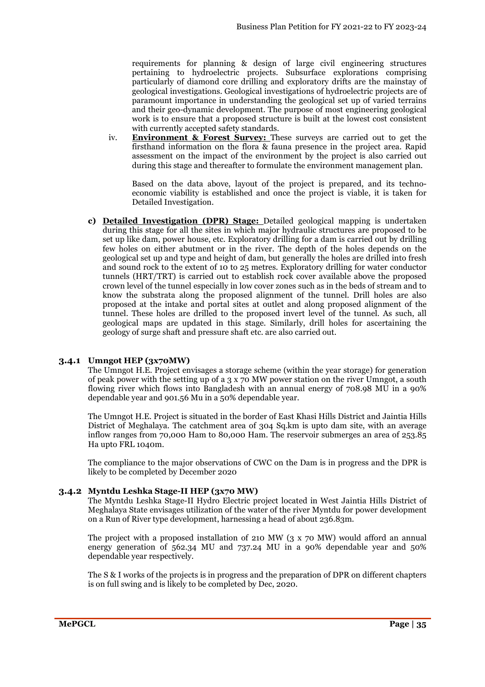requirements for planning & design of large civil engineering structures pertaining to hydroelectric projects. Subsurface explorations comprising particularly of diamond core drilling and exploratory drifts are the mainstay of geological investigations. Geological investigations of hydroelectric projects are of paramount importance in understanding the geological set up of varied terrains and their geo-dynamic development. The purpose of most engineering geological work is to ensure that a proposed structure is built at the lowest cost consistent with currently accepted safety standards.

iv. **Environment & Forest Survey:** These surveys are carried out to get the firsthand information on the flora & fauna presence in the project area. Rapid assessment on the impact of the environment by the project is also carried out during this stage and thereafter to formulate the environment management plan.

Based on the data above, layout of the project is prepared, and its technoeconomic viability is established and once the project is viable, it is taken for Detailed Investigation.

**c) Detailed Investigation (DPR) Stage:** Detailed geological mapping is undertaken during this stage for all the sites in which major hydraulic structures are proposed to be set up like dam, power house, etc. Exploratory drilling for a dam is carried out by drilling few holes on either abutment or in the river. The depth of the holes depends on the geological set up and type and height of dam, but generally the holes are drilled into fresh and sound rock to the extent of 10 to 25 metres. Exploratory drilling for water conductor tunnels (HRT/TRT) is carried out to establish rock cover available above the proposed crown level of the tunnel especially in low cover zones such as in the beds of stream and to know the substrata along the proposed alignment of the tunnel. Drill holes are also proposed at the intake and portal sites at outlet and along proposed alignment of the tunnel. These holes are drilled to the proposed invert level of the tunnel. As such, all geological maps are updated in this stage. Similarly, drill holes for ascertaining the geology of surge shaft and pressure shaft etc. are also carried out.

#### **3.4.1 Umngot HEP (3x70MW)**

The Umngot H.E. Project envisages a storage scheme (within the year storage) for generation of peak power with the setting up of a 3 x 70 MW power station on the river Umngot, a south flowing river which flows into Bangladesh with an annual energy of 708.98 MU in a 90% dependable year and 901.56 Mu in a 50% dependable year.

The Umngot H.E. Project is situated in the border of East Khasi Hills District and Jaintia Hills District of Meghalaya. The catchment area of 304 Sq.km is upto dam site, with an average inflow ranges from 70,000 Ham to 80,000 Ham. The reservoir submerges an area of 253.85 Ha upto FRL 1040m.

The compliance to the major observations of CWC on the Dam is in progress and the DPR is likely to be completed by December 2020

#### **3.4.2 Myntdu Leshka Stage-II HEP (3x70 MW)**

The Myntdu Leshka Stage-II Hydro Electric project located in West Jaintia Hills District of Meghalaya State envisages utilization of the water of the river Myntdu for power development on a Run of River type development, harnessing a head of about 236.83m.

The project with a proposed installation of 210 MW (3 x 70 MW) would afford an annual energy generation of 562.34 MU and 737.24 MU in a 90% dependable year and 50% dependable year respectively.

The S & I works of the projects is in progress and the preparation of DPR on different chapters is on full swing and is likely to be completed by Dec, 2020.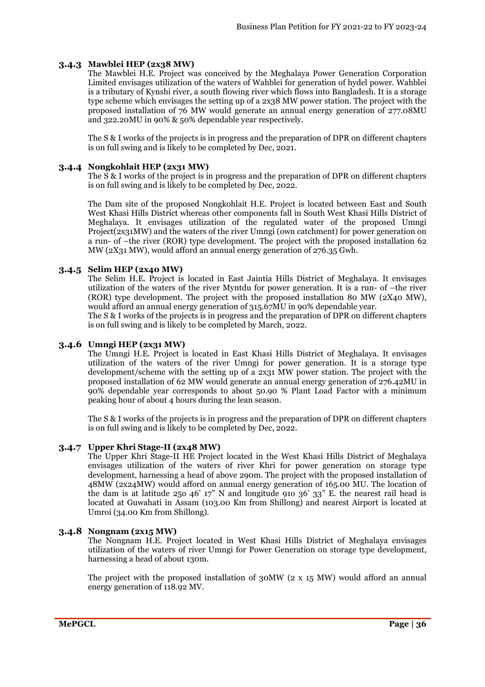## **3.4.3 Mawblei HEP (2x38 MW)**

The Mawblei H.E. Project was conceived by the Meghalaya Power Generation Corporation Limited envisages utilization of the waters of Wahblei for generation of hydel power. Wahblei is a tributary of Kynshi river, a south flowing river which flows into Bangladesh. It is a storage type scheme which envisages the setting up of a 2x38 MW power station. The project with the proposed installation of 76 MW would generate an annual energy generation of 277.08MU and 322.20MU in 90% & 50% dependable year respectively.

The S & I works of the projects is in progress and the preparation of DPR on different chapters is on full swing and is likely to be completed by Dec, 2021.

#### **3.4.4 Nongkohlait HEP (2x31 MW)**

The S & I works of the project is in progress and the preparation of DPR on different chapters is on full swing and is likely to be completed by Dec, 2022.

The Dam site of the proposed Nongkohlait H.E. Project is located between East and South West Khasi Hills District whereas other components fall in South West Khasi Hills District of Meghalaya. It envisages utilization of the regulated water of the proposed Umngi Project(2x31MW) and the waters of the river Umngi (own catchment) for power generation on a run- of –the river (ROR) type development. The project with the proposed installation 62 MW (2X31 MW), would afford an annual energy generation of 276.35 Gwh.

#### **3.4.5 Selim HEP (2x40 MW)**

The Selim H.E. Project is located in East Jaintia Hills District of Meghalaya. It envisages utilization of the waters of the river Myntdu for power generation. It is a run- of –the river (ROR) type development. The project with the proposed installation 80 MW (2X40 MW), would afford an annual energy generation of 315.67MU in 90% dependable year.

The S & I works of the projects is in progress and the preparation of DPR on different chapters is on full swing and is likely to be completed by March, 2022.

#### **3.4.6 Umngi HEP (2x31 MW)**

The Umngi H.E. Project is located in East Khasi Hills District of Meghalaya. It envisages utilization of the waters of the river Umngi for power generation. It is a storage type development/scheme with the setting up of a 2x31 MW power station. The project with the proposed installation of 62 MW would generate an annual energy generation of 276.42MU in 90% dependable year corresponds to about 50.90 % Plant Load Factor with a minimum peaking hour of about 4 hours during the lean season.

The S & I works of the projects is in progress and the preparation of DPR on different chapters is on full swing and is likely to be completed by Dec, 2022.

#### **3.4.7 Upper Khri Stage-II (2x48 MW)**

The Upper Khri Stage-II HE Project located in the West Khasi Hills District of Meghalaya envisages utilization of the waters of river Khri for power generation on storage type development, harnessing a head of above 290m. The project with the proposed installation of 48MW (2x24MW) would afford on annual energy generation of 165.00 MU. The location of the dam is at latitude 25o 46' 17" N and longitude 91o 36' 33" E. the nearest rail head is located at Guwahati in Assam (103.00 Km from Shillong) and nearest Airport is located at Umroi (34.00 Km from Shillong).

#### **3.4.8 Nongnam (2x15 MW)**

The Nongnam H.E. Project located in West Khasi Hills District of Meghalaya envisages utilization of the waters of river Umngi for Power Generation on storage type development, harnessing a head of about 130m.

The project with the proposed installation of 30MW (2 x 15 MW) would afford an annual energy generation of 118.92 MV.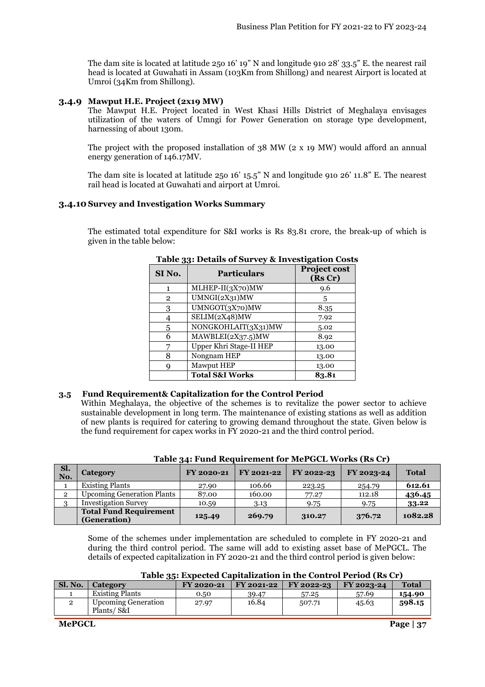The dam site is located at latitude 25o 16' 19" N and longitude 91o 28' 33.5" E. the nearest rail head is located at Guwahati in Assam (103Km from Shillong) and nearest Airport is located at Umroi (34Km from Shillong).

#### **3.4.9 Mawput H.E. Project (2x19 MW)**

The Mawput H.E. Project located in West Khasi Hills District of Meghalaya envisages utilization of the waters of Umngi for Power Generation on storage type development, harnessing of about 130m.

The project with the proposed installation of 38 MW (2 x 19 MW) would afford an annual energy generation of 146.17MV.

The dam site is located at latitude 25o 16' 15.5" N and longitude 91o 26' 11.8" E. The nearest rail head is located at Guwahati and airport at Umroi.

#### **3.4.10 Survey and Investigation Works Summary**

The estimated total expenditure for S&I works is Rs 83.81 crore, the break-up of which is given in the table below:

| <b>Particulars</b><br>SI No. |                            | <b>Project cost</b><br>(Rs Cr) |
|------------------------------|----------------------------|--------------------------------|
| 1                            | $MLHEP-II(3X70)MW$         | 9.6                            |
| $\overline{2}$               | UMNGI(2X31)MW              | 5                              |
| 3                            | UMNGOT(3X70)MW             | 8.35                           |
| 4                            | SELIM(2X48)MW              | 7.92                           |
| 5                            | NONGKOHLAIT(3X31)MW        | 5.02                           |
| 6                            | MAWBLEI(2X37.5)MW          | 8.92                           |
|                              | Upper Khri Stage-II HEP    | 13.00                          |
| 8                            | Nongnam HEP                | 13.00                          |
| g                            | Mawput HEP                 | 13.00                          |
|                              | <b>Total S&amp;I Works</b> | 83.81                          |
|                              |                            |                                |

#### **Table 33: Details of Survey & Investigation Costs**

#### **3.5 Fund Requirement& Capitalization for the Control Period**

Within Meghalaya, the objective of the schemes is to revitalize the power sector to achieve sustainable development in long term. The maintenance of existing stations as well as addition of new plants is required for catering to growing demand throughout the state. Given below is the fund requirement for capex works in FY 2020-21 and the third control period.

| Sl.<br>No.     | Category                                      | FY 2020-21 | FY 2021-22 | FY 2022-23 | FY 2023-24 | <b>Total</b> |
|----------------|-----------------------------------------------|------------|------------|------------|------------|--------------|
|                | <b>Existing Plants</b>                        | 27.90      | 106.66     | 223.25     | 254.79     | 612.61       |
| $\overline{2}$ | <b>Upcoming Generation Plants</b>             | 87.00      | 160.00     | 77.27      | 112.18     | 436.45       |
| ີ              | <b>Investigation Survey</b>                   | 10.59      | 3.13       | 9.75       | 9.75       | 33.22        |
|                | <b>Total Fund Requirement</b><br>(Generation) | 125.49     | 269.79     | 310.27     | 376.72     | 1082.28      |

|  | Table 34: Fund Requirement for MePGCL Works (Rs Cr) |  |
|--|-----------------------------------------------------|--|
|--|-----------------------------------------------------|--|

Some of the schemes under implementation are scheduled to complete in FY 2020-21 and during the third control period. The same will add to existing asset base of MePGCL. The details of expected capitalization in FY 2020-21 and the third control period is given below:

|  | Table 35: Expected Capitalization in the Control Period (Rs Cr) |  |
|--|-----------------------------------------------------------------|--|
|--|-----------------------------------------------------------------|--|

| Sl. No. | Category                                 | FY 2020-21 | FY 2021-22 | FY 2022-23 | FY 2023-24 | <b>Total</b> |
|---------|------------------------------------------|------------|------------|------------|------------|--------------|
|         | <b>Existing Plants</b>                   | 0.50       | 39.47      | 57.25      | 57.69      | 154.90       |
|         | <b>Upcoming Generation</b><br>Plants/S&I | 27.97      | 16.84      | 507.71     | 45.63      | 598.15       |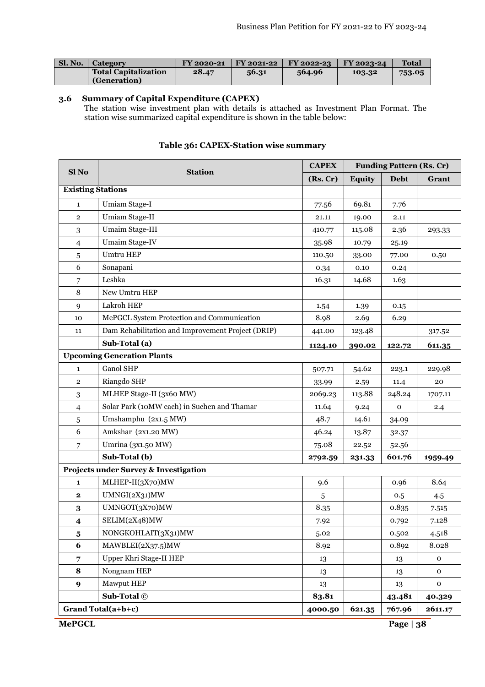| <b>Sl. No.</b> 1 | <b>Category</b>             | FY 2020-21 |       | $\text{FY } 2021 - 22 \text{ } \text{ } \text{ } \text{ FY } 2022 - 23$ | FY 2023-24 | <b>Total</b> |
|------------------|-----------------------------|------------|-------|-------------------------------------------------------------------------|------------|--------------|
|                  | <b>Total Capitalization</b> | 28.47      | 56.31 | 564.96                                                                  | 103.32     | 753.05       |
|                  | (Generation)                |            |       |                                                                         |            |              |

#### **3.6 Summary of Capital Expenditure (CAPEX)**

The station wise investment plan with details is attached as Investment Plan Format. The station wise summarized capital expenditure is shown in the table below:

| Sl <sub>No</sub>        | <b>Station</b>                                    | <b>CAPEX</b> |               | <b>Funding Pattern (Rs. Cr)</b> |             |
|-------------------------|---------------------------------------------------|--------------|---------------|---------------------------------|-------------|
|                         | (Rs, Cr)                                          |              | <b>Equity</b> | <b>Debt</b>                     | Grant       |
|                         | <b>Existing Stations</b>                          |              |               |                                 |             |
| $\mathbf{1}$            | Umiam Stage-I                                     | 77.56        | 69.81         | 7.76                            |             |
| $\overline{2}$          | Umiam Stage-II                                    | 21.11        | 19.00         | 2.11                            |             |
| 3                       | Umaim Stage-III                                   | 410.77       | 115.08        | 2.36                            | 293.33      |
| 4                       | Umaim Stage-IV                                    | 35.98        | 10.79         | 25.19                           |             |
| 5                       | <b>Umtru HEP</b>                                  | 110.50       | 33.00         | 77.00                           | 0.50        |
| 6                       | Sonapani                                          | 0.34         | 0.10          | 0.24                            |             |
| 7                       | Leshka                                            | 16.31        | 14.68         | 1.63                            |             |
| $\,8\,$                 | New Umtru HEP                                     |              |               |                                 |             |
| $\boldsymbol{9}$        | Lakroh HEP                                        | 1.54         | 1.39          | 0.15                            |             |
| 10                      | MePGCL System Protection and Communication        | 8.98         | 2.69          | 6.29                            |             |
| 11                      | Dam Rehabilitation and Improvement Project (DRIP) | 441.00       | 123.48        |                                 | 317.52      |
|                         | Sub-Total (a)                                     | 1124.10      | 390.02        | 122.72                          | 611.35      |
|                         | <b>Upcoming Generation Plants</b>                 |              |               |                                 |             |
| $\mathbf{1}$            | Ganol SHP                                         | 507.71       | 54.62         | 223.1                           | 229.98      |
| $\overline{2}$          | Riangdo SHP                                       | 33.99        | 2.59          | 11.4                            | 20          |
| 3                       | MLHEP Stage-II (3x60 MW)                          | 2069.23      | 113.88        | 248.24                          | 1707.11     |
| 4                       | Solar Park (10MW each) in Suchen and Thamar       | 11.64        | 9.24          | $\mathbf 0$                     | 2.4         |
| 5                       | Umshamphu (2x1.5 MW)                              | 48.7         | 14.61         | 34.09                           |             |
| 6                       | Amkshar (2x1.20 MW)                               | 46.24        | 13.87         | 32.37                           |             |
| 7                       | Umrina (3x1.50 MW)                                | 75.08        | 22.52         | 52.56                           |             |
|                         | Sub-Total (b)                                     | 2792.59      | 231.33        | 601.76                          | 1959.49     |
|                         | Projects under Survey & Investigation             |              |               |                                 |             |
| 1                       | MLHEP-II(3X70)MW                                  | 9.6          |               | 0.96                            | 8.64        |
| $\mathbf 2$             | UMNGI(2X31)MW                                     | $\sqrt{5}$   |               | 0.5                             | 4.5         |
| $\bf{3}$                | UMNGOT(3X70)MW                                    | 8.35         |               | 0.835                           | 7.515       |
| $\overline{\mathbf{4}}$ | SELIM(2X48)MW                                     | 7.92         |               | 0.792                           | 7.128       |
| $\bf{5}$                | NONGKOHLAIT(3X31)MW                               | 5.02         |               | 0.502                           | 4.518       |
| 6                       | MAWBLEI(2X37.5)MW                                 | 8.92         |               | 0.892                           | 8.028       |
| 7                       | Upper Khri Stage-II HEP                           | 13           |               | 13                              | $\mathbf 0$ |
| 8                       | Nongnam HEP                                       | 13           |               | 13                              | $\mathbf 0$ |
| 9                       | Mawput HEP                                        | 13           |               | 13                              | $\mathbf 0$ |
|                         | Sub-Total ©                                       | 83.81        |               | 43.481                          | 40.329      |
|                         | Grand Total(a+b+c)                                | 4000.50      | 621.35        | 767.96                          | 2611.17     |
| <b>MePGCL</b>           |                                                   |              |               | Page $ 38$                      |             |

## **Table 36: CAPEX-Station wise summary**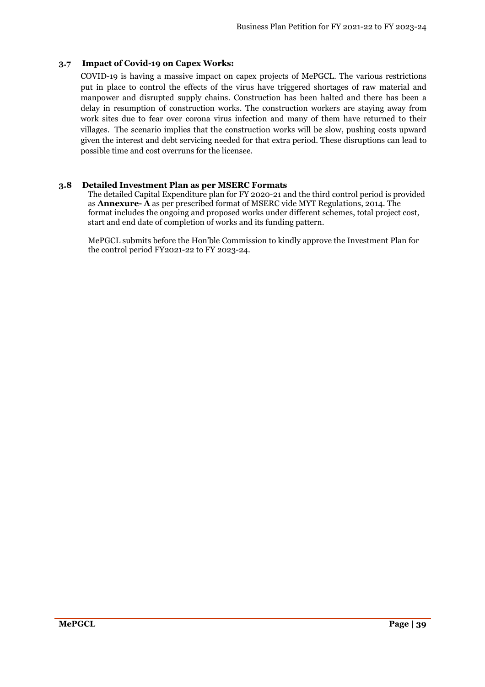## **3.7 Impact of Covid-19 on Capex Works:**

COVID-19 is having a massive impact on capex projects of MePGCL. The various restrictions put in place to control the effects of the virus have triggered shortages of raw material and manpower and disrupted supply chains. Construction has been halted and there has been a delay in resumption of construction works. The construction workers are staying away from work sites due to fear over corona virus infection and many of them have returned to their villages. The scenario implies that the construction works will be slow, pushing costs upward given the interest and debt servicing needed for that extra period. These disruptions can lead to possible time and cost overruns for the licensee.

## **3.8 Detailed Investment Plan as per MSERC Formats**

The detailed Capital Expenditure plan for FY 2020-21 and the third control period is provided as **Annexure- A** as per prescribed format of MSERC vide MYT Regulations, 2014. The format includes the ongoing and proposed works under different schemes, total project cost, start and end date of completion of works and its funding pattern.

MePGCL submits before the Hon'ble Commission to kindly approve the Investment Plan for the control period FY2021-22 to FY 2023-24.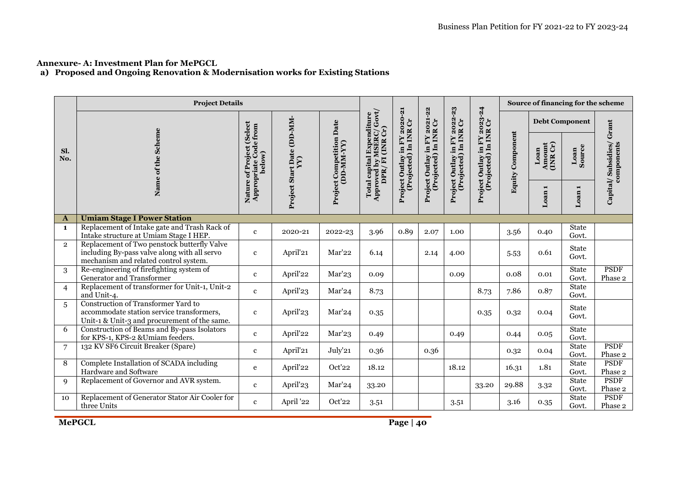## **Annexure- A: Investment Plan for MePGCL**

**a) Proposed and Ongoing Renovation & Modernisation works for Existing Stations** 

|                | <b>Project Details</b>                                                                                                               |                                                      |                                                |                                        |                                                                                  |                                                       |                                                    |                                                       |                                                       |                         | Source of financing for the scheme |                       |                                       |
|----------------|--------------------------------------------------------------------------------------------------------------------------------------|------------------------------------------------------|------------------------------------------------|----------------------------------------|----------------------------------------------------------------------------------|-------------------------------------------------------|----------------------------------------------------|-------------------------------------------------------|-------------------------------------------------------|-------------------------|------------------------------------|-----------------------|---------------------------------------|
|                |                                                                                                                                      | (Select                                              |                                                |                                        |                                                                                  |                                                       | 2021-22                                            |                                                       |                                                       |                         | <b>Debt Component</b>              |                       |                                       |
| Sl.<br>No.     | Name of the Scheme                                                                                                                   | Appropriate Code from<br>Nature of Project<br>below) | Project Start Date (DD-MM-<br>$\sum_{i=1}^{n}$ | Project Competition Date<br>(DD-MM-YY) | <b>Approved by MSERC/ Govt/</b><br>DPR/ FI (INR Cr)<br>Total capital Expenditure | Project Outlay in FY 2020-21<br>(Projected) In INR Cr | Project Outlay in FY 2021<br>(Projected) In INR Cr | Project Outlay in FY 2022-23<br>(Projected) In INR Cr | Project Outlay in FY 2023-24<br>(Projected) In INR Cr | <b>Equity Component</b> | Amount<br>(INR Cr)<br>Loan         | Loan<br>Source        | Capital/Subsidies/Grant<br>components |
|                |                                                                                                                                      |                                                      |                                                |                                        |                                                                                  |                                                       |                                                    |                                                       |                                                       |                         | Loan <sub>1</sub>                  | Loan <sub>1</sub>     |                                       |
| A              | <b>Umiam Stage I Power Station</b>                                                                                                   |                                                      |                                                |                                        |                                                                                  |                                                       |                                                    |                                                       |                                                       |                         |                                    |                       |                                       |
| $\mathbf{1}$   | Replacement of Intake gate and Trash Rack of<br>Intake structure at Umiam Stage I HEP.                                               | $\mathbf{c}$                                         | 2020-21                                        | 2022-23                                | 3.96                                                                             | 0.89                                                  | 2.07                                               | 1.00                                                  |                                                       | 3.56                    | 0.40                               | <b>State</b><br>Govt. |                                       |
| $\overline{2}$ | Replacement of Two penstock butterfly Valve<br>including By-pass valve along with all servo<br>mechanism and related control system. | $\mathbf{c}$                                         | April'21                                       | Mar'22                                 | 6.14                                                                             |                                                       | 2.14                                               | 4.00                                                  |                                                       | 5.53                    | 0.61                               | <b>State</b><br>Govt. |                                       |
| 3              | Re-engineering of firefighting system of<br>Generator and Transformer                                                                | $\mathbf{c}$                                         | April'22                                       | Mar'23                                 | 0.09                                                                             |                                                       |                                                    | 0.09                                                  |                                                       | 0.08                    | 0.01                               | <b>State</b><br>Govt. | <b>PSDF</b><br>Phase 2                |
| $\overline{4}$ | Replacement of transformer for Unit-1, Unit-2<br>and Unit-4.                                                                         | $\mathbf{c}$                                         | April'23                                       | Mar'24                                 | 8.73                                                                             |                                                       |                                                    |                                                       | 8.73                                                  | 7.86                    | 0.87                               | <b>State</b><br>Govt. |                                       |
| $\overline{5}$ | Construction of Transformer Yard to<br>accommodate station service transformers,<br>Unit-1 & Unit-3 and procurement of the same.     | $\mathbf{c}$                                         | April'23                                       | Mar'24                                 | 0.35                                                                             |                                                       |                                                    |                                                       | 0.35                                                  | 0.32                    | 0.04                               | <b>State</b><br>Govt. |                                       |
| 6              | Construction of Beams and By-pass Isolators<br>for KPS-1, KPS-2 & Umiam feeders.                                                     | $\mathbf{c}$                                         | April'22                                       | Mar'23                                 | 0.49                                                                             |                                                       |                                                    | 0.49                                                  |                                                       | 0.44                    | 0.05                               | <b>State</b><br>Govt. |                                       |
| $\overline{7}$ | 132 KV SF6 Circuit Breaker (Spare)                                                                                                   | $\mathbf{c}$                                         | April'21                                       | July'21                                | 0.36                                                                             |                                                       | 0.36                                               |                                                       |                                                       | 0.32                    | 0.04                               | <b>State</b><br>Govt. | <b>PSDF</b><br>Phase 2                |
| 8              | Complete Installation of SCADA including<br>Hardware and Software                                                                    | e                                                    | April'22                                       | Oct'22                                 | 18.12                                                                            |                                                       |                                                    | 18.12                                                 |                                                       | 16.31                   | 1.81                               | <b>State</b><br>Govt. | <b>PSDF</b><br>Phase 2                |
| $\mathbf{Q}$   | Replacement of Governor and AVR system.                                                                                              | $\mathbf{c}$                                         | April'23                                       | Mar'24                                 | 33.20                                                                            |                                                       |                                                    |                                                       | 33.20                                                 | 29.88                   | 3.32                               | <b>State</b><br>Govt. | <b>PSDF</b><br>Phase 2                |
| 10             | Replacement of Generator Stator Air Cooler for<br>three Units                                                                        | $\mathbf{c}$                                         | April '22                                      | Oct'22                                 | 3.51                                                                             |                                                       |                                                    | 3.51                                                  |                                                       | 3.16                    | 0.35                               | <b>State</b><br>Govt. | <b>PSDF</b><br>Phase 2                |

**MePGCL**

*Page* | 40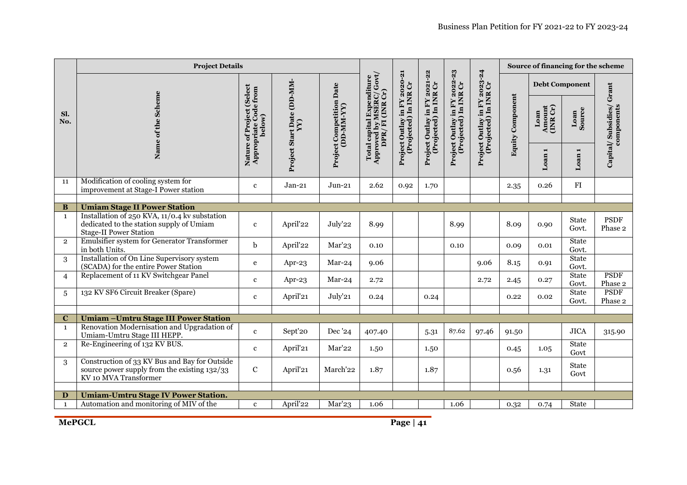|                         | <b>Project Details</b>                                                                                                     |                                                      |                                            |                                               |                                                                                                                             |                                                       |                                                       | Source of financing for the scheme                    |                                                       |                         |                            |                       |                                       |
|-------------------------|----------------------------------------------------------------------------------------------------------------------------|------------------------------------------------------|--------------------------------------------|-----------------------------------------------|-----------------------------------------------------------------------------------------------------------------------------|-------------------------------------------------------|-------------------------------------------------------|-------------------------------------------------------|-------------------------------------------------------|-------------------------|----------------------------|-----------------------|---------------------------------------|
|                         |                                                                                                                            | (Select                                              |                                            |                                               |                                                                                                                             |                                                       |                                                       |                                                       |                                                       |                         | <b>Debt Component</b>      |                       |                                       |
| Sl.<br>No.              | Name of the Scheme                                                                                                         | Appropriate Code from<br>Nature of Project<br>below) | Project Start Date (DD-MM-<br>$\mathbf{Y}$ | <b>Project Competition Date</b><br>(DD-MM-YY) | $\begin{array}{l} \text{Total capital Expendilure}\\ \text{Approved by MSERC/ Gout/}\\ \text{DPR/ FI (INK Cr)} \end{array}$ | Project Outlay in FY 2020-21<br>(Projected) In INR Cr | Project Outlay in FY 2021-22<br>(Projected) In INR Cr | Project Outlay in FY 2022-23<br>(Projected) In INR Cr | Project Outlay in FY 2023-24<br>(Projected) In INR Cr | <b>Equity Component</b> | Amount<br>(INR Cr)<br>Loan | Loan<br>Source        | Capital/Subsidies/Grant<br>components |
|                         |                                                                                                                            |                                                      |                                            |                                               |                                                                                                                             |                                                       |                                                       |                                                       |                                                       |                         | $\blacksquare$<br>Loan     | Loan <sub>1</sub>     |                                       |
| 11                      | Modification of cooling system for<br>improvement at Stage-I Power station                                                 | $\mathbf{c}$                                         | $Jan-21$                                   | $Jun-21$                                      | 2.62                                                                                                                        | 0.92                                                  | 1.70                                                  |                                                       |                                                       | 2.35                    | 0.26                       | FI                    |                                       |
|                         |                                                                                                                            |                                                      |                                            |                                               |                                                                                                                             |                                                       |                                                       |                                                       |                                                       |                         |                            |                       |                                       |
| B                       | <b>Umiam Stage II Power Station</b>                                                                                        |                                                      |                                            |                                               |                                                                                                                             |                                                       |                                                       |                                                       |                                                       |                         |                            |                       |                                       |
| $\mathbf{1}$            | Installation of 250 KVA, 11/0.4 kv substation<br>dedicated to the station supply of Umiam<br><b>Stage-II Power Station</b> | $\mathbf{c}$                                         | April'22                                   | July'22                                       | 8.99                                                                                                                        |                                                       |                                                       | 8.99                                                  |                                                       | 8.09                    | 0.90                       | <b>State</b><br>Govt. | <b>PSDF</b><br>Phase 2                |
| $\overline{2}$          | <b>Emulsifier system for Generator Transformer</b><br>in both Units.                                                       | b                                                    | April'22                                   | Mar'23                                        | 0.10                                                                                                                        |                                                       |                                                       | 0.10                                                  |                                                       | 0.09                    | 0.01                       | <b>State</b><br>Govt. |                                       |
| 3                       | Installation of On Line Supervisory system<br>(SCADA) for the entire Power Station                                         | $\mathbf e$                                          | Apr-23                                     | $Mar-24$                                      | 9.06                                                                                                                        |                                                       |                                                       |                                                       | 9.06                                                  | 8.15                    | 0.91                       | <b>State</b><br>Govt. |                                       |
| $\overline{4}$          | Replacement of 11 KV Switchgear Panel                                                                                      | $\mathbf{c}$                                         | Apr-23                                     | $Mar-24$                                      | 2.72                                                                                                                        |                                                       |                                                       |                                                       | 2.72                                                  | 2.45                    | 0.27                       | <b>State</b><br>Govt. | <b>PSDF</b><br>Phase 2                |
| 5                       | 132 KV SF6 Circuit Breaker (Spare)                                                                                         | $\mathbf{c}$                                         | April'21                                   | July'21                                       | 0.24                                                                                                                        |                                                       | 0.24                                                  |                                                       |                                                       | 0.22                    | 0.02                       | State<br>Govt.        | <b>PSDF</b><br>Phase 2                |
|                         |                                                                                                                            |                                                      |                                            |                                               |                                                                                                                             |                                                       |                                                       |                                                       |                                                       |                         |                            |                       |                                       |
| $\bf C$<br>$\mathbf{1}$ | <b>Umiam - Umtru Stage III Power Station</b><br>Renovation Modernisation and Upgradation of<br>Umiam-Umtru Stage III HEPP. | $\mathbf c$                                          | Sept'20                                    | Dec '24                                       | 407.40                                                                                                                      |                                                       | 5.31                                                  | 87.62                                                 | 97.46                                                 | 91.50                   |                            | $_{\rm JICA}$         | 315.90                                |
| $\overline{2}$          | Re-Engineering of 132 KV BUS.                                                                                              | $\mathbf{c}$                                         | April'21                                   | Mar'22                                        | 1.50                                                                                                                        |                                                       | 1.50                                                  |                                                       |                                                       | 0.45                    | 1.05                       | <b>State</b><br>Govt  |                                       |
| 3                       | Construction of 33 KV Bus and Bay for Outside<br>source power supply from the existing 132/33<br>KV 10 MVA Transformer     | $\mathbf C$                                          | April'21                                   | March'22                                      | 1.87                                                                                                                        |                                                       | 1.87                                                  |                                                       |                                                       | 0.56                    | 1.31                       | <b>State</b><br>Govt  |                                       |
|                         |                                                                                                                            |                                                      |                                            |                                               |                                                                                                                             |                                                       |                                                       |                                                       |                                                       |                         |                            |                       |                                       |
| D                       | <b>Umiam-Umtru Stage IV Power Station.</b>                                                                                 |                                                      |                                            |                                               |                                                                                                                             |                                                       |                                                       |                                                       |                                                       |                         |                            |                       |                                       |
| $\mathbf{1}$            | Automation and monitoring of MIV of the                                                                                    | $\mathbf{c}$                                         | April'22                                   | Mar'23                                        | 1.06                                                                                                                        |                                                       |                                                       | 1.06                                                  |                                                       | 0.32                    | 0.74                       | State                 |                                       |

**MePGCL**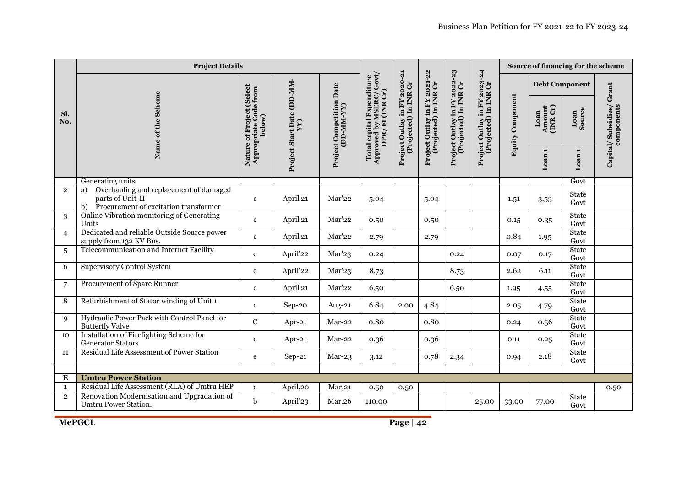|                                | <b>Project Details</b>                                                                                             |                                                                                                    |                      |                                   |                                                                              |                                                       |                                                       | Source of financing for the scheme                    |                                                       |                         |                            |                      |                                       |
|--------------------------------|--------------------------------------------------------------------------------------------------------------------|----------------------------------------------------------------------------------------------------|----------------------|-----------------------------------|------------------------------------------------------------------------------|-------------------------------------------------------|-------------------------------------------------------|-------------------------------------------------------|-------------------------------------------------------|-------------------------|----------------------------|----------------------|---------------------------------------|
|                                |                                                                                                                    | (Select                                                                                            |                      | Date                              |                                                                              |                                                       |                                                       |                                                       |                                                       |                         | <b>Debt Component</b>      |                      |                                       |
| Sl.<br>No.                     | Name of the Scheme                                                                                                 | Project Start Date (DD-MM-<br>Appropriate Code from<br>Nature of Project<br>below)<br>$\mathbf{Y}$ |                      | Project Competition<br>(DD-MM-YY) | Total capital Expenditure<br>Approved by MSERC/ $Govt$ /<br>DPR/ FI (INR Cr) | Project Outlay in FY 2020-21<br>(Projected) In INR Cr | Project Outlay in FY 2021-22<br>(Projected) In INR Cr | Project Outlay in FY 2022-23<br>(Projected) In INR Cr | Project Outlay in FY 2023-24<br>(Projected) In INR Cr | <b>Equity Component</b> | Amount<br>(INR Cr)<br>Loan | Loan<br>Source       | Capital/Subsidies/Grant<br>components |
|                                |                                                                                                                    |                                                                                                    |                      |                                   |                                                                              |                                                       |                                                       |                                                       |                                                       |                         | Loan <sub>1</sub>          | Loan <sub>1</sub>    |                                       |
|                                | Generating units                                                                                                   |                                                                                                    |                      |                                   |                                                                              |                                                       |                                                       |                                                       |                                                       |                         |                            | Govt                 |                                       |
| $\overline{2}$                 | Overhauling and replacement of damaged<br>a)<br>parts of Unit-II<br>b) Procurement of excitation transformer       | $\mathbf{c}$                                                                                       | April'21             | Mar'22                            | 5.04                                                                         |                                                       | 5.04                                                  |                                                       |                                                       | 1.51                    | 3.53                       | <b>State</b><br>Govt |                                       |
| 3                              | Online Vibration monitoring of Generating<br>Units                                                                 | $\mathbf{c}$                                                                                       | April'21             | Mar'22                            | 0.50                                                                         |                                                       | 0.50                                                  |                                                       |                                                       | 0.15                    | 0.35                       | <b>State</b><br>Govt |                                       |
| $\overline{4}$                 | Dedicated and reliable Outside Source power<br>supply from 132 KV Bus.                                             | $\mathbf{c}$                                                                                       | April'21             | Mar'22                            | 2.79                                                                         |                                                       | 2.79                                                  |                                                       |                                                       | 0.84                    | 1.95                       | <b>State</b><br>Govt |                                       |
| 5                              | Telecommunication and Internet Facility                                                                            | e                                                                                                  | April'22             | Mar'23                            | 0.24                                                                         |                                                       |                                                       | 0.24                                                  |                                                       | 0.07                    | 0.17                       | <b>State</b><br>Govt |                                       |
| 6                              | <b>Supervisory Control System</b>                                                                                  | e                                                                                                  | April'22             | Mar'23                            | 8.73                                                                         |                                                       |                                                       | 8.73                                                  |                                                       | 2.62                    | 6.11                       | State<br>Govt        |                                       |
| 7                              | Procurement of Spare Runner                                                                                        | $\mathbf c$                                                                                        | April'21             | Mar'22                            | 6.50                                                                         |                                                       |                                                       | 6.50                                                  |                                                       | 1.95                    | 4.55                       | <b>State</b><br>Govt |                                       |
| 8                              | Refurbishment of Stator winding of Unit 1                                                                          | $\mathbf c$                                                                                        | Sep-20               | Aug-21                            | 6.84                                                                         | 2.00                                                  | 4.84                                                  |                                                       |                                                       | 2.05                    | 4.79                       | <b>State</b><br>Govt |                                       |
| $\mathbf{Q}$                   | Hydraulic Power Pack with Control Panel for<br><b>Butterfly Valve</b>                                              | $\mathbf C$                                                                                        | Apr-21               | $Mar-22$                          | 0.80                                                                         |                                                       | 0.80                                                  |                                                       |                                                       | 0.24                    | 0.56                       | <b>State</b><br>Govt |                                       |
| 10                             | Installation of Firefighting Scheme for<br><b>Generator Stators</b>                                                | $\mathbf{c}$                                                                                       | Apr-21               | Mar-22                            | 0.36                                                                         |                                                       | 0.36                                                  |                                                       |                                                       | 0.11                    | 0.25                       | <b>State</b><br>Govt |                                       |
| 11                             | Residual Life Assessment of Power Station                                                                          | e                                                                                                  | $Sep-21$             | $Mar-23$                          | 3.12                                                                         |                                                       | 0.78                                                  | 2.34                                                  |                                                       | 0.94                    | 2.18                       | <b>State</b><br>Govt |                                       |
|                                |                                                                                                                    |                                                                                                    |                      |                                   |                                                                              |                                                       |                                                       |                                                       |                                                       |                         |                            |                      |                                       |
| E                              | <b>Umtru Power Station</b>                                                                                         |                                                                                                    |                      |                                   |                                                                              |                                                       |                                                       |                                                       |                                                       |                         |                            |                      |                                       |
| $\mathbf{1}$<br>$\overline{2}$ | Residual Life Assessment (RLA) of Umtru HEP<br>Renovation Modernisation and Upgradation of<br>Umtru Power Station. | $\mathbf{c}$<br>b                                                                                  | April,20<br>April'23 | Mar, 21<br>Mar, 26                | 0.50<br>110.00                                                               | 0.50                                                  |                                                       |                                                       | 25.00                                                 | 33.00                   | 77.00                      | <b>State</b><br>Govt | 0.50                                  |

**MePGCL**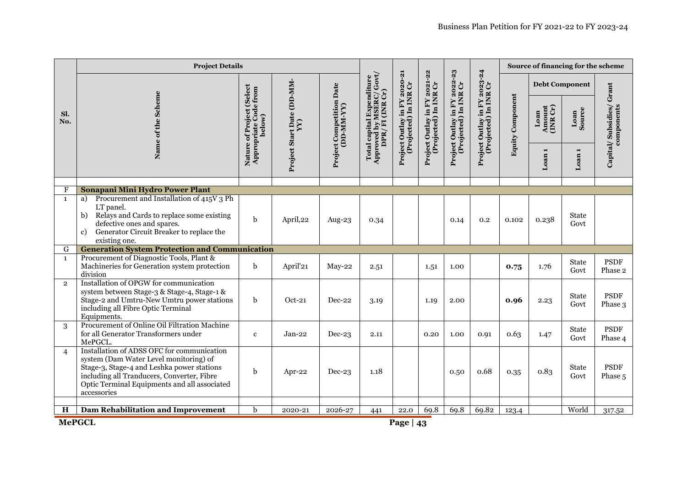|                | <b>Project Details</b>                                                                                                                                                                                                                          |                                                                                                       |          |                                   |                                                                          |                                                       |                                                       | Source of financing for the scheme                    |                                                       |                         |                            |                       |                                       |
|----------------|-------------------------------------------------------------------------------------------------------------------------------------------------------------------------------------------------------------------------------------------------|-------------------------------------------------------------------------------------------------------|----------|-----------------------------------|--------------------------------------------------------------------------|-------------------------------------------------------|-------------------------------------------------------|-------------------------------------------------------|-------------------------------------------------------|-------------------------|----------------------------|-----------------------|---------------------------------------|
|                |                                                                                                                                                                                                                                                 | (Select                                                                                               |          | Date                              |                                                                          |                                                       |                                                       |                                                       |                                                       |                         |                            | <b>Debt Component</b> |                                       |
| Sl.<br>No.     | Name of the Scheme                                                                                                                                                                                                                              | Project Start Date (DD-MM-<br>Appropriate Code from<br>Nature of Project<br>below<br>$\sum_{i=1}^{n}$ |          | Project Competition<br>(DD-MM-YY) | Approved by MSERC/ Govt,<br>Total capital Expenditure<br>DPR/FI (INR Cr) | Project Outlay in FY 2020-21<br>(Projected) In INR Cr | Project Outlay in FY 2021-22<br>(Projected) In INR Cr | Project Outlay in FY 2022-23<br>(Projected) In INR Cr | Project Outlay in FY 2023-24<br>(Projected) In INR Cr | <b>Equity Component</b> | Amount<br>(INR Cr)<br>Loan | Loan<br>Source        | Capital/Subsidies/Grant<br>components |
|                |                                                                                                                                                                                                                                                 |                                                                                                       |          |                                   |                                                                          |                                                       |                                                       |                                                       |                                                       |                         | Loan                       | Loan <sub>1</sub>     |                                       |
| F              | Sonapani Mini Hydro Power Plant                                                                                                                                                                                                                 |                                                                                                       |          |                                   |                                                                          |                                                       |                                                       |                                                       |                                                       |                         |                            |                       |                                       |
| $\mathbf{1}$   | Procurement and Installation of 415V 3 Ph<br>a)<br>LT panel.<br>Relays and Cards to replace some existing<br>b)<br>defective ones and spares.<br>Generator Circuit Breaker to replace the<br>c)<br>existing one.                                | $\mathbf b$                                                                                           | April,22 | Aug-23                            | 0.34                                                                     |                                                       |                                                       | 0.14                                                  | 0.2                                                   | 0.102                   | 0.238                      | <b>State</b><br>Govt  |                                       |
| G              | <b>Generation System Protection and Communication</b>                                                                                                                                                                                           |                                                                                                       |          |                                   |                                                                          |                                                       |                                                       |                                                       |                                                       |                         |                            |                       |                                       |
| $\mathbf{1}$   | Procurement of Diagnostic Tools, Plant &<br>Machineries for Generation system protection<br>division                                                                                                                                            | b                                                                                                     | April'21 | $Mav-22$                          | 2.51                                                                     |                                                       | 1.51                                                  | 1.00                                                  |                                                       | 0.75                    | 1.76                       | <b>State</b><br>Govt  | <b>PSDF</b><br>Phase 2                |
| $\overline{2}$ | Installation of OPGW for communication<br>system between Stage-3 & Stage-4, Stage-1 &<br>Stage-2 and Umtru-New Umtru power stations<br>including all Fibre Optic Terminal<br>Equipments.                                                        | $\mathbf b$                                                                                           | $Oct-21$ | Dec-22                            | 3.19                                                                     |                                                       | 1.19                                                  | 2.00                                                  |                                                       | 0.96                    | 2.23                       | <b>State</b><br>Govt  | <b>PSDF</b><br>Phase 3                |
| 3              | Procurement of Online Oil Filtration Machine<br>for all Generator Transformers under<br>MePGCL.                                                                                                                                                 | $\mathbf{c}$                                                                                          | Jan-22   | $Dec-23$                          | 2.11                                                                     |                                                       | 0.20                                                  | 1.00                                                  | 0.91                                                  | 0.63                    | 1.47                       | <b>State</b><br>Govt  | <b>PSDF</b><br>Phase 4                |
| $\overline{4}$ | Installation of ADSS OFC for communication<br>system (Dam Water Level monitoring) of<br>Stage-3, Stage-4 and Leshka power stations<br>including all Tranducers, Converter, Fibre<br>Optic Terminal Equipments and all associated<br>accessories | $\mathbf b$                                                                                           | Apr-22   | $Dec-23$                          | 1.18                                                                     |                                                       |                                                       | 0.50                                                  | 0.68                                                  | 0.35                    | 0.83                       | State<br>Govt         | <b>PSDF</b><br>Phase 5                |
| $\mathbf H$    | <b>Dam Rehabilitation and Improvement</b>                                                                                                                                                                                                       | b                                                                                                     | 2020-21  | 2026-27                           | 441                                                                      | 22.0                                                  | 69.8                                                  | 69.8                                                  | 69.82                                                 | 123.4                   |                            | World                 | 317.52                                |

**MePGCL**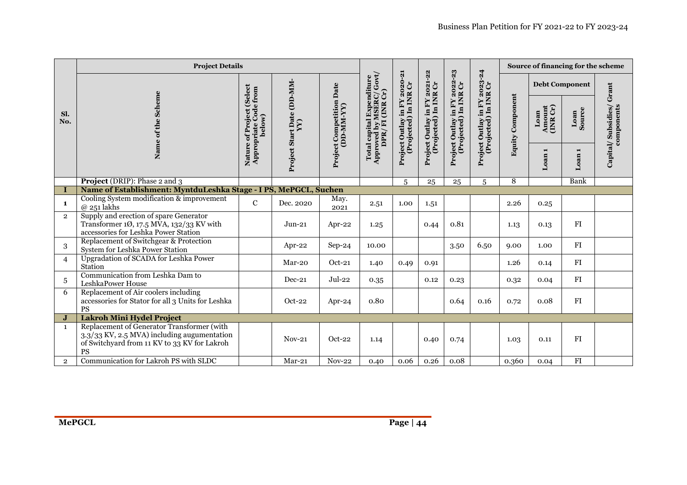|                | <b>Project Details</b>                                                                                                                          |                                                               |                            |                                   |                                                                           |                                    |                                                       | Source of financing for the scheme   |                                                       |                         |                            |                   |                         |
|----------------|-------------------------------------------------------------------------------------------------------------------------------------------------|---------------------------------------------------------------|----------------------------|-----------------------------------|---------------------------------------------------------------------------|------------------------------------|-------------------------------------------------------|--------------------------------------|-------------------------------------------------------|-------------------------|----------------------------|-------------------|-------------------------|
| Sl.            | of the Scheme                                                                                                                                   | (Select<br>Nature of Project (Select<br>Appropriate Code from | Project Start Date (DD-MM- | Date                              | Approved by MSERC/ Govt/<br>DPR/ FI (INR Cr)<br>Total capital Expenditure | <b>FY 2020-21</b><br>INR Cr<br>FY  | Project Outlay in FY 2021-22<br>(Projected) In INR Cr | $2022 - 23$<br>(Projected) In INR Cr | Project Outlay in FY 2023-24<br>(Projected) In INR Cr |                         | <b>Debt Component</b>      |                   | Capital/Subsidies/Grant |
| No.            |                                                                                                                                                 | below)                                                        | $\sum_{i=1}^{n}$           | Project Competition<br>(DD-MM-YY) |                                                                           | ject Outlay in I<br>(Projected) In |                                                       | Project Outlay in FY                 |                                                       | <b>Equity Component</b> | Amount<br>(INR Cr)<br>Loan | Loan<br>Source    | components              |
|                | Name                                                                                                                                            |                                                               |                            |                                   |                                                                           | Project                            |                                                       |                                      |                                                       |                         | $\blacksquare$<br>Loan     | Loan <sub>1</sub> |                         |
|                | <b>Project</b> (DRIP): Phase 2 and 3                                                                                                            |                                                               |                            |                                   |                                                                           | 5                                  | 25                                                    | 25                                   | $\overline{5}$                                        | 8                       |                            | <b>Bank</b>       |                         |
|                | Name of Establishment: MyntduLeshka Stage - I PS, MePGCL, Suchen                                                                                |                                                               |                            |                                   |                                                                           |                                    |                                                       |                                      |                                                       |                         |                            |                   |                         |
| $\mathbf{1}$   | Cooling System modification & improvement<br>$@$ 251 lakhs                                                                                      | $\mathbf C$                                                   | Dec. 2020                  | May.<br>2021                      | 2.51                                                                      | 1.00                               | 1.51                                                  |                                      |                                                       | 2.26                    | 0.25                       |                   |                         |
| $\overline{2}$ | Supply and erection of spare Generator<br>Transformer $10$ , $17.5$ MVA, $132/33$ KV with<br>accessories for Leshka Power Station               |                                                               | $Jun-21$                   | Apr-22                            | 1.25                                                                      |                                    | 0.44                                                  | 0.81                                 |                                                       | 1.13                    | 0.13                       | FI                |                         |
| 3              | Replacement of Switchgear & Protection<br>System for Leshka Power Station                                                                       |                                                               | Apr-22                     | $Sep-24$                          | 10.00                                                                     |                                    |                                                       | 3.50                                 | 6.50                                                  | 9.00                    | 1.00                       | ${\rm FI}$        |                         |
| $\overline{4}$ | Upgradation of SCADA for Leshka Power<br>Station                                                                                                |                                                               | Mar-20                     | $Oct-21$                          | 1.40                                                                      | 0.49                               | 0.91                                                  |                                      |                                                       | 1.26                    | 0.14                       | FI                |                         |
| 5              | Communication from Leshka Dam to<br>LeshkaPower House                                                                                           |                                                               | Dec-21                     | $Jul-22$                          | 0.35                                                                      |                                    | 0.12                                                  | 0.23                                 |                                                       | 0.32                    | 0.04                       | FI                |                         |
| 6              | Replacement of Air coolers including<br>accessories for Stator for all 3 Units for Leshka<br><b>PS</b>                                          |                                                               | $Oct-22$                   | Apr-24                            | 0.80                                                                      |                                    |                                                       | 0.64                                 | 0.16                                                  | 0.72                    | 0.08                       | FI                |                         |
| J              | <b>Lakroh Mini Hydel Project</b>                                                                                                                |                                                               |                            |                                   |                                                                           |                                    |                                                       |                                      |                                                       |                         |                            |                   |                         |
| $\mathbf{1}$   | Replacement of Generator Transformer (with<br>3.3/33 KV, 2.5 MVA) including augumentation<br>of Switchyard from 11 KV to 33 KV for Lakroh<br>PS |                                                               | $Nov-21$                   | $Oct-22$                          | 1.14                                                                      |                                    | 0.40                                                  | 0.74                                 |                                                       | 1.03                    | 0.11                       | FI                |                         |
| $\overline{2}$ | Communication for Lakroh PS with SLDC                                                                                                           |                                                               | $Mar-21$                   | <b>Nov-22</b>                     | 0.40                                                                      | 0.06                               | 0.26                                                  | 0.08                                 |                                                       | 0.360                   | 0.04                       | ${\rm FI}$        |                         |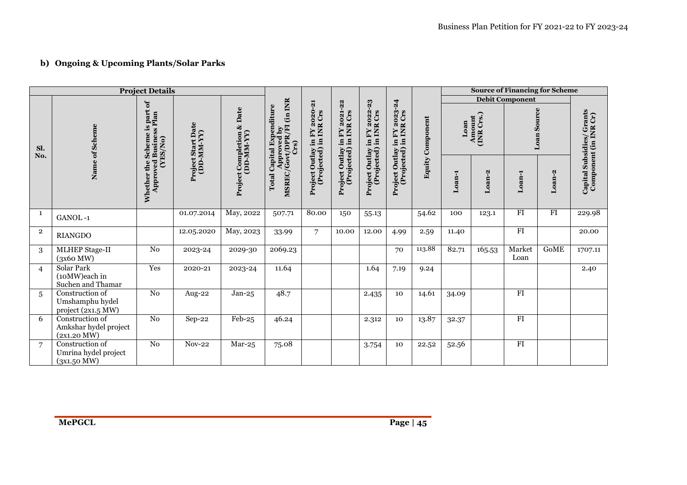# **b) Ongoing & Upcoming Plants/Solar Parks**

|                |                                                                                                                | <b>Project Details</b> |                                         |                                                    |                                                                                                                      |                                  |                                                                     |                                                        |                                                        |           |        |                      | <b>Source of Financing for Scheme</b> |                 |                                                    |
|----------------|----------------------------------------------------------------------------------------------------------------|------------------------|-----------------------------------------|----------------------------------------------------|----------------------------------------------------------------------------------------------------------------------|----------------------------------|---------------------------------------------------------------------|--------------------------------------------------------|--------------------------------------------------------|-----------|--------|----------------------|---------------------------------------|-----------------|----------------------------------------------------|
|                |                                                                                                                |                        |                                         |                                                    |                                                                                                                      |                                  |                                                                     |                                                        |                                                        |           |        |                      | <b>Debit Component</b>                |                 |                                                    |
| Sl.<br>No.     | part of<br>The<br>ther the Schennew $_{\rm F}$ Approved Business<br>Plan (YES/No)<br>Name of Scheme<br>Whether |                        | <b>Project Start Date</b><br>(DD-MM-YY) |                                                    | (in INR<br>in FY 2020-21<br>Total Capital Expenditure<br>Approved by<br>MSREC/Govt/DPR/FI (in INR<br>Crs)<br>INR Crs |                                  | FY 2021-22<br>INR Crs<br>$\mathbf{F}\mathbf{Y}$<br>$\ddot{=}$<br>교. | Project Outlay in FY 2022-23<br>(Projected) in INR Crs | Project Outlay in FY 2023-24<br>(Projected) in INR Crs | Component | Loan   | Amount<br>(INR Crs.) |                                       | Loan Source     |                                                    |
|                |                                                                                                                |                        |                                         | <b>Project Completion &amp; Date</b><br>(DD-MM-YY) |                                                                                                                      | (Projected) in<br>Project Outlay | Project Outlay i<br>(Projected) i                                   |                                                        |                                                        | Equity    | Loan-1 | Loan-2               | Loan-1                                | Loan-2          | Capital Subsidies/ Grants<br>Component (in INR Cr) |
| 1              | GANOL-1                                                                                                        |                        | 01.07.2014                              | May, 2022                                          | 507.71                                                                                                               | 80.00                            | 150                                                                 | 55.13                                                  |                                                        | 54.62     | 100    | 123.1                | FI                                    | $\overline{FI}$ | 229.98                                             |
| $\overline{2}$ | <b>RIANGDO</b>                                                                                                 |                        | 12.05.2020                              | May, 2023                                          | 33.99                                                                                                                | $\overline{7}$                   | 10.00                                                               | 12.00                                                  | 4.99                                                   | 2.59      | 11.40  |                      | FI                                    |                 | 20.00                                              |
| 3              | <b>MLHEP Stage-II</b><br>(3x60 MW)                                                                             | N <sub>0</sub>         | 2023-24                                 | 2029-30                                            | 2069.23                                                                                                              |                                  |                                                                     |                                                        | 70                                                     | 113.88    | 82.71  | 165.53               | Market<br>Loan                        | <b>GOME</b>     | 1707.11                                            |
| $\overline{4}$ | <b>Solar Park</b><br>(10MW)each in<br>Suchen and Thamar                                                        | Yes                    | 2020-21                                 | 2023-24                                            | 11.64                                                                                                                |                                  |                                                                     | 1.64                                                   | 7.19                                                   | 9.24      |        |                      |                                       |                 | 2.40                                               |
| 5              | Construction of<br>Umshamphu hydel<br>project (2x1.5 MW)                                                       | No                     | Aug-22                                  | $Jan-25$                                           | 48.7                                                                                                                 |                                  |                                                                     | 2.435                                                  | 10                                                     | 14.61     | 34.09  |                      | FI                                    |                 |                                                    |
| 6              | Construction of<br>Amkshar hydel project<br>(2x1.20 MW)                                                        | N <sub>0</sub>         | Sep-22                                  | $Feb-25$                                           | 46.24                                                                                                                |                                  |                                                                     | 2.312                                                  | 10                                                     | 13.87     | 32.37  |                      | FI                                    |                 |                                                    |
| $\overline{7}$ | Construction of<br>Umrina hydel project<br>(3x1.50 MW)                                                         | N <sub>0</sub>         | $Nov-22$                                | $Mar-25$                                           | 75.08                                                                                                                |                                  |                                                                     | 3.754                                                  | 10                                                     | 22.52     | 52.56  |                      | $\overline{FI}$                       |                 |                                                    |